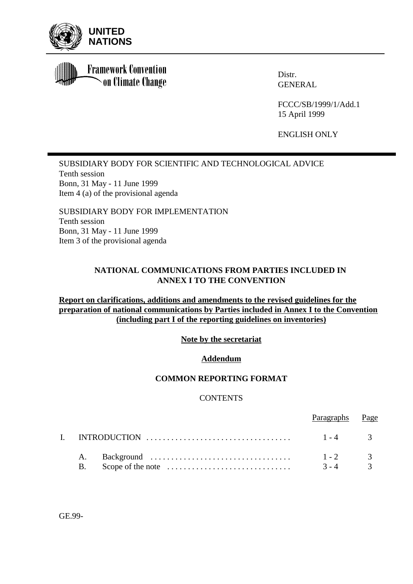

**Framework Convention** on Climate Change

Distr. GENERAL

FCCC/SB/1999/1/Add.1 15 April 1999

ENGLISH ONLY

SUBSIDIARY BODY FOR SCIENTIFIC AND TECHNOLOGICAL ADVICE Tenth session Bonn, 31 May - 11 June 1999 Item 4 (a) of the provisional agenda

SUBSIDIARY BODY FOR IMPLEMENTATION Tenth session Bonn, 31 May - 11 June 1999 Item 3 of the provisional agenda

# **NATIONAL COMMUNICATIONS FROM PARTIES INCLUDED IN ANNEX I TO THE CONVENTION**

# **Report on clarifications, additions and amendments to the revised guidelines for the preparation of national communications by Parties included in Annex I to the Convention (including part I of the reporting guidelines on inventories)**

**Note by the secretariat**

# **Addendum**

# **COMMON REPORTING FORMAT**

# **CONTENTS**

|          |                                                                                                          | Paragraphs Page        |  |
|----------|----------------------------------------------------------------------------------------------------------|------------------------|--|
|          | INTRODUCTION $\ldots \ldots \ldots \ldots \ldots \ldots \ldots \ldots \ldots \ldots \ldots \qquad 1-4$ 3 |                        |  |
| A.<br>Β. | Scope of the note $\dots \dots \dots \dots \dots \dots \dots \dots \dots$                                | $1 - 2$ 3<br>$3 - 4$ 3 |  |

GE.99-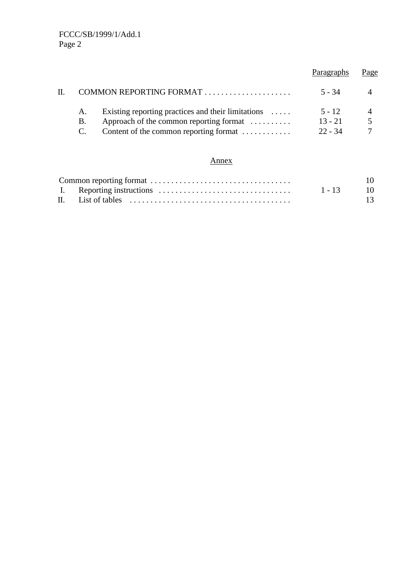| Paragraphs                         | 'age |
|------------------------------------|------|
| 5 - 34                             |      |
| $5 - 12$<br>$13 - 21$<br>$22 - 34$ |      |
|                                    |      |

# Annex

|  |             | 10 |
|--|-------------|----|
|  | $1 - 13$ 10 |    |
|  |             | 13 |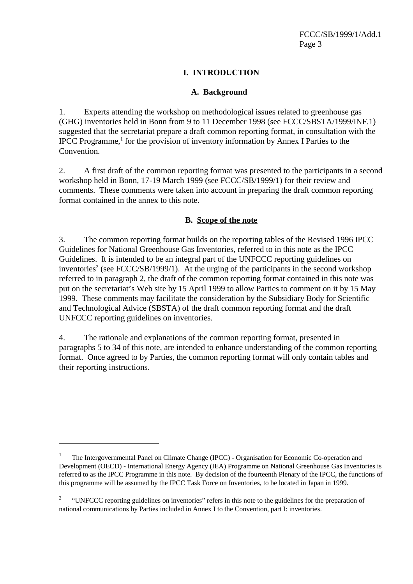# **I. INTRODUCTION**

# **A. Background**

1. Experts attending the workshop on methodological issues related to greenhouse gas (GHG) inventories held in Bonn from 9 to 11 December 1998 (see FCCC/SBSTA/1999/INF.1) suggested that the secretariat prepare a draft common reporting format, in consultation with the IPCC Programme,<sup>1</sup> for the provision of inventory information by Annex I Parties to the Convention.

2. A first draft of the common reporting format was presented to the participants in a second workshop held in Bonn, 17-19 March 1999 (see FCCC/SB/1999/1) for their review and comments. These comments were taken into account in preparing the draft common reporting format contained in the annex to this note.

# **B. Scope of the note**

3. The common reporting format builds on the reporting tables of the Revised 1996 IPCC Guidelines for National Greenhouse Gas Inventories, referred to in this note as the IPCC Guidelines. It is intended to be an integral part of the UNFCCC reporting guidelines on inventories<sup>2</sup> (see FCCC/SB/1999/1). At the urging of the participants in the second workshop referred to in paragraph 2, the draft of the common reporting format contained in this note was put on the secretariat's Web site by 15 April 1999 to allow Parties to comment on it by 15 May 1999. These comments may facilitate the consideration by the Subsidiary Body for Scientific and Technological Advice (SBSTA) of the draft common reporting format and the draft UNFCCC reporting guidelines on inventories.

4. The rationale and explanations of the common reporting format, presented in paragraphs 5 to 34 of this note, are intended to enhance understanding of the common reporting format. Once agreed to by Parties, the common reporting format will only contain tables and their reporting instructions.

<sup>1</sup> The Intergovernmental Panel on Climate Change (IPCC) - Organisation for Economic Co-operation and Development (OECD) - International Energy Agency (IEA) Programme on National Greenhouse Gas Inventories is referred to as the IPCC Programme in this note. By decision of the fourteenth Plenary of the IPCC, the functions of this programme will be assumed by the IPCC Task Force on Inventories, to be located in Japan in 1999.

<sup>2</sup> "UNFCCC reporting guidelines on inventories" refers in this note to the guidelines for the preparation of national communications by Parties included in Annex I to the Convention, part I: inventories.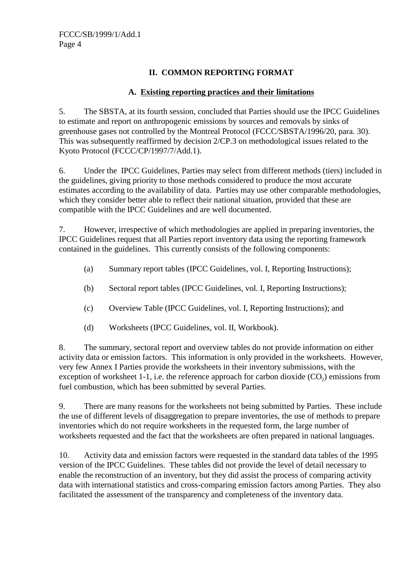# **II. COMMON REPORTING FORMAT**

# **A. Existing reporting practices and their limitations**

5. The SBSTA, at its fourth session, concluded that Parties should use the IPCC Guidelines to estimate and report on anthropogenic emissions by sources and removals by sinks of greenhouse gases not controlled by the Montreal Protocol (FCCC/SBSTA/1996/20, para. 30). This was subsequently reaffirmed by decision 2/CP.3 on methodological issues related to the Kyoto Protocol (FCCC/CP/1997/7/Add.1).

6. Under the IPCC Guidelines, Parties may select from different methods (tiers) included in the guidelines, giving priority to those methods considered to produce the most accurate estimates according to the availability of data. Parties may use other comparable methodologies, which they consider better able to reflect their national situation, provided that these are compatible with the IPCC Guidelines and are well documented.

7. However, irrespective of which methodologies are applied in preparing inventories, the IPCC Guidelines request that all Parties report inventory data using the reporting framework contained in the guidelines. This currently consists of the following components:

- (a) Summary report tables (IPCC Guidelines, vol. I, Reporting Instructions);
- (b) Sectoral report tables (IPCC Guidelines, vol. I, Reporting Instructions);
- (c) Overview Table (IPCC Guidelines, vol. I, Reporting Instructions); and
- (d) Worksheets (IPCC Guidelines, vol. II, Workbook).

8. The summary, sectoral report and overview tables do not provide information on either activity data or emission factors. This information is only provided in the worksheets. However, very few Annex I Parties provide the worksheets in their inventory submissions, with the exception of worksheet 1-1, i.e. the reference approach for carbon dioxide  $(CO<sub>2</sub>)$  emissions from fuel combustion, which has been submitted by several Parties.

9. There are many reasons for the worksheets not being submitted by Parties. These include the use of different levels of disaggregation to prepare inventories, the use of methods to prepare inventories which do not require worksheets in the requested form, the large number of worksheets requested and the fact that the worksheets are often prepared in national languages.

10. Activity data and emission factors were requested in the standard data tables of the 1995 version of the IPCC Guidelines. These tables did not provide the level of detail necessary to enable the reconstruction of an inventory, but they did assist the process of comparing activity data with international statistics and cross-comparing emission factors among Parties. They also facilitated the assessment of the transparency and completeness of the inventory data.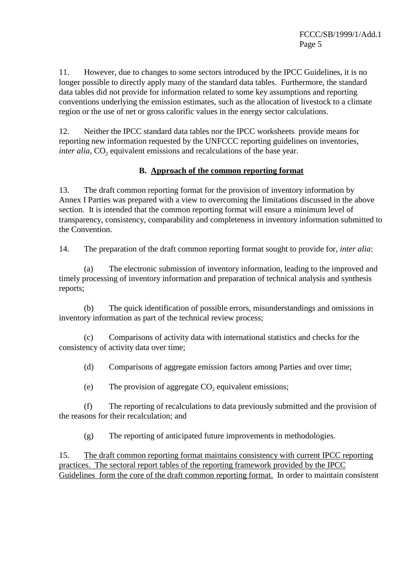11. However, due to changes to some sectors introduced by the IPCC Guidelines, it is no longer possible to directly apply many of the standard data tables. Furthermore, the standard data tables did not provide for information related to some key assumptions and reporting conventions underlying the emission estimates, such as the allocation of livestock to a climate region or the use of net or gross calorific values in the energy sector calculations.

12. Neither the IPCC standard data tables nor the IPCC worksheets provide means for reporting new information requested by the UNFCCC reporting guidelines on inventories, *inter alia*, CO<sub>2</sub> equivalent emissions and recalculations of the base year.

# **B. Approach of the common reporting format**

13. The draft common reporting format for the provision of inventory information by Annex I Parties was prepared with a view to overcoming the limitations discussed in the above section. It is intended that the common reporting format will ensure a minimum level of transparency, consistency, comparability and completeness in inventory information submitted to the Convention.

14. The preparation of the draft common reporting format sought to provide for, *inter alia*:

(a) The electronic submission of inventory information, leading to the improved and timely processing of inventory information and preparation of technical analysis and synthesis reports;

(b) The quick identification of possible errors, misunderstandings and omissions in inventory information as part of the technical review process;

(c) Comparisons of activity data with international statistics and checks for the consistency of activity data over time;

(d) Comparisons of aggregate emission factors among Parties and over time;

(e) The provision of aggregate  $CO<sub>2</sub>$  equivalent emissions;

(f) The reporting of recalculations to data previously submitted and the provision of the reasons for their recalculation; and

(g) The reporting of anticipated future improvements in methodologies.

15. The draft common reporting format maintains consistency with current IPCC reporting practices. The sectoral report tables of the reporting framework provided by the IPCC Guidelines form the core of the draft common reporting format. In order to maintain consistent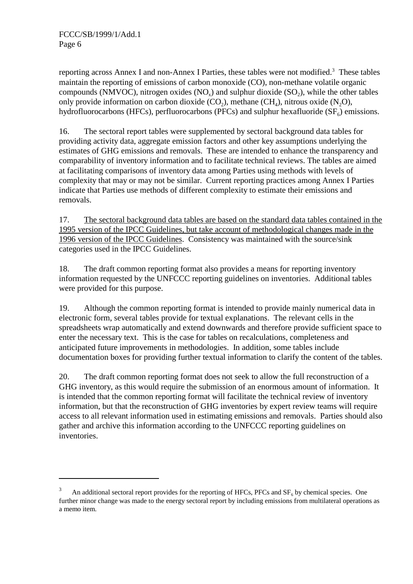reporting across Annex I and non-Annex I Parties, these tables were not modified.<sup>3</sup> These tables maintain the reporting of emissions of carbon monoxide (CO), non-methane volatile organic compounds (NMVOC), nitrogen oxides (NO<sub>x</sub>) and sulphur dioxide (SO<sub>2</sub>), while the other tables only provide information on carbon dioxide  $(CO_2)$ , methane  $(CH_4)$ , nitrous oxide  $(N_2O)$ , hydrofluorocarbons (HFCs), perfluorocarbons (PFCs) and sulphur hexafluoride  $(SF_6)$  emissions.

16. The sectoral report tables were supplemented by sectoral background data tables for providing activity data, aggregate emission factors and other key assumptions underlying the estimates of GHG emissions and removals. These are intended to enhance the transparency and comparability of inventory information and to facilitate technical reviews. The tables are aimed at facilitating comparisons of inventory data among Parties using methods with levels of complexity that may or may not be similar. Current reporting practices among Annex I Parties indicate that Parties use methods of different complexity to estimate their emissions and removals.

17. The sectoral background data tables are based on the standard data tables contained in the 1995 version of the IPCC Guidelines, but take account of methodological changes made in the 1996 version of the IPCC Guidelines. Consistency was maintained with the source/sink categories used in the IPCC Guidelines.

18. The draft common reporting format also provides a means for reporting inventory information requested by the UNFCCC reporting guidelines on inventories. Additional tables were provided for this purpose.

19. Although the common reporting format is intended to provide mainly numerical data in electronic form, several tables provide for textual explanations. The relevant cells in the spreadsheets wrap automatically and extend downwards and therefore provide sufficient space to enter the necessary text. This is the case for tables on recalculations, completeness and anticipated future improvements in methodologies. In addition, some tables include documentation boxes for providing further textual information to clarify the content of the tables.

20. The draft common reporting format does not seek to allow the full reconstruction of a GHG inventory, as this would require the submission of an enormous amount of information. It is intended that the common reporting format will facilitate the technical review of inventory information, but that the reconstruction of GHG inventories by expert review teams will require access to all relevant information used in estimating emissions and removals. Parties should also gather and archive this information according to the UNFCCC reporting guidelines on inventories.

<sup>3</sup> An additional sectoral report provides for the reporting of HFCs, PFCs and  $SF<sub>c</sub>$  by chemical species. One further minor change was made to the energy sectoral report by including emissions from multilateral operations as a memo item.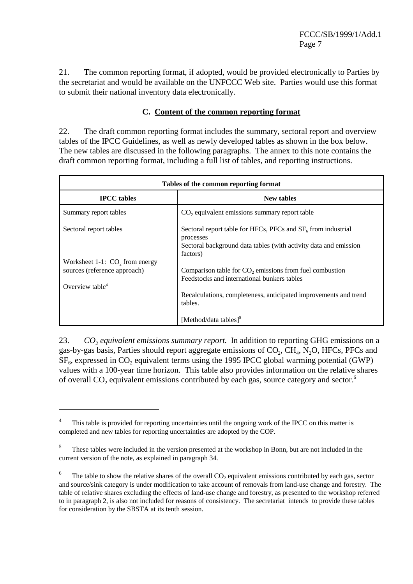FCCC/SB/1999/1/Add.1 Page 7

21. The common reporting format, if adopted, would be provided electronically to Parties by the secretariat and would be available on the UNFCCC Web site. Parties would use this format to submit their national inventory data electronically.

# **C. Content of the common reporting format**

22. The draft common reporting format includes the summary, sectoral report and overview tables of the IPCC Guidelines, as well as newly developed tables as shown in the box below. The new tables are discussed in the following paragraphs. The annex to this note contains the draft common reporting format, including a full list of tables, and reporting instructions.

| Tables of the common reporting format                                                           |                                                                                                                                                                                                   |  |  |
|-------------------------------------------------------------------------------------------------|---------------------------------------------------------------------------------------------------------------------------------------------------------------------------------------------------|--|--|
| <b>IPCC</b> tables                                                                              | <b>New tables</b>                                                                                                                                                                                 |  |  |
| Summary report tables                                                                           | CO <sub>2</sub> equivalent emissions summary report table                                                                                                                                         |  |  |
| Sectoral report tables                                                                          | Sectoral report table for HFCs, PFCs and $SF6$ from industrial<br>processes<br>Sectoral background data tables (with activity data and emission<br>factors)                                       |  |  |
| Worksheet 1-1: $CO2$ from energy<br>sources (reference approach)<br>Overview table <sup>4</sup> | Comparison table for CO <sub>2</sub> emissions from fuel combustion<br>Feedstocks and international bunkers tables<br>Recalculations, completeness, anticipated improvements and trend<br>tables. |  |  |
|                                                                                                 | [Method/data tables] $5$                                                                                                                                                                          |  |  |

23. *CO<sub>2</sub> equivalent emissions summary report.* In addition to reporting GHG emissions on a gas-by-gas basis, Parties should report aggregate emissions of  $CO<sub>2</sub>$ ,  $CH<sub>4</sub>$ , N<sub>2</sub>O, HFCs, PFCs and  $SF<sub>6</sub>$ , expressed in CO<sub>2</sub> equivalent terms using the 1995 IPCC global warming potential (GWP) values with a 100-year time horizon. This table also provides information on the relative shares of overall  $CO<sub>2</sub>$  equivalent emissions contributed by each gas, source category and sector.<sup>6</sup>

<sup>4</sup> This table is provided for reporting uncertainties until the ongoing work of the IPCC on this matter is completed and new tables for reporting uncertainties are adopted by the COP.

<sup>5</sup> These tables were included in the version presented at the workshop in Bonn, but are not included in the current version of the note, as explained in paragraph 34.

<sup>6</sup> The table to show the relative shares of the overall  $CO<sub>2</sub>$  equivalent emissions contributed by each gas, sector and source/sink category is under modification to take account of removals from land-use change and forestry. The table of relative shares excluding the effects of land-use change and forestry, as presented to the workshop referred to in paragraph 2, is also not included for reasons of consistency. The secretariat intends to provide these tables for consideration by the SBSTA at its tenth session.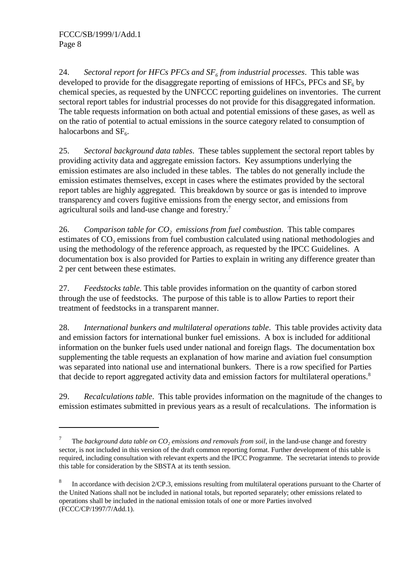24. *Sectoral report for HFCs PFCs and*  $SF<sub>6</sub>$  *from industrial processes. This table was* developed to provide for the disaggregate reporting of emissions of HFCs, PFCs and  $SF<sub>6</sub>$  by chemical species, as requested by the UNFCCC reporting guidelines on inventories. The current sectoral report tables for industrial processes do not provide for this disaggregated information. The table requests information on both actual and potential emissions of these gases, as well as on the ratio of potential to actual emissions in the source category related to consumption of halocarbons and  $SF<sub>6</sub>$ .

25. *Sectoral background data tables*. These tables supplement the sectoral report tables by providing activity data and aggregate emission factors. Key assumptions underlying the emission estimates are also included in these tables. The tables do not generally include the emission estimates themselves, except in cases where the estimates provided by the sectoral report tables are highly aggregated. This breakdown by source or gas is intended to improve transparency and covers fugitive emissions from the energy sector, and emissions from agricultural soils and land-use change and forestry.<sup>7</sup>

26. *Comparison table for*  $CO<sub>2</sub>$  *emissions from fuel combustion.* This table compares estimates of CO<sub>2</sub> emissions from fuel combustion calculated using national methodologies and using the methodology of the reference approach, as requested by the IPCC Guidelines. A documentation box is also provided for Parties to explain in writing any difference greater than 2 per cent between these estimates.

27. *Feedstocks table.* This table provides information on the quantity of carbon stored through the use of feedstocks. The purpose of this table is to allow Parties to report their treatment of feedstocks in a transparent manner.

28. *International bunkers and multilateral operations table*. This table provides activity data and emission factors for international bunker fuel emissions. A box is included for additional information on the bunker fuels used under national and foreign flags. The documentation box supplementing the table requests an explanation of how marine and aviation fuel consumption was separated into national use and international bunkers. There is a row specified for Parties that decide to report aggregated activity data and emission factors for multilateral operations.<sup>8</sup>

29. *Recalculations table*. This table provides information on the magnitude of the changes to emission estimates submitted in previous years as a result of recalculations. The information is

<sup>7</sup> The background data table on CO<sub>2</sub> emissions and removals from soil, in the land-use change and forestry sector, is not included in this version of the draft common reporting format. Further development of this table is required, including consultation with relevant experts and the IPCC Programme. The secretariat intends to provide this table for consideration by the SBSTA at its tenth session.

<sup>8</sup> In accordance with decision 2/CP.3, emissions resulting from multilateral operations pursuant to the Charter of the United Nations shall not be included in national totals, but reported separately; other emissions related to operations shall be included in the national emission totals of one or more Parties involved (FCCC/CP/1997/7/Add.1).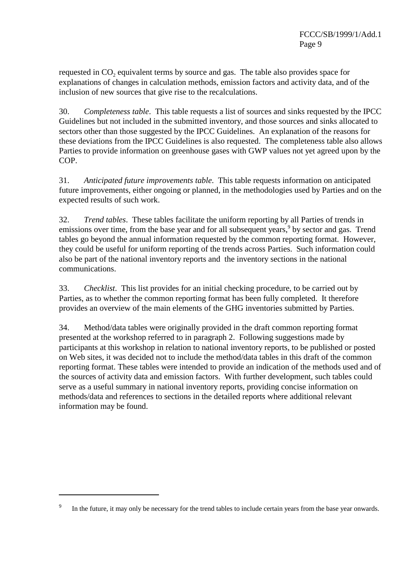requested in  $CO<sub>2</sub>$  equivalent terms by source and gas. The table also provides space for explanations of changes in calculation methods, emission factors and activity data, and of the inclusion of new sources that give rise to the recalculations.

30. *Completeness table*. This table requests a list of sources and sinks requested by the IPCC Guidelines but not included in the submitted inventory, and those sources and sinks allocated to sectors other than those suggested by the IPCC Guidelines. An explanation of the reasons for these deviations from the IPCC Guidelines is also requested. The completeness table also allows Parties to provide information on greenhouse gases with GWP values not yet agreed upon by the COP.

31. *Anticipated future improvements table*. This table requests information on anticipated future improvements, either ongoing or planned, in the methodologies used by Parties and on the expected results of such work.

32. *Trend tables*. These tables facilitate the uniform reporting by all Parties of trends in emissions over time, from the base year and for all subsequent years,<sup>9</sup> by sector and gas. Trend tables go beyond the annual information requested by the common reporting format. However, they could be useful for uniform reporting of the trends across Parties. Such information could also be part of the national inventory reports and the inventory sections in the national communications.

33. *Checklist*. This list provides for an initial checking procedure, to be carried out by Parties, as to whether the common reporting format has been fully completed. It therefore provides an overview of the main elements of the GHG inventories submitted by Parties.

34. Method/data tables were originally provided in the draft common reporting format presented at the workshop referred to in paragraph 2. Following suggestions made by participants at this workshop in relation to national inventory reports, to be published or posted on Web sites, it was decided not to include the method/data tables in this draft of the common reporting format. These tables were intended to provide an indication of the methods used and of the sources of activity data and emission factors. With further development, such tables could serve as a useful summary in national inventory reports, providing concise information on methods/data and references to sections in the detailed reports where additional relevant information may be found.

<sup>9</sup> In the future, it may only be necessary for the trend tables to include certain years from the base year onwards.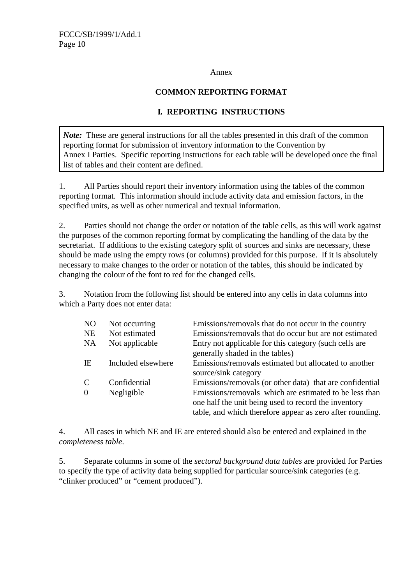# Annex

# **COMMON REPORTING FORMAT**

# **I***.* **REPORTING INSTRUCTIONS**

*Note*: These are general instructions for all the tables presented in this draft of the common reporting format for submission of inventory information to the Convention by Annex I Parties. Specific reporting instructions for each table will be developed once the final list of tables and their content are defined.

1. All Parties should report their inventory information using the tables of the common reporting format. This information should include activity data and emission factors, in the specified units, as well as other numerical and textual information.

2. Parties should not change the order or notation of the table cells, as this will work against the purposes of the common reporting format by complicating the handling of the data by the secretariat. If additions to the existing category split of sources and sinks are necessary, these should be made using the empty rows (or columns) provided for this purpose. If it is absolutely necessary to make changes to the order or notation of the tables, this should be indicated by changing the colour of the font to red for the changed cells.

3. Notation from the following list should be entered into any cells in data columns into which a Party does not enter data:

| Not occurring | Emissions/removals that do not occur in the country                                 |
|---------------|-------------------------------------------------------------------------------------|
|               | Emissions/removals that do occur but are not estimated                              |
|               | Entry not applicable for this category (such cells are                              |
|               | generally shaded in the tables)                                                     |
|               | Emissions/removals estimated but allocated to another                               |
|               | source/sink category                                                                |
|               | Emissions/removals (or other data) that are confidential                            |
|               | Emissions/removals which are estimated to be less than                              |
|               | one half the unit being used to record the inventory                                |
|               | table, and which therefore appear as zero after rounding.                           |
|               | Not estimated<br>Not applicable<br>Included elsewhere<br>Confidential<br>Negligible |

4. All cases in which NE and IE are entered should also be entered and explained in the *completeness table*.

5. Separate columns in some of the *sectoral background data tables* are provided for Parties to specify the type of activity data being supplied for particular source/sink categories (e.g. "clinker produced" or "cement produced").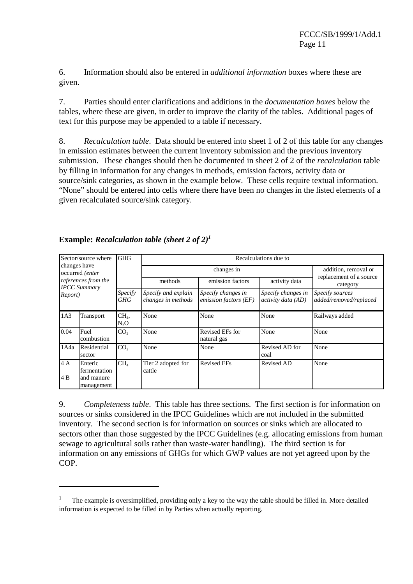6. Information should also be entered in *additional information* boxes where these are given.

7. Parties should enter clarifications and additions in the *documentation boxes* below the tables, where these are given, in order to improve the clarity of the tables. Additional pages of text for this purpose may be appended to a table if necessary.

8. *Recalculation table*. Data should be entered into sheet 1 of 2 of this table for any changes in emission estimates between the current inventory submission and the previous inventory submission. These changes should then be documented in sheet 2 of 2 of the *recalculation* table by filling in information for any changes in methods, emission factors, activity data or source/sink categories, as shown in the example below. These cells require textual information. "None" should be entered into cells where there have been no changes in the listed elements of a given recalculated source/sink category.

| Sector/source where                        |                                                     | <b>GHG</b>                | Recalculations due to                     |                                             |                                          |                                           |  |
|--------------------------------------------|-----------------------------------------------------|---------------------------|-------------------------------------------|---------------------------------------------|------------------------------------------|-------------------------------------------|--|
|                                            | changes have<br>occurred (enter                     |                           | changes in                                |                                             |                                          | addition, removal or                      |  |
| references from the<br><b>IPCC</b> Summary |                                                     |                           | methods                                   | emission factors                            | activity data                            | replacement of a source<br>category       |  |
| Report)                                    |                                                     | Specify<br>GHG            | Specify and explain<br>changes in methods | Specify changes in<br>emission factors (EF) | Specify changes in<br>activity data (AD) | Specify sources<br>added/removed/replaced |  |
| 1A3                                        | Transport                                           | CH <sub>4</sub><br>$N_2O$ | None                                      | None                                        | None                                     | Railways added                            |  |
| 0.04                                       | Fuel<br>combustion                                  | CO <sub>2</sub>           | None                                      | Revised EFs for<br>natural gas              | None                                     | None                                      |  |
| 1A4a                                       | Residential<br>sector                               | CO <sub>2</sub>           | None                                      | None                                        | Revised AD for<br>coal                   | None                                      |  |
| 4A<br>4B                                   | Enteric<br>fermentation<br>and manure<br>management | CH <sub>4</sub>           | Tier 2 adopted for<br>cattle              | <b>Revised EFs</b>                          | <b>Revised AD</b>                        | None                                      |  |

# **Example:** *Recalculation table (sheet 2 of 2)1*

9. *Completeness table*. This table has three sections. The first section is for information on sources or sinks considered in the IPCC Guidelines which are not included in the submitted inventory. The second section is for information on sources or sinks which are allocated to sectors other than those suggested by the IPCC Guidelines (e.g. allocating emissions from human sewage to agricultural soils rather than waste-water handling). The third section is for information on any emissions of GHGs for which GWP values are not yet agreed upon by the COP.

<sup>1</sup> The example is oversimplified, providing only a key to the way the table should be filled in. More detailed information is expected to be filled in by Parties when actually reporting.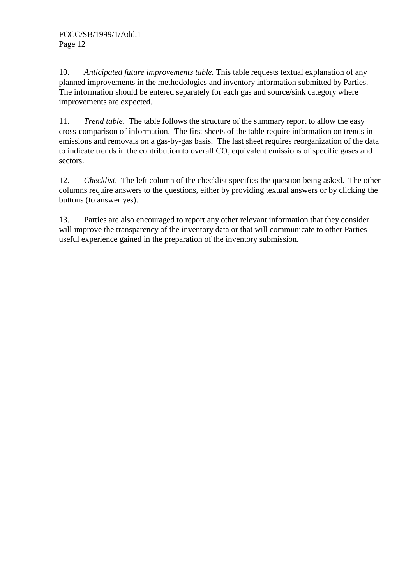10. *Anticipated future improvements table.* This table requests textual explanation of any planned improvements in the methodologies and inventory information submitted by Parties. The information should be entered separately for each gas and source/sink category where improvements are expected.

11. *Trend table*. The table follows the structure of the summary report to allow the easy cross-comparison of information. The first sheets of the table require information on trends in emissions and removals on a gas-by-gas basis. The last sheet requires reorganization of the data to indicate trends in the contribution to overall  $CO<sub>2</sub>$  equivalent emissions of specific gases and sectors.

12. *Checklist*. The left column of the checklist specifies the question being asked. The other columns require answers to the questions, either by providing textual answers or by clicking the buttons (to answer yes).

13. Parties are also encouraged to report any other relevant information that they consider will improve the transparency of the inventory data or that will communicate to other Parties useful experience gained in the preparation of the inventory submission.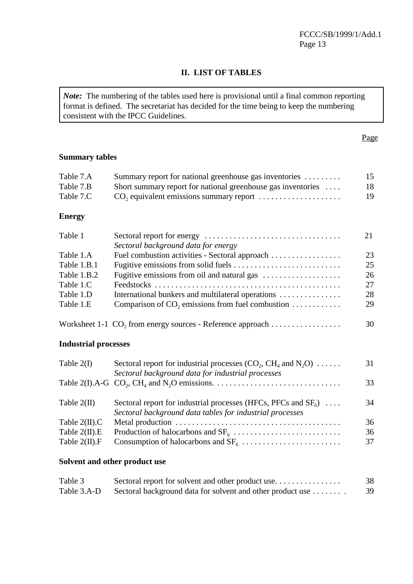# **II. LIST OF TABLES**

*Note:* The numbering of the tables used here is provisional until a final common reporting format is defined. The secretariat has decided for the time being to keep the numbering consistent with the IPCC Guidelines.

# **Summary tables**

| Table 7.A     | Summary report for national greenhouse gas inventories                 | 15 |
|---------------|------------------------------------------------------------------------|----|
| Table 7.B     | Short summary report for national greenhouse gas inventories $\dots$   | 18 |
| Table 7.C     |                                                                        | 19 |
| <b>Energy</b> |                                                                        |    |
| Table 1       | Sectoral background data for energy                                    | 21 |
| Table 1.A     | Fuel combustion activities - Sectoral approach                         | 23 |
| Table 1.B.1   |                                                                        | 25 |
| Table 1.B.2   |                                                                        | 26 |
| Table 1.C     |                                                                        | 27 |
| Table 1.D     | International bunkers and multilateral operations                      | 28 |
| Table 1.E     | Comparison of $CO_2$ , emissions from fuel combustion                  | 29 |
|               | Worksheet 1-1 CO <sub>2</sub> from energy sources - Reference approach | 30 |

# **Industrial processes**

| 33 |
|----|
| 34 |
|    |
| 36 |
| 36 |
| 37 |
|    |
|    |

# **Solvent and other product use**

| Table 3     | Sectoral report for solvent and other product use          | 38 |
|-------------|------------------------------------------------------------|----|
| Table 3.A-D | Sectoral background data for solvent and other product use | 39 |

# Page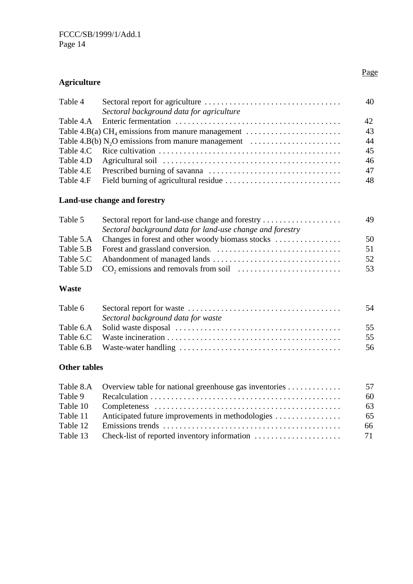# **Agriculture**

| Table 4   | Sectoral background data for agriculture                                                                 | 40 |
|-----------|----------------------------------------------------------------------------------------------------------|----|
|           |                                                                                                          | 42 |
|           | Table 4.B(a) CH <sub>4</sub> emissions from manure management $\dots\dots\dots\dots\dots\dots\dots\dots$ | 43 |
|           | Table 4.B(b) N <sub>2</sub> O emissions from manure management $\dots\dots\dots\dots\dots\dots\dots$     | 44 |
|           |                                                                                                          | 45 |
|           |                                                                                                          | 46 |
|           |                                                                                                          | 47 |
| Table 4.F |                                                                                                          | 48 |
|           |                                                                                                          |    |

# **Land-use change and forestry**

|                                                            | 49 |
|------------------------------------------------------------|----|
| Sectoral background data for land-use change and forestry  |    |
| Table 5.A Changes in forest and other woody biomass stocks | 50 |
|                                                            | 51 |
|                                                            | 52 |
|                                                            | 53 |
|                                                            |    |

# **Waste**

|                                    | -54 |
|------------------------------------|-----|
| Sectoral background data for waste |     |
|                                    | 55  |
|                                    | 55  |
|                                    | 56  |

# **Other tables**

|          | Table 8.A Overview table for national greenhouse gas inventories | 57 |
|----------|------------------------------------------------------------------|----|
| Table 9  |                                                                  | 60 |
| Table 10 |                                                                  | 63 |
| Table 11 | Anticipated future improvements in methodologies                 | 65 |
| Table 12 |                                                                  | 66 |
|          | Table 13 Check-list of reported inventory information            | 71 |
|          |                                                                  |    |

# Page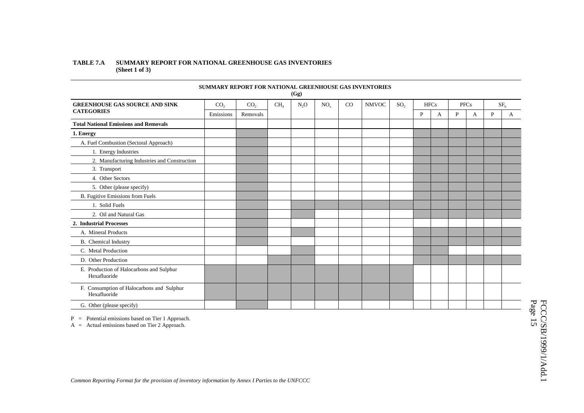### **TABLE 7.A SUMMARY REPORT FOR NATIONAL GREENHOUSE GAS INVENTORIES (Sheet 1 of 3)**

|                                                           | <b>SUMMARY REPORT FOR NATIONAL GREENHOUSE GAS INVENTORIES</b> |                 |                 | (Gg)   |          |    |              |                 |             |             |   |             |              |                 |
|-----------------------------------------------------------|---------------------------------------------------------------|-----------------|-----------------|--------|----------|----|--------------|-----------------|-------------|-------------|---|-------------|--------------|-----------------|
| <b>GREENHOUSE GAS SOURCE AND SINK</b>                     | CO <sub>2</sub>                                               | CO <sub>2</sub> | CH <sub>4</sub> | $N_2O$ | $NO_{x}$ | CO | <b>NMVOC</b> | SO <sub>2</sub> |             | <b>HFCs</b> |   | <b>PFCs</b> |              | SF <sub>6</sub> |
| <b>CATEGORIES</b>                                         | Emissions                                                     | Removals        |                 |        |          |    |              |                 | $\mathbf P$ | A           | P | A           | $\mathbf{P}$ | A               |
| <b>Total National Emissions and Removals</b>              |                                                               |                 |                 |        |          |    |              |                 |             |             |   |             |              |                 |
| 1. Energy                                                 |                                                               |                 |                 |        |          |    |              |                 |             |             |   |             |              |                 |
| A. Fuel Combustion (Sectoral Approach)                    |                                                               |                 |                 |        |          |    |              |                 |             |             |   |             |              |                 |
| 1. Energy Industries                                      |                                                               |                 |                 |        |          |    |              |                 |             |             |   |             |              |                 |
| 2. Manufacturing Industries and Construction              |                                                               |                 |                 |        |          |    |              |                 |             |             |   |             |              |                 |
| 3. Transport                                              |                                                               |                 |                 |        |          |    |              |                 |             |             |   |             |              |                 |
| 4. Other Sectors                                          |                                                               |                 |                 |        |          |    |              |                 |             |             |   |             |              |                 |
| 5. Other (please specify)                                 |                                                               |                 |                 |        |          |    |              |                 |             |             |   |             |              |                 |
| B. Fugitive Emissions from Fuels                          |                                                               |                 |                 |        |          |    |              |                 |             |             |   |             |              |                 |
| 1. Solid Fuels                                            |                                                               |                 |                 |        |          |    |              |                 |             |             |   |             |              |                 |
| 2. Oil and Natural Gas                                    |                                                               |                 |                 |        |          |    |              |                 |             |             |   |             |              |                 |
| 2. Industrial Processes                                   |                                                               |                 |                 |        |          |    |              |                 |             |             |   |             |              |                 |
| A. Mineral Products                                       |                                                               |                 |                 |        |          |    |              |                 |             |             |   |             |              |                 |
| B. Chemical Industry                                      |                                                               |                 |                 |        |          |    |              |                 |             |             |   |             |              |                 |
| C. Metal Production                                       |                                                               |                 |                 |        |          |    |              |                 |             |             |   |             |              |                 |
| D. Other Production                                       |                                                               |                 |                 |        |          |    |              |                 |             |             |   |             |              |                 |
| E. Production of Halocarbons and Sulphur<br>Hexafluoride  |                                                               |                 |                 |        |          |    |              |                 |             |             |   |             |              |                 |
| F. Consumption of Halocarbons and Sulphur<br>Hexafluoride |                                                               |                 |                 |        |          |    |              |                 |             |             |   |             |              |                 |
| G. Other (please specify)                                 |                                                               |                 |                 |        |          |    |              |                 |             |             |   |             |              |                 |

P <sup>=</sup> Potential emissions based on Tier 1 Approach.

 $A =$  Actual emissions based on Tier 2 Approach.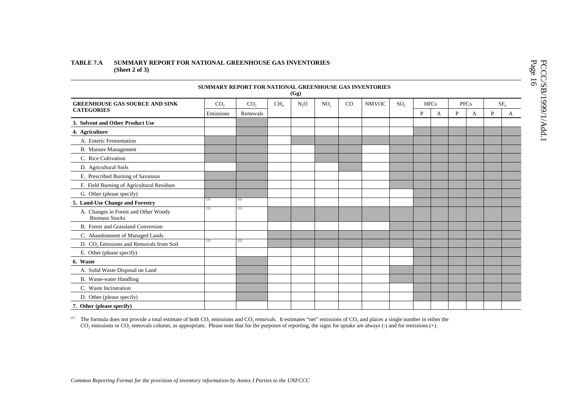### **TABLE 7.A SUMMARY REPORT FOR NATIONAL GREENHOUSE GAS INVENTORIES (Sheet 2 of 3)**

|                                                               | SUMMARY REPORT FOR NATIONAL GREENHOUSE GAS INVENTORIES |                 |                 | (Gg)   |                 |    |              |                 |             |   |   |             |   |                 |
|---------------------------------------------------------------|--------------------------------------------------------|-----------------|-----------------|--------|-----------------|----|--------------|-----------------|-------------|---|---|-------------|---|-----------------|
| <b>GREENHOUSE GAS SOURCE AND SINK</b>                         | CO <sub>2</sub>                                        | CO <sub>2</sub> | CH <sub>4</sub> | $N_2O$ | NO <sub>x</sub> | CO | <b>NMVOC</b> | SO <sub>2</sub> | <b>HFCs</b> |   |   | <b>PFCs</b> |   | SF <sub>6</sub> |
| <b>CATEGORIES</b>                                             | Emissions                                              | Removals        |                 |        |                 |    |              |                 | P           | А | P | A           | P | A               |
| 3. Solvent and Other Product Use                              |                                                        |                 |                 |        |                 |    |              |                 |             |   |   |             |   |                 |
| 4. Agriculture                                                |                                                        |                 |                 |        |                 |    |              |                 |             |   |   |             |   |                 |
| A. Enteric Fermentation                                       |                                                        |                 |                 |        |                 |    |              |                 |             |   |   |             |   |                 |
| <b>B.</b> Manure Management                                   |                                                        |                 |                 |        |                 |    |              |                 |             |   |   |             |   |                 |
| C. Rice Cultivation                                           |                                                        |                 |                 |        |                 |    |              |                 |             |   |   |             |   |                 |
| D. Agricultural Soils                                         |                                                        |                 |                 |        |                 |    |              |                 |             |   |   |             |   |                 |
| E. Prescribed Burning of Savannas                             |                                                        |                 |                 |        |                 |    |              |                 |             |   |   |             |   |                 |
| F. Field Burning of Agricultural Residues                     |                                                        |                 |                 |        |                 |    |              |                 |             |   |   |             |   |                 |
| G. Other (please specify)                                     |                                                        |                 |                 |        |                 |    |              |                 |             |   |   |             |   |                 |
| 5. Land-Use Change and Forestry                               | (1)                                                    | (1)             |                 |        |                 |    |              |                 |             |   |   |             |   |                 |
| A. Changes in Forest and Other Woody<br><b>Biomass Stocks</b> | (1)                                                    | (1)             |                 |        |                 |    |              |                 |             |   |   |             |   |                 |
| B. Forest and Grassland Conversion                            |                                                        |                 |                 |        |                 |    |              |                 |             |   |   |             |   |                 |
| C. Abandonment of Managed Lands                               |                                                        |                 |                 |        |                 |    |              |                 |             |   |   |             |   |                 |
| D. CO <sub>2</sub> Emissions and Removals from Soil           | (1)                                                    | (1)             |                 |        |                 |    |              |                 |             |   |   |             |   |                 |
| E. Other (please specify)                                     |                                                        |                 |                 |        |                 |    |              |                 |             |   |   |             |   |                 |
| 6. Waste                                                      |                                                        |                 |                 |        |                 |    |              |                 |             |   |   |             |   |                 |
| A. Solid Waste Disposal on Land                               |                                                        |                 |                 |        |                 |    |              |                 |             |   |   |             |   |                 |
| B. Waste-water Handling                                       |                                                        |                 |                 |        |                 |    |              |                 |             |   |   |             |   |                 |
| C. Waste Incineration                                         |                                                        |                 |                 |        |                 |    |              |                 |             |   |   |             |   |                 |
| D. Other (please specify)                                     |                                                        |                 |                 |        |                 |    |              |                 |             |   |   |             |   |                 |
| 7. Other (please specify)                                     |                                                        |                 |                 |        |                 |    |              |                 |             |   |   |             |   |                 |

<sup>(1)</sup> The formula does not provide a total estimate of both CO<sub>2</sub> emissions and CO<sub>2</sub> removals. It estimates "net" emissions of CO<sub>2</sub> and places a single number in either the  $CO_2$  emissions or  $CO_2$  removals column, as appropriate. Please note that for the purposes of reporting, the signs for uptake are always (-) and for emissions (+).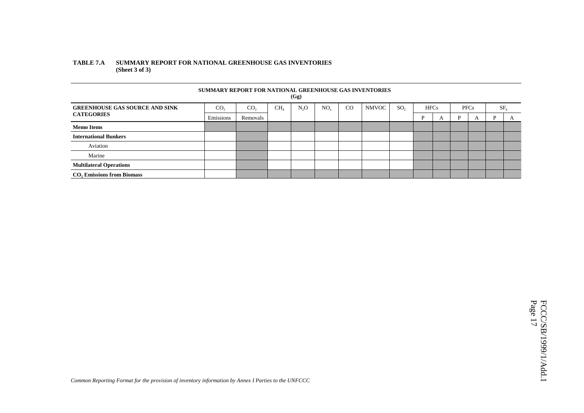### **TABLE 7.A SUMMARY REPORT FOR NATIONAL GREENHOUSE GAS INVENTORIES (Sheet 3 of 3)**

|                                       | SUMMARY REPORT FOR NATIONAL GREENHOUSE GAS INVENTORIES |                 |                 | (Gg)             |     |    |              |                 |             |   |             |   |                 |              |
|---------------------------------------|--------------------------------------------------------|-----------------|-----------------|------------------|-----|----|--------------|-----------------|-------------|---|-------------|---|-----------------|--------------|
| <b>GREENHOUSE GAS SOURCE AND SINK</b> | CO <sub>2</sub>                                        | CO <sub>2</sub> | CH <sub>4</sub> | N <sub>2</sub> O | NO. | CO | <b>NMVOC</b> | SO <sub>2</sub> | <b>HFCs</b> |   | <b>PFCs</b> |   | SF <sub>6</sub> |              |
| <b>CATEGORIES</b>                     | Emissions                                              | Removals        |                 |                  |     |    |              |                 | P           | A | P           | A | P               | $\mathbf{A}$ |
| <b>Memo Items</b>                     |                                                        |                 |                 |                  |     |    |              |                 |             |   |             |   |                 |              |
| <b>International Bunkers</b>          |                                                        |                 |                 |                  |     |    |              |                 |             |   |             |   |                 |              |
| Aviation                              |                                                        |                 |                 |                  |     |    |              |                 |             |   |             |   |                 |              |
| Marine                                |                                                        |                 |                 |                  |     |    |              |                 |             |   |             |   |                 |              |
| <b>Multilateral Operations</b>        |                                                        |                 |                 |                  |     |    |              |                 |             |   |             |   |                 |              |
| $CO2$ Emissions from Biomass          |                                                        |                 |                 |                  |     |    |              |                 |             |   |             |   |                 |              |

FCCC/SB/1999/1/Add.1<br>Page 17 FCCC/SB/1999/1/Add.1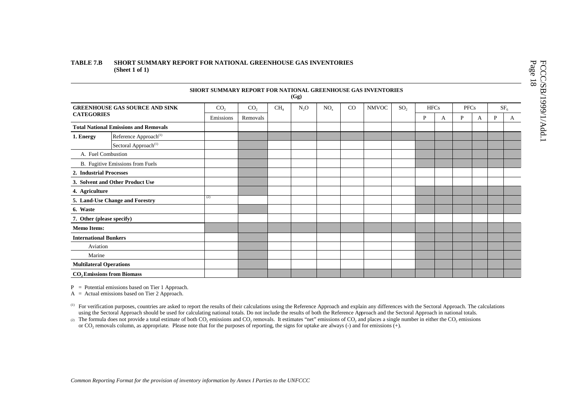### **TABLE 7.B SHORT SUMMARY REPORT FOR NATIONAL GREENHOUSE GAS INVENTORIES (Sheet 1 of 1)**

|                                  |                                              | SHORT SUMMARY REPORT FOR NATIONAL GREENHOUSE GAS INVENTORIES |                 |                 | (Gg)   |          |             |              |                 |             |   |             |   |   |                 |
|----------------------------------|----------------------------------------------|--------------------------------------------------------------|-----------------|-----------------|--------|----------|-------------|--------------|-----------------|-------------|---|-------------|---|---|-----------------|
|                                  | <b>GREENHOUSE GAS SOURCE AND SINK</b>        | CO <sub>2</sub>                                              | CO <sub>2</sub> | CH <sub>4</sub> | $N_2O$ | $NO_{x}$ | $_{\rm CO}$ | <b>NMVOC</b> | SO <sub>2</sub> | <b>HFCs</b> |   | <b>PFCs</b> |   |   | SF <sub>6</sub> |
| <b>CATEGORIES</b>                |                                              | Emissions                                                    | Removals        |                 |        |          |             |              |                 | P           | A | P           | A | P | A               |
|                                  | <b>Total National Emissions and Removals</b> |                                                              |                 |                 |        |          |             |              |                 |             |   |             |   |   |                 |
| 1. Energy                        | Reference Approach <sup>(1)</sup>            |                                                              |                 |                 |        |          |             |              |                 |             |   |             |   |   |                 |
|                                  | Sectoral Approach <sup>(1)</sup>             |                                                              |                 |                 |        |          |             |              |                 |             |   |             |   |   |                 |
| A. Fuel Combustion               |                                              |                                                              |                 |                 |        |          |             |              |                 |             |   |             |   |   |                 |
| B. Fugitive Emissions from Fuels |                                              |                                                              |                 |                 |        |          |             |              |                 |             |   |             |   |   |                 |
| 2. Industrial Processes          |                                              |                                                              |                 |                 |        |          |             |              |                 |             |   |             |   |   |                 |
| 3. Solvent and Other Product Use |                                              |                                                              |                 |                 |        |          |             |              |                 |             |   |             |   |   |                 |
| 4. Agriculture                   |                                              |                                                              |                 |                 |        |          |             |              |                 |             |   |             |   |   |                 |
|                                  | 5. Land-Use Change and Forestry              | (2)                                                          |                 |                 |        |          |             |              |                 |             |   |             |   |   |                 |
| 6. Waste                         |                                              |                                                              |                 |                 |        |          |             |              |                 |             |   |             |   |   |                 |
| 7. Other (please specify)        |                                              |                                                              |                 |                 |        |          |             |              |                 |             |   |             |   |   |                 |
| <b>Memo Items:</b>               |                                              |                                                              |                 |                 |        |          |             |              |                 |             |   |             |   |   |                 |
| <b>International Bunkers</b>     |                                              |                                                              |                 |                 |        |          |             |              |                 |             |   |             |   |   |                 |
| Aviation                         |                                              |                                                              |                 |                 |        |          |             |              |                 |             |   |             |   |   |                 |
| Marine                           |                                              |                                                              |                 |                 |        |          |             |              |                 |             |   |             |   |   |                 |
| <b>Multilateral Operations</b>   |                                              |                                                              |                 |                 |        |          |             |              |                 |             |   |             |   |   |                 |
|                                  | <b>CO, Emissions from Biomass</b>            |                                                              |                 |                 |        |          |             |              |                 |             |   |             |   |   |                 |

P <sup>=</sup> Potential emissions based on Tier 1 Approach.

 $A =$  Actual emissions based on Tier 2 Approach.

<sup>(1)</sup> For verification purposes, countries are asked to report the results of their calculations using the Reference Approach and explain any differences with the Sectoral Approach. The calculations using the Sectoral Approach should be used for calculating national totals. Do not include the results of both the Reference Approach and the Sectoral Approach in national totals.

(2) The formula does not provide a total estimate of both CO<sub>2</sub> emissions and CO<sub>2</sub> removals. It estimates "net" emissions of CO<sub>2</sub> and places a single number in either the CO<sub>2</sub> emissions or CO2 removals column, as appropriate. Please note that for the purposes of reporting, the signs for uptake are always (-) and for emissions (+).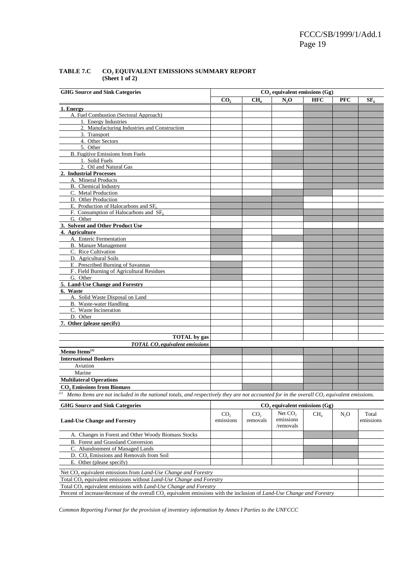FCCC/SB/1999/1/Add.1 Page 19

| <b>GHG Source and Sink Categories</b>                                                                                                      | $CO2$ equivalent emissions $(Gg)$ |                 |                                    |                 |                  |           |  |  |  |  |
|--------------------------------------------------------------------------------------------------------------------------------------------|-----------------------------------|-----------------|------------------------------------|-----------------|------------------|-----------|--|--|--|--|
|                                                                                                                                            | CO,                               | CH <sub>4</sub> | N,0                                | <b>HFC</b>      | <b>PFC</b>       | $SF_{c}$  |  |  |  |  |
| 1. Energy                                                                                                                                  |                                   |                 |                                    |                 |                  |           |  |  |  |  |
| A. Fuel Combustion (Sectoral Approach)                                                                                                     |                                   |                 |                                    |                 |                  |           |  |  |  |  |
| 1. Energy Industries                                                                                                                       |                                   |                 |                                    |                 |                  |           |  |  |  |  |
| 2. Manufacturing Industries and Construction                                                                                               |                                   |                 |                                    |                 |                  |           |  |  |  |  |
| 3. Transport                                                                                                                               |                                   |                 |                                    |                 |                  |           |  |  |  |  |
| 4. Other Sectors                                                                                                                           |                                   |                 |                                    |                 |                  |           |  |  |  |  |
| 5. Other                                                                                                                                   |                                   |                 |                                    |                 |                  |           |  |  |  |  |
| <b>B.</b> Fugitive Emissions from Fuels                                                                                                    |                                   |                 |                                    |                 |                  |           |  |  |  |  |
| 1. Solid Fuels                                                                                                                             |                                   |                 |                                    |                 |                  |           |  |  |  |  |
| 2. Oil and Natural Gas                                                                                                                     |                                   |                 |                                    |                 |                  |           |  |  |  |  |
| 2. Industrial Processes                                                                                                                    |                                   |                 |                                    |                 |                  |           |  |  |  |  |
| A. Mineral Products                                                                                                                        |                                   |                 |                                    |                 |                  |           |  |  |  |  |
| <b>B.</b> Chemical Industry                                                                                                                |                                   |                 |                                    |                 |                  |           |  |  |  |  |
| C. Metal Production                                                                                                                        |                                   |                 |                                    |                 |                  |           |  |  |  |  |
| D. Other Production                                                                                                                        |                                   |                 |                                    |                 |                  |           |  |  |  |  |
| E. Production of Halocarbons and $SF6$                                                                                                     |                                   |                 |                                    |                 |                  |           |  |  |  |  |
| F. Consumption of Halocarbons and SF <sub>6</sub>                                                                                          |                                   |                 |                                    |                 |                  |           |  |  |  |  |
| G. Other                                                                                                                                   |                                   |                 |                                    |                 |                  |           |  |  |  |  |
| 3. Solvent and Other Product Use                                                                                                           |                                   |                 |                                    |                 |                  |           |  |  |  |  |
| 4. Agriculture                                                                                                                             |                                   |                 |                                    |                 |                  |           |  |  |  |  |
| A. Enteric Fermentation                                                                                                                    |                                   |                 |                                    |                 |                  |           |  |  |  |  |
| <b>B.</b> Manure Management                                                                                                                |                                   |                 |                                    |                 |                  |           |  |  |  |  |
| C. Rice Cultivation                                                                                                                        |                                   |                 |                                    |                 |                  |           |  |  |  |  |
| D. Agricultural Soils                                                                                                                      |                                   |                 |                                    |                 |                  |           |  |  |  |  |
| E. Prescribed Burning of Savannas                                                                                                          |                                   |                 |                                    |                 |                  |           |  |  |  |  |
| F. Field Burning of Agricultural Residues                                                                                                  |                                   |                 |                                    |                 |                  |           |  |  |  |  |
| G. Other                                                                                                                                   |                                   |                 |                                    |                 |                  |           |  |  |  |  |
| 5. Land-Use Change and Forestry                                                                                                            |                                   |                 |                                    |                 |                  |           |  |  |  |  |
| 6. Waste                                                                                                                                   |                                   |                 |                                    |                 |                  |           |  |  |  |  |
| A. Solid Waste Disposal on Land                                                                                                            |                                   |                 |                                    |                 |                  |           |  |  |  |  |
| B. Waste-water Handling                                                                                                                    |                                   |                 |                                    |                 |                  |           |  |  |  |  |
| C. Waste Incineration                                                                                                                      |                                   |                 |                                    |                 |                  |           |  |  |  |  |
| D. Other                                                                                                                                   |                                   |                 |                                    |                 |                  |           |  |  |  |  |
| 7. Other (please specify)                                                                                                                  |                                   |                 |                                    |                 |                  |           |  |  |  |  |
|                                                                                                                                            |                                   |                 |                                    |                 |                  |           |  |  |  |  |
|                                                                                                                                            |                                   |                 |                                    |                 |                  |           |  |  |  |  |
| <b>TOTAL</b> by gas                                                                                                                        |                                   |                 |                                    |                 |                  |           |  |  |  |  |
| <b>TOTAL CO</b> <sub>2</sub> equivalent emissions                                                                                          |                                   |                 |                                    |                 |                  |           |  |  |  |  |
| Memo Items <sup>(1)</sup>                                                                                                                  |                                   |                 |                                    |                 |                  |           |  |  |  |  |
| <b>International Bunkers</b>                                                                                                               |                                   |                 |                                    |                 |                  |           |  |  |  |  |
| Aviation                                                                                                                                   |                                   |                 |                                    |                 |                  |           |  |  |  |  |
| Marine                                                                                                                                     |                                   |                 |                                    |                 |                  |           |  |  |  |  |
| <b>Multilateral Operations</b>                                                                                                             |                                   |                 |                                    |                 |                  |           |  |  |  |  |
| <b>CO, Emissions from Biomass</b>                                                                                                          |                                   |                 |                                    |                 |                  |           |  |  |  |  |
| (1)                                                                                                                                        |                                   |                 |                                    |                 |                  |           |  |  |  |  |
| Memo Items are not included in the national totals, and respectively they are not accounted for in the overall $CO2$ equivalent emissions. |                                   |                 |                                    |                 |                  |           |  |  |  |  |
| <b>GHG Source and Sink Categories</b>                                                                                                      |                                   |                 | $CO$ , equivalent emissions $(Gg)$ |                 |                  |           |  |  |  |  |
|                                                                                                                                            | CO <sub>2</sub>                   | CO <sub>2</sub> | Net $CO2$                          | CH <sub>4</sub> | N <sub>2</sub> O | Total     |  |  |  |  |
| <b>Land-Use Change and Forestry</b>                                                                                                        | emissions                         | removals        | emissions                          |                 |                  | emissions |  |  |  |  |
|                                                                                                                                            |                                   |                 | /removals                          |                 |                  |           |  |  |  |  |
| A. Changes in Forest and Other Woody Biomass Stocks                                                                                        |                                   |                 |                                    |                 |                  |           |  |  |  |  |
| B. Forest and Grassland Conversion                                                                                                         |                                   |                 |                                    |                 |                  |           |  |  |  |  |
| C. Abandonment of Managed Lands                                                                                                            |                                   |                 |                                    |                 |                  |           |  |  |  |  |
| D. CO <sub>2</sub> Emissions and Removals from Soil                                                                                        |                                   |                 |                                    |                 |                  |           |  |  |  |  |
| E. Other (please specify)                                                                                                                  |                                   |                 |                                    |                 |                  |           |  |  |  |  |
|                                                                                                                                            |                                   |                 |                                    |                 |                  |           |  |  |  |  |

### TABLE 7.C CO<sub>2</sub> EQUIVALENT EMISSIONS SUMMARY REPORT **(Sheet 1 of 2)**

*Common Reporting Format for the provision of inventory information by Annex I Parties to the UNFCCC*

Percent of increase/decrease of the overall CO<sub>2</sub> equivalent emissions with the inclusion of *Land-Use Change and Forestry* 

Net CO<sub>2</sub> equivalent emissions from *Land-Use Change and Forestry* Total CO<sub>2</sub> equivalent emissions without *Land-Use Change and Forestry* Total CO<sub>2</sub> equivalent emissions with Land-Use Change and Forestry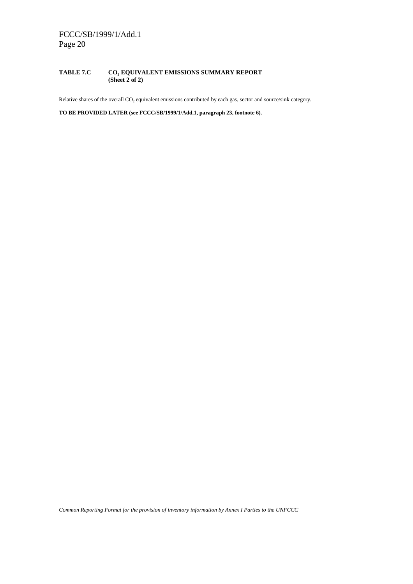### **TABLE 7.C CO2 EQUIVALENT EMISSIONS SUMMARY REPORT (Sheet 2 of 2)**

Relative shares of the overall CO<sub>2</sub> equivalent emissions contributed by each gas, sector and source/sink category.

**TO BE PROVIDED LATER (see FCCC/SB/1999/1/Add.1, paragraph 23, footnote 6).**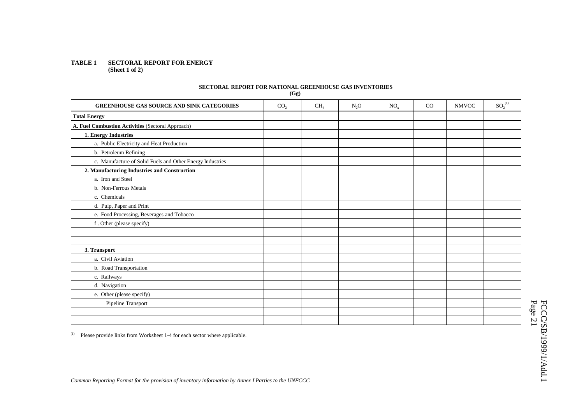### **TABLE 1 SECTORAL REPORT FOR ENERGY (Sheet 1 of 2)**

| <b>SECTORAL REPORT FOR NATIONAL GREENHOUSE GAS INVENTORIES</b> | (Gg)            |                 |                  |                 |    |              |                       |
|----------------------------------------------------------------|-----------------|-----------------|------------------|-----------------|----|--------------|-----------------------|
| <b>GREENHOUSE GAS SOURCE AND SINK CATEGORIES</b>               | CO <sub>2</sub> | CH <sub>4</sub> | N <sub>2</sub> O | NO <sub>x</sub> | CO | <b>NMVOC</b> | $\mathrm{SO_2}^{(1)}$ |
| <b>Total Energy</b>                                            |                 |                 |                  |                 |    |              |                       |
| A. Fuel Combustion Activities (Sectoral Approach)              |                 |                 |                  |                 |    |              |                       |
| 1. Energy Industries                                           |                 |                 |                  |                 |    |              |                       |
| a. Public Electricity and Heat Production                      |                 |                 |                  |                 |    |              |                       |
| b. Petroleum Refining                                          |                 |                 |                  |                 |    |              |                       |
| c. Manufacture of Solid Fuels and Other Energy Industries      |                 |                 |                  |                 |    |              |                       |
| 2. Manufacturing Industries and Construction                   |                 |                 |                  |                 |    |              |                       |
| a. Iron and Steel                                              |                 |                 |                  |                 |    |              |                       |
| b. Non-Ferrous Metals                                          |                 |                 |                  |                 |    |              |                       |
| c. Chemicals                                                   |                 |                 |                  |                 |    |              |                       |
| d. Pulp, Paper and Print                                       |                 |                 |                  |                 |    |              |                       |
| e. Food Processing, Beverages and Tobacco                      |                 |                 |                  |                 |    |              |                       |
| f. Other (please specify)                                      |                 |                 |                  |                 |    |              |                       |
|                                                                |                 |                 |                  |                 |    |              |                       |
|                                                                |                 |                 |                  |                 |    |              |                       |
| 3. Transport                                                   |                 |                 |                  |                 |    |              |                       |
| a. Civil Aviation                                              |                 |                 |                  |                 |    |              |                       |
| b. Road Transportation                                         |                 |                 |                  |                 |    |              |                       |
| c. Railways                                                    |                 |                 |                  |                 |    |              |                       |
| d. Navigation                                                  |                 |                 |                  |                 |    |              |                       |
| e. Other (please specify)                                      |                 |                 |                  |                 |    |              |                       |
| Pipeline Transport                                             |                 |                 |                  |                 |    |              |                       |
|                                                                |                 |                 |                  |                 |    |              |                       |
|                                                                |                 |                 |                  |                 |    |              |                       |

(1) Please provide links from Worksheet 1-4 for each sector where applicable.

FCCC/SB/1999/1/Add.1<br>Page 21 FCCC/SB/1999/1/Add.1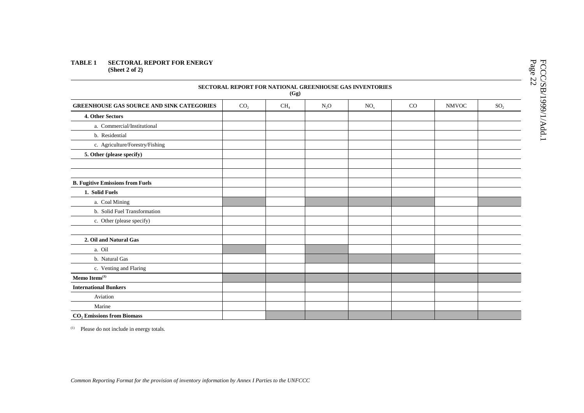### **TABLE 1 SECTORAL REPORT FOR ENERGY (Sheet 2 of 2)**

|                                                  |                 | (Gg)            |        | SECTORAL REPORT FOR NATIONAL GREENHOUSE GAS INVENTORIES |             |              |                 |
|--------------------------------------------------|-----------------|-----------------|--------|---------------------------------------------------------|-------------|--------------|-----------------|
| <b>GREENHOUSE GAS SOURCE AND SINK CATEGORIES</b> | CO <sub>2</sub> | CH <sub>4</sub> | $N_2O$ | NO <sub>x</sub>                                         | $_{\rm CO}$ | <b>NMVOC</b> | SO <sub>2</sub> |
| 4. Other Sectors                                 |                 |                 |        |                                                         |             |              |                 |
| a. Commercial/Institutional                      |                 |                 |        |                                                         |             |              |                 |
| b. Residential                                   |                 |                 |        |                                                         |             |              |                 |
| c. Agriculture/Forestry/Fishing                  |                 |                 |        |                                                         |             |              |                 |
| 5. Other (please specify)                        |                 |                 |        |                                                         |             |              |                 |
|                                                  |                 |                 |        |                                                         |             |              |                 |
| <b>B. Fugitive Emissions from Fuels</b>          |                 |                 |        |                                                         |             |              |                 |
| 1. Solid Fuels                                   |                 |                 |        |                                                         |             |              |                 |
| a. Coal Mining                                   |                 |                 |        |                                                         |             |              |                 |
| b. Solid Fuel Transformation                     |                 |                 |        |                                                         |             |              |                 |
| c. Other (please specify)                        |                 |                 |        |                                                         |             |              |                 |
|                                                  |                 |                 |        |                                                         |             |              |                 |
| 2. Oil and Natural Gas                           |                 |                 |        |                                                         |             |              |                 |
| a. Oil                                           |                 |                 |        |                                                         |             |              |                 |
| b. Natural Gas                                   |                 |                 |        |                                                         |             |              |                 |
| c. Venting and Flaring                           |                 |                 |        |                                                         |             |              |                 |
| Memo Items <sup>(1)</sup>                        |                 |                 |        |                                                         |             |              |                 |
| <b>International Bunkers</b>                     |                 |                 |        |                                                         |             |              |                 |
| Aviation                                         |                 |                 |        |                                                         |             |              |                 |
| Marine                                           |                 |                 |        |                                                         |             |              |                 |
| <b>CO</b> , Emissions from Biomass               |                 |                 |        |                                                         |             |              |                 |

(1) Please do not include in energy totals.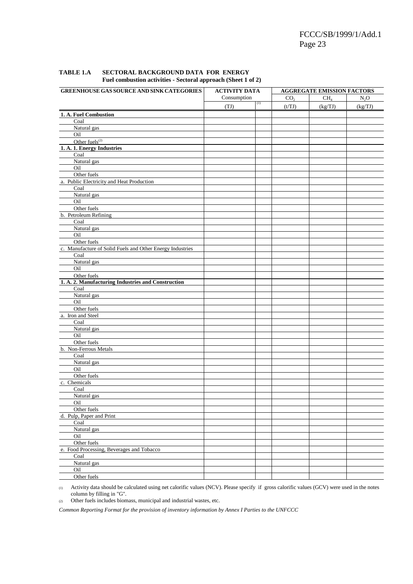| GREENHOUSE GAS SOURCE AND SINK CATEGORIES                 | <b>ACTIVITY DATA</b> |                  |                 | <b>AGGREGATE EMISSION FACTORS</b> |         |
|-----------------------------------------------------------|----------------------|------------------|-----------------|-----------------------------------|---------|
|                                                           | Consumption          |                  | CO <sub>2</sub> | CH <sub>4</sub>                   | $N_2O$  |
|                                                           | (TJ)                 | $\left(1\right)$ | (t/TJ)          | (kg/TJ)                           | (kg/TJ) |
| 1. A. Fuel Combustion                                     |                      |                  |                 |                                   |         |
| Coal                                                      |                      |                  |                 |                                   |         |
| Natural gas                                               |                      |                  |                 |                                   |         |
| Oil                                                       |                      |                  |                 |                                   |         |
| Other fuels <sup>(2)</sup>                                |                      |                  |                 |                                   |         |
| 1. A. 1. Energy Industries                                |                      |                  |                 |                                   |         |
| Coal                                                      |                      |                  |                 |                                   |         |
| Natural gas                                               |                      |                  |                 |                                   |         |
| Oil                                                       |                      |                  |                 |                                   |         |
| Other fuels                                               |                      |                  |                 |                                   |         |
| a. Public Electricity and Heat Production                 |                      |                  |                 |                                   |         |
| Coal                                                      |                      |                  |                 |                                   |         |
| Natural gas                                               |                      |                  |                 |                                   |         |
| Oil                                                       |                      |                  |                 |                                   |         |
| Other fuels                                               |                      |                  |                 |                                   |         |
| b. Petroleum Refining                                     |                      |                  |                 |                                   |         |
| Coal                                                      |                      |                  |                 |                                   |         |
| Natural gas                                               |                      |                  |                 |                                   |         |
| Oil                                                       |                      |                  |                 |                                   |         |
| Other fuels                                               |                      |                  |                 |                                   |         |
| c. Manufacture of Solid Fuels and Other Energy Industries |                      |                  |                 |                                   |         |
| Coal                                                      |                      |                  |                 |                                   |         |
| Natural gas                                               |                      |                  |                 |                                   |         |
| Oil                                                       |                      |                  |                 |                                   |         |
| Other fuels                                               |                      |                  |                 |                                   |         |
| 1. A. 2. Manufacturing Industries and Construction        |                      |                  |                 |                                   |         |
| Coal                                                      |                      |                  |                 |                                   |         |
| Natural gas                                               |                      |                  |                 |                                   |         |
| Oil                                                       |                      |                  |                 |                                   |         |
| Other fuels                                               |                      |                  |                 |                                   |         |
| a. Iron and Steel                                         |                      |                  |                 |                                   |         |
| Coal                                                      |                      |                  |                 |                                   |         |
| Natural gas<br>Oil                                        |                      |                  |                 |                                   |         |
| Other fuels                                               |                      |                  |                 |                                   |         |
| b. Non-Ferrous Metals                                     |                      |                  |                 |                                   |         |
| Coal                                                      |                      |                  |                 |                                   |         |
| Natural gas                                               |                      |                  |                 |                                   |         |
| Oil                                                       |                      |                  |                 |                                   |         |
| Other fuels                                               |                      |                  |                 |                                   |         |
| c. Chemicals                                              |                      |                  |                 |                                   |         |
| Coal                                                      |                      |                  |                 |                                   |         |
| Natural gas                                               |                      |                  |                 |                                   |         |
| Oil                                                       |                      |                  |                 |                                   |         |
| Other fuels                                               |                      |                  |                 |                                   |         |
| d. Pulp, Paper and Print                                  |                      |                  |                 |                                   |         |
| Coal                                                      |                      |                  |                 |                                   |         |
| Natural gas                                               |                      |                  |                 |                                   |         |
| Oil                                                       |                      |                  |                 |                                   |         |
| Other fuels                                               |                      |                  |                 |                                   |         |
| e. Food Processing, Beverages and Tobacco                 |                      |                  |                 |                                   |         |
| Coal                                                      |                      |                  |                 |                                   |         |
| Natural gas                                               |                      |                  |                 |                                   |         |
| Oil                                                       |                      |                  |                 |                                   |         |
| Other fuels                                               |                      |                  |                 |                                   |         |

## **TABLE 1.A SECTORAL BACKGROUND DATA FOR ENERGY Fuel combustion activities - Sectoral approach (Sheet 1 of 2)**

(1) Activity data should be calculated using net calorific values (NCV). Please specify if gross calorific values (GCV) were used in the notes column by filling in "G".

(2) Other fuels includes biomass, municipal and industrial wastes, etc.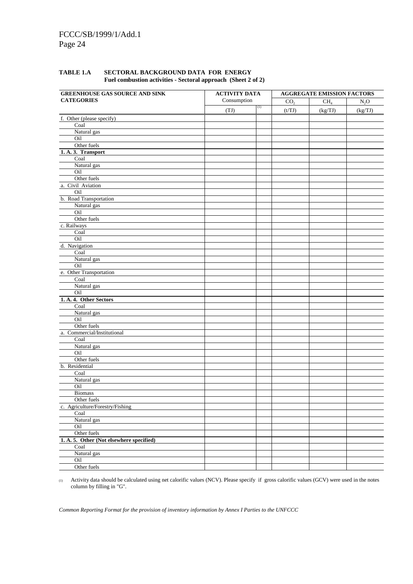| TABLE 1.A | SECTORAL BACKGROUND DATA FOR ENERGY<br>Fuel combustion activities - Sectoral approach (Sheet 2 of 2) |  |
|-----------|------------------------------------------------------------------------------------------------------|--|
|           |                                                                                                      |  |

| <b>GREENHOUSE GAS SOURCE AND SINK</b>    | <b>ACTIVITY DATA</b> |     |                 | <b>AGGREGATE EMISSION FACTORS</b> |         |
|------------------------------------------|----------------------|-----|-----------------|-----------------------------------|---------|
| <b>CATEGORIES</b>                        | Consumption          |     | CO <sub>2</sub> | CH <sub>4</sub>                   | $N_2O$  |
|                                          | (TJ)                 | (1) | (t/TJ)          | (kg/TJ)                           | (kg/TJ) |
| f. Other (please specify)                |                      |     |                 |                                   |         |
| Coal                                     |                      |     |                 |                                   |         |
| Natural gas                              |                      |     |                 |                                   |         |
| Oil                                      |                      |     |                 |                                   |         |
| Other fuels                              |                      |     |                 |                                   |         |
| 1. A. 3. Transport                       |                      |     |                 |                                   |         |
| Coal                                     |                      |     |                 |                                   |         |
| Natural gas                              |                      |     |                 |                                   |         |
| Oil                                      |                      |     |                 |                                   |         |
| Other fuels                              |                      |     |                 |                                   |         |
| a. Civil Aviation                        |                      |     |                 |                                   |         |
| Oil                                      |                      |     |                 |                                   |         |
| b. Road Transportation                   |                      |     |                 |                                   |         |
| Natural gas                              |                      |     |                 |                                   |         |
| Oil                                      |                      |     |                 |                                   |         |
| Other fuels                              |                      |     |                 |                                   |         |
| c. Railways                              |                      |     |                 |                                   |         |
| Coal                                     |                      |     |                 |                                   |         |
| Oil                                      |                      |     |                 |                                   |         |
| d. Navigation                            |                      |     |                 |                                   |         |
| Coal                                     |                      |     |                 |                                   |         |
| Natural gas                              |                      |     |                 |                                   |         |
| Oil                                      |                      |     |                 |                                   |         |
| e. Other Transportation                  |                      |     |                 |                                   |         |
| Coal                                     |                      |     |                 |                                   |         |
| Natural gas                              |                      |     |                 |                                   |         |
| Oil                                      |                      |     |                 |                                   |         |
| 1. A. 4. Other Sectors                   |                      |     |                 |                                   |         |
| Coal                                     |                      |     |                 |                                   |         |
| Natural gas                              |                      |     |                 |                                   |         |
| Oil                                      |                      |     |                 |                                   |         |
| Other fuels                              |                      |     |                 |                                   |         |
| a. Commercial/Institutional              |                      |     |                 |                                   |         |
| Coal                                     |                      |     |                 |                                   |         |
| Natural gas                              |                      |     |                 |                                   |         |
| Oil                                      |                      |     |                 |                                   |         |
| Other fuels                              |                      |     |                 |                                   |         |
| b. Residential                           |                      |     |                 |                                   |         |
| Coal                                     |                      |     |                 |                                   |         |
| Natural gas                              |                      |     |                 |                                   |         |
| Oil                                      |                      |     |                 |                                   |         |
| <b>Biomass</b>                           |                      |     |                 |                                   |         |
| Other fuels                              |                      |     |                 |                                   |         |
| c. Agriculture/Forestry/Fishing          |                      |     |                 |                                   |         |
| Coal                                     |                      |     |                 |                                   |         |
| Natural gas                              |                      |     |                 |                                   |         |
| Oil                                      |                      |     |                 |                                   |         |
| Other fuels                              |                      |     |                 |                                   |         |
| 1. A. 5. Other (Not elsewhere specified) |                      |     |                 |                                   |         |
| Coal                                     |                      |     |                 |                                   |         |
| Natural gas                              |                      |     |                 |                                   |         |
| Oil                                      |                      |     |                 |                                   |         |
| Other fuels                              |                      |     |                 |                                   |         |

(1) Activity data should be calculated using net calorific values (NCV). Please specify if gross calorific values (GCV) were used in the notes column by filling in "G".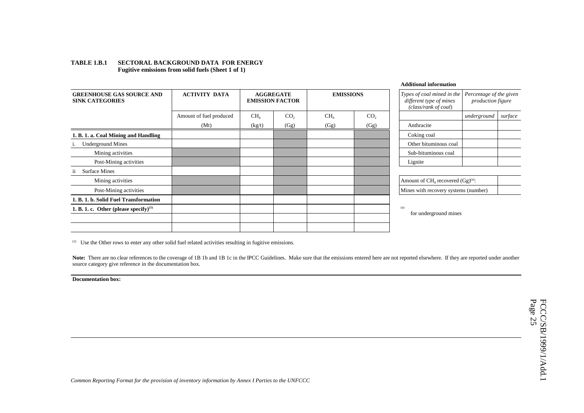### **TABLE 1.B.1 SECTORAL BACKGROUND DATA FOR ENERGY Fugitive emissions from solid fuels (Sheet 1 of 1)**

|                                                            |                         |                                            |                 |                  |                 | Additional information                                                        |                                                     |         |
|------------------------------------------------------------|-------------------------|--------------------------------------------|-----------------|------------------|-----------------|-------------------------------------------------------------------------------|-----------------------------------------------------|---------|
| <b>GREENHOUSE GAS SOURCE AND</b><br><b>SINK CATEGORIES</b> | <b>ACTIVITY DATA</b>    | <b>AGGREGATE</b><br><b>EMISSION FACTOR</b> |                 | <b>EMISSIONS</b> |                 | Types of coal mined in the<br>different type of mines<br>(class/rank of coal) | Percentage of the given<br><i>production figure</i> |         |
|                                                            | Amount of fuel produced | CH <sub>4</sub>                            | CO <sub>2</sub> | CH <sub>4</sub>  | CO <sub>2</sub> |                                                                               | underground                                         | surface |
|                                                            | (Mt)                    | (kg/t)                                     | (Gg)            | (Gg)             | (Gg)            | Anthracite                                                                    |                                                     |         |
| 1. B. 1. a. Coal Mining and Handling                       |                         |                                            |                 |                  |                 | Coking coal                                                                   |                                                     |         |
| <b>Underground Mines</b><br>1.                             |                         |                                            |                 |                  |                 | Other bituminous coal                                                         |                                                     |         |
| Mining activities                                          |                         |                                            |                 |                  |                 | Sub-bituminous coal                                                           |                                                     |         |
| Post-Mining activities                                     |                         |                                            |                 |                  |                 | Lignite                                                                       |                                                     |         |
| ii<br><b>Surface Mines</b>                                 |                         |                                            |                 |                  |                 |                                                                               |                                                     |         |
| Mining activities                                          |                         |                                            |                 |                  |                 | Amount of $CH4$ recovered $(Gg)^{(a)}$ :                                      |                                                     |         |
| Post-Mining activities                                     |                         |                                            |                 |                  |                 | Mines with recovery systems (number)                                          |                                                     |         |
| 1. B. 1. b. Solid Fuel Transformation                      |                         |                                            |                 |                  |                 |                                                                               |                                                     |         |
| 1. B. 1. c. Other (please specify) <sup>(1)</sup>          |                         |                                            |                 |                  |                 | (a)                                                                           |                                                     |         |
|                                                            |                         |                                            |                 |                  |                 | for underground mines                                                         |                                                     |         |
|                                                            |                         |                                            |                 |                  |                 |                                                                               |                                                     |         |
|                                                            |                         |                                            |                 |                  |                 |                                                                               |                                                     |         |

 $(1)$  Use the Other rows to enter any other solid fuel related activities resulting in fugitive emissions.

Note: There are no clear references to the coverage of 1B 1b and 1B 1c in the IPCC Guidelines. Make sure that the emissions entered here are not reported elsewhere. If they are reported under another source category give reference in the documentation box.

**Documentation box:** 

 $\overline{\phantom{a}}$  $\sim 10^{11}$  m  $^{-1}$  $\overline{\phantom{a}}$  $\sim 10^{-1}$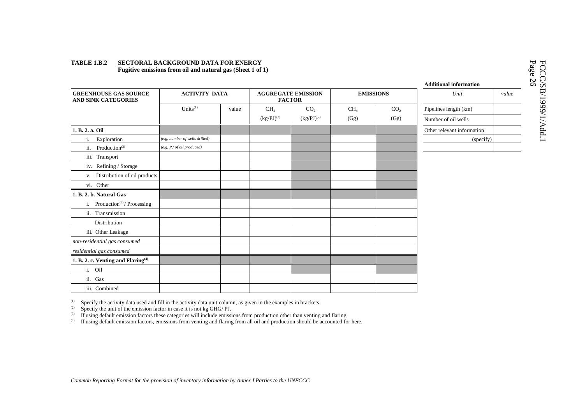**GREENHOUSE GAS SOURCEAND SINK CATEGORIES ACTIVITY DATA AGGREGATE EMISSIONFACTOREMISSIONS** *Unit value* Units<sup>(1)</sup> value  $CH<sub>4</sub>$  $(kg/PJ)^{(2)}$  $CO<sub>2</sub>$  $(kg/PJ)^{(2)}$  $CH<sub>4</sub>$  $(Gg)$  $CO<sub>2</sub>$ (Gg) Pipelines length (km) Number of oil wells**1. B. 2. a. Oil** Other relevant information i. Exploration *(e.g. number of wells drilled)* and the control of the control of the control of the control of the control of the control of the control of the control of the control of the control of the control of the c ii. Production<sup>(3)</sup> *(e.g. PJ of oil produced)* iii. Transport iv. Refining / Storage v. Distribution of oil products vi. Other **1. B. 2. b. Natural Gas** i. Production<sup>(3)</sup>/Processing ii. Transmission Distributioniii. Other Leakage *non-residential gas consumed residential gas consumed* **1. B. 2. c. Venting and Flaring(4)** i. Oilii. Gasiii. Combined

### **TABLE 1.B.2 SECTORAL BACKGROUND DATA FOR ENERGY Fugitive emissions from oil and natural gas (Sheet 1 of 1)**

(1) Specify the activity data used and fill in the activity data unit column, as given in the examples in brackets.<br>(2) Specify the unit of the emission factor in case it is not kg GHG/ PI

Specify the unit of the emission factor in case it is not kg GHG/ PJ.

<sup>(3)</sup> If using default emission factors these categories will include emissions from production other than venting and flaring.

(4) If using default emission factors, emissions from venting and flaring from all oil and production should be accounted for here.

**Additional information**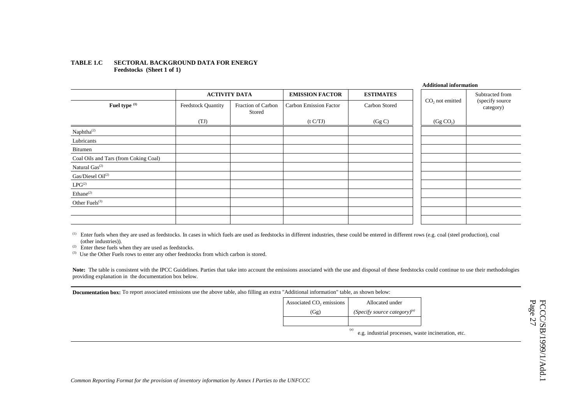### **TABLE 1.C SECTORAL BACKGROUND DATA FOR ENERGY Feedstocks (Sheet 1 of 1)**

|                                       |                           |                              |                        |                  | <b>Additional information</b> |                              |
|---------------------------------------|---------------------------|------------------------------|------------------------|------------------|-------------------------------|------------------------------|
|                                       | <b>ACTIVITY DATA</b>      |                              | <b>EMISSION FACTOR</b> | <b>ESTIMATES</b> |                               | Subtracted from              |
| Fuel type (1)                         | <b>Feedstock Quantity</b> | Fraction of Carbon<br>Stored | Carbon Emission Factor | Carbon Stored    | $CO2$ not emitted             | (specify source<br>category) |
|                                       | (TJ)                      |                              | (t C/TJ)               | (Gg C)           | (Gg CO <sub>2</sub> )         |                              |
| $Naphtha^{(2)}$                       |                           |                              |                        |                  |                               |                              |
| Lubricants                            |                           |                              |                        |                  |                               |                              |
| Bitumen                               |                           |                              |                        |                  |                               |                              |
| Coal Oils and Tars (from Coking Coal) |                           |                              |                        |                  |                               |                              |
| Natural Gas <sup>(2)</sup>            |                           |                              |                        |                  |                               |                              |
| Gas/Diesel Oil <sup>(2)</sup>         |                           |                              |                        |                  |                               |                              |
| $LPG^{(2)}$                           |                           |                              |                        |                  |                               |                              |
| Ethane <sup>(2)</sup>                 |                           |                              |                        |                  |                               |                              |
| Other Fuels <sup>(3)</sup>            |                           |                              |                        |                  |                               |                              |
|                                       |                           |                              |                        |                  |                               |                              |
|                                       |                           |                              |                        |                  |                               |                              |

<sup>(1)</sup> Enter fuels when they are used as feedstocks. In cases in which fuels are used as feedstocks in different industries, these could be entered in different rows (e.g. coal (steel production), coal (other industries)).

(2) Enter these fuels when they are used as feedstocks.

<sup>(3)</sup> Use the Other Fuels rows to enter any other feedstocks from which carbon is stored.

Note: The table is consistent with the IPCC Guidelines. Parties that take into account the emissions associated with the use and disposal of these feedstocks could continue to use their methodologies providing explanation in the documentation box below.

**Documentation box:** To report associated emissions use the above table, also filling an extra "Additional information" table, as shown below:

| Associated CO <sub>2</sub> emissions | Allocated under                    |
|--------------------------------------|------------------------------------|
| (Gg)                                 | (Specify source category) $^{(a)}$ |
|                                      |                                    |
|                                      | (a                                 |

e.g. industrial processes, waste incineration, etc.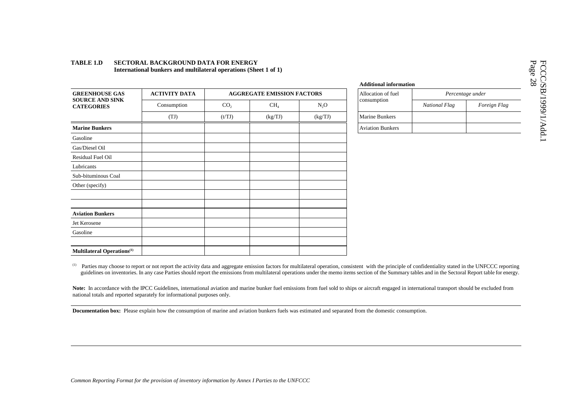|                                               |                      |                 |                                   |                  | лишионат ппо          |
|-----------------------------------------------|----------------------|-----------------|-----------------------------------|------------------|-----------------------|
| <b>GREENHOUSE GAS</b>                         | <b>ACTIVITY DATA</b> |                 | <b>AGGREGATE EMISSION FACTORS</b> | Allocation of fu |                       |
| <b>SOURCE AND SINK</b><br><b>CATEGORIES</b>   | Consumption          | CO <sub>2</sub> | CH <sub>4</sub>                   | N <sub>2</sub> O | consumption           |
|                                               | (TJ)                 | (t/TJ)          | (kg/TJ)                           | (kg/TJ)          | Marine Bunkers        |
| <b>Marine Bunkers</b>                         |                      |                 |                                   |                  | <b>Aviation Bunke</b> |
| Gasoline                                      |                      |                 |                                   |                  |                       |
| Gas/Diesel Oil                                |                      |                 |                                   |                  |                       |
| Residual Fuel Oil                             |                      |                 |                                   |                  |                       |
| Lubricants                                    |                      |                 |                                   |                  |                       |
| Sub-bituminous Coal                           |                      |                 |                                   |                  |                       |
| Other (specify)                               |                      |                 |                                   |                  |                       |
|                                               |                      |                 |                                   |                  |                       |
| <b>Aviation Bunkers</b>                       |                      |                 |                                   |                  |                       |
| Jet Kerosene                                  |                      |                 |                                   |                  |                       |
| Gasoline                                      |                      |                 |                                   |                  |                       |
| <b>Multilateral Operations</b> <sup>(1)</sup> |                      |                 |                                   |                  |                       |

### **TABLE 1.D SECTORAL BACKGROUND DATA FOR ENERGYInternational bunkers and multilateral operations (Sheet 1 of 1)**

|    |                      | дишилная пилятиация     |                  |              |
|----|----------------------|-------------------------|------------------|--------------|
|    | <b>SSION FACTORS</b> | Allocation of fuel      | Percentage under |              |
|    | N <sub>2</sub> O     | consumption             | National Flag    | Foreign Flag |
| I) | (kg/TJ)              | <b>Marine Bunkers</b>   |                  |              |
|    |                      | <b>Aviation Bunkers</b> |                  |              |

**Additional information**

(1) Parties may choose to report or not report the activity data and aggregate emission factors for multilateral operation, consistent with the principle of confidentiality stated in the UNFCCC reporting guidelines on inventories. In any case Parties should report the emissions from multilateral operations under the memo items section of the Summary tables and in the Sectoral Report table for energy.

Note: In accordance with the IPCC Guidelines, international aviation and marine bunker fuel emissions from fuel sold to ships or aircraft engaged in international transport should be excluded from national totals and reported separately for informational purposes only.

**Documentation box:** Please explain how the consumption of marine and aviation bunkers fuels was estimated and separated from the domestic consumption.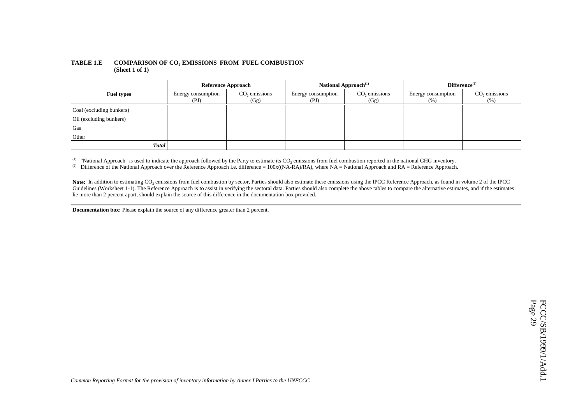### **TABLE 1.E COMPARISON OF CO2 EMISSIONS FROM FUEL COMBUSTION (Sheet 1 of 1)**

|                          | <b>Reference Approach</b>  |                                   |                            | National Approach <sup>(1)</sup>  | Difference <sup>(2)</sup>  |                          |  |  |
|--------------------------|----------------------------|-----------------------------------|----------------------------|-----------------------------------|----------------------------|--------------------------|--|--|
| <b>Fuel types</b>        | Energy consumption<br>(PI) | CO <sub>2</sub> emissions<br>(Gg) | Energy consumption<br>(PI) | CO <sub>2</sub> emissions<br>(Gg) | Energy consumption<br>(% ) | $CO$ , emissions<br>(% ) |  |  |
| Coal (excluding bunkers) |                            |                                   |                            |                                   |                            |                          |  |  |
| Oil (excluding bunkers)  |                            |                                   |                            |                                   |                            |                          |  |  |
| Gas                      |                            |                                   |                            |                                   |                            |                          |  |  |
| Other                    |                            |                                   |                            |                                   |                            |                          |  |  |
| <b>Total</b>             |                            |                                   |                            |                                   |                            |                          |  |  |

(1) "National Approach" is used to indicate the approach followed by the Party to estimate its  $CO_2$  emissions from fuel combustion reported in the national GHG inventory.

(2) Difference of the National Approach over the Reference Approach i.e. difference =  $100x((NA-RA)/RA)$ , where NA = National Approach and RA = Reference Approach.

Note: In addition to estimating CO<sub>2</sub> emissions from fuel combustion by sector, Parties should also estimate these emissions using the IPCC Reference Approach, as found in volume 2 of the IPCC Guidelines (Worksheet 1-1). The Reference Approach is to assist in verifying the sectoral data. Parties should also complete the above tables to compare the alternative estimates, and if the estimates lie more than 2 percent apart, should explain the source of this difference in the documentation box provided.

**Documentation box:** Please explain the source of any difference greater than 2 percent.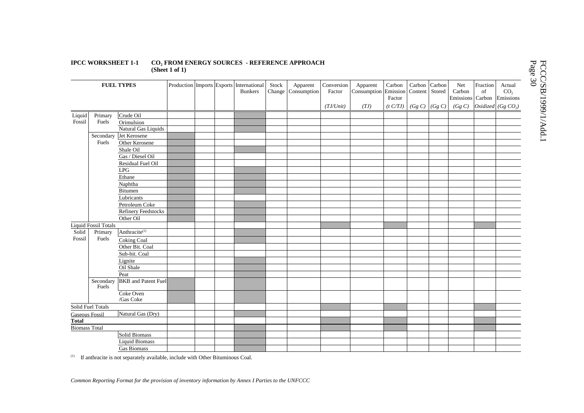### **IPCC WORKSHEET 1-1 CO2 FROM ENERGY SOURCES - REFERENCE APPROACH (Sheet 1 of 1)**

|                       |                             | <b>FUEL TYPES</b>          |  | Production Imports Exports International<br><b>Bunkers</b> | Stock<br>Change | Apparent<br>Consumption | Conversion<br>Factor<br>$(TJ/U$ nit) | Apparent<br>Consumption Emission Content Stored<br>(TJ) | Carbon<br>Factor<br>(t C/TJ) | Carbon Carbon<br>$(Gg C)$ $(Gg C)$ | Net<br>Carbon<br>Emissions Carbon<br>(Gg C) | Fraction<br>of | Actual<br>CO <sub>2</sub><br>Emissions<br>Oxidized $(Gg CO2)$ |
|-----------------------|-----------------------------|----------------------------|--|------------------------------------------------------------|-----------------|-------------------------|--------------------------------------|---------------------------------------------------------|------------------------------|------------------------------------|---------------------------------------------|----------------|---------------------------------------------------------------|
|                       |                             | Crude Oil                  |  |                                                            |                 |                         |                                      |                                                         |                              |                                    |                                             |                |                                                               |
| Liquid<br>Fossil      | Primary<br>Fuels            | Orimulsion                 |  |                                                            |                 |                         |                                      |                                                         |                              |                                    |                                             |                |                                                               |
|                       |                             | Natural Gas Liquids        |  |                                                            |                 |                         |                                      |                                                         |                              |                                    |                                             |                |                                                               |
|                       | Secondary                   | Jet Kerosene               |  |                                                            |                 |                         |                                      |                                                         |                              |                                    |                                             |                |                                                               |
|                       | Fuels                       | Other Kerosene             |  |                                                            |                 |                         |                                      |                                                         |                              |                                    |                                             |                |                                                               |
|                       |                             | Shale Oil                  |  |                                                            |                 |                         |                                      |                                                         |                              |                                    |                                             |                |                                                               |
|                       |                             | Gas / Diesel Oil           |  |                                                            |                 |                         |                                      |                                                         |                              |                                    |                                             |                |                                                               |
|                       |                             | Residual Fuel Oil          |  |                                                            |                 |                         |                                      |                                                         |                              |                                    |                                             |                |                                                               |
|                       |                             | LPG                        |  |                                                            |                 |                         |                                      |                                                         |                              |                                    |                                             |                |                                                               |
|                       |                             | Ethane                     |  |                                                            |                 |                         |                                      |                                                         |                              |                                    |                                             |                |                                                               |
|                       |                             | Naphtha                    |  |                                                            |                 |                         |                                      |                                                         |                              |                                    |                                             |                |                                                               |
|                       |                             | Bitumen                    |  |                                                            |                 |                         |                                      |                                                         |                              |                                    |                                             |                |                                                               |
|                       |                             | Lubricants                 |  |                                                            |                 |                         |                                      |                                                         |                              |                                    |                                             |                |                                                               |
|                       |                             | Petroleum Coke             |  |                                                            |                 |                         |                                      |                                                         |                              |                                    |                                             |                |                                                               |
|                       |                             | <b>Refinery Feedstocks</b> |  |                                                            |                 |                         |                                      |                                                         |                              |                                    |                                             |                |                                                               |
|                       |                             | Other Oil                  |  |                                                            |                 |                         |                                      |                                                         |                              |                                    |                                             |                |                                                               |
|                       | <b>Liquid Fossil Totals</b> |                            |  |                                                            |                 |                         |                                      |                                                         |                              |                                    |                                             |                |                                                               |
| Solid                 | Primary                     | Anthracite <sup>(1)</sup>  |  |                                                            |                 |                         |                                      |                                                         |                              |                                    |                                             |                |                                                               |
| Fossil                | Fuels                       | <b>Coking Coal</b>         |  |                                                            |                 |                         |                                      |                                                         |                              |                                    |                                             |                |                                                               |
|                       |                             | Other Bit. Coal            |  |                                                            |                 |                         |                                      |                                                         |                              |                                    |                                             |                |                                                               |
|                       |                             | Sub-bit. Coal              |  |                                                            |                 |                         |                                      |                                                         |                              |                                    |                                             |                |                                                               |
|                       |                             | Lignite                    |  |                                                            |                 |                         |                                      |                                                         |                              |                                    |                                             |                |                                                               |
|                       |                             | Oil Shale                  |  |                                                            |                 |                         |                                      |                                                         |                              |                                    |                                             |                |                                                               |
|                       |                             | Peat                       |  |                                                            |                 |                         |                                      |                                                         |                              |                                    |                                             |                |                                                               |
|                       | Secondary<br>Fuels          | <b>BKB</b> and Patent Fuel |  |                                                            |                 |                         |                                      |                                                         |                              |                                    |                                             |                |                                                               |
|                       |                             | Coke Oven<br>/Gas Coke     |  |                                                            |                 |                         |                                      |                                                         |                              |                                    |                                             |                |                                                               |
|                       | Solid Fuel Totals           |                            |  |                                                            |                 |                         |                                      |                                                         |                              |                                    |                                             |                |                                                               |
| <b>Gaseous Fossil</b> |                             | Natural Gas (Dry)          |  |                                                            |                 |                         |                                      |                                                         |                              |                                    |                                             |                |                                                               |
| <b>Total</b>          |                             |                            |  |                                                            |                 |                         |                                      |                                                         |                              |                                    |                                             |                |                                                               |
| <b>Biomass Total</b>  |                             |                            |  |                                                            |                 |                         |                                      |                                                         |                              |                                    |                                             |                |                                                               |
|                       |                             | Solid Biomass              |  |                                                            |                 |                         |                                      |                                                         |                              |                                    |                                             |                |                                                               |
|                       |                             | <b>Liquid Biomass</b>      |  |                                                            |                 |                         |                                      |                                                         |                              |                                    |                                             |                |                                                               |
|                       |                             | Gas Biomass                |  |                                                            |                 |                         |                                      |                                                         |                              |                                    |                                             |                |                                                               |

(1) If anthracite is not separately available, include with Other Bituminous Coal.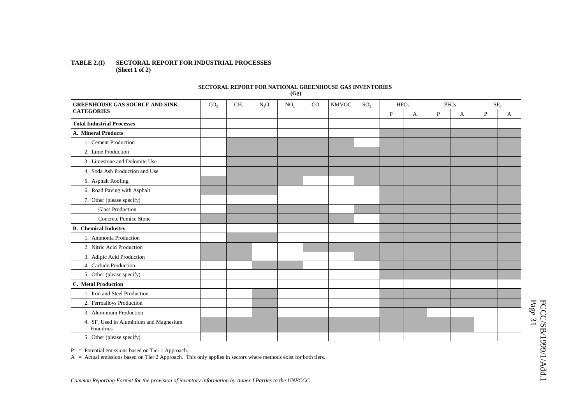### **TABLE 2.(I) SECTORAL REPORT FOR INDUSTRIAL PROCESSES (Sheet 1 of 2)**

|                                                       |                 |                 |        | (Gg)            |    | SECTORAL REPORT FOR NATIONAL GREENHOUSE GAS INVENTORIES |                 |             |                     |              |   |                 |   |
|-------------------------------------------------------|-----------------|-----------------|--------|-----------------|----|---------------------------------------------------------|-----------------|-------------|---------------------|--------------|---|-----------------|---|
| <b>GREENHOUSE GAS SOURCE AND SINK</b>                 | CO <sub>2</sub> | CH <sub>4</sub> | $N_2O$ | NO <sub>x</sub> | CO | <b>NMVOC</b>                                            | SO <sub>2</sub> |             | <b>HFCs</b><br>PFCs |              |   | SF <sub>6</sub> |   |
| <b>CATEGORIES</b>                                     |                 |                 |        |                 |    |                                                         |                 | $\mathbf P$ | A                   | $\mathbf{P}$ | A | $\overline{P}$  | A |
| <b>Total Industrial Processes</b>                     |                 |                 |        |                 |    |                                                         |                 |             |                     |              |   |                 |   |
| <b>A. Mineral Products</b>                            |                 |                 |        |                 |    |                                                         |                 |             |                     |              |   |                 |   |
| 1. Cement Production                                  |                 |                 |        |                 |    |                                                         |                 |             |                     |              |   |                 |   |
| 2. Lime Production                                    |                 |                 |        |                 |    |                                                         |                 |             |                     |              |   |                 |   |
| 3. Limestone and Dolomite Use                         |                 |                 |        |                 |    |                                                         |                 |             |                     |              |   |                 |   |
| 4. Soda Ash Production and Use                        |                 |                 |        |                 |    |                                                         |                 |             |                     |              |   |                 |   |
| 5. Asphalt Roofing                                    |                 |                 |        |                 |    |                                                         |                 |             |                     |              |   |                 |   |
| 6. Road Paving with Asphalt                           |                 |                 |        |                 |    |                                                         |                 |             |                     |              |   |                 |   |
| 7. Other (please specify)                             |                 |                 |        |                 |    |                                                         |                 |             |                     |              |   |                 |   |
| <b>Glass Production</b>                               |                 |                 |        |                 |    |                                                         |                 |             |                     |              |   |                 |   |
| Concrete Pumice Stone                                 |                 |                 |        |                 |    |                                                         |                 |             |                     |              |   |                 |   |
| <b>B.</b> Chemical Industry                           |                 |                 |        |                 |    |                                                         |                 |             |                     |              |   |                 |   |
| 1. Ammonia Production                                 |                 |                 |        |                 |    |                                                         |                 |             |                     |              |   |                 |   |
| 2. Nitric Acid Production                             |                 |                 |        |                 |    |                                                         |                 |             |                     |              |   |                 |   |
| 3. Adipic Acid Production                             |                 |                 |        |                 |    |                                                         |                 |             |                     |              |   |                 |   |
| 4. Carbide Production                                 |                 |                 |        |                 |    |                                                         |                 |             |                     |              |   |                 |   |
| 5. Other (please specify)                             |                 |                 |        |                 |    |                                                         |                 |             |                     |              |   |                 |   |
| C. Metal Production                                   |                 |                 |        |                 |    |                                                         |                 |             |                     |              |   |                 |   |
| 1. Iron and Steel Production                          |                 |                 |        |                 |    |                                                         |                 |             |                     |              |   |                 |   |
| 2. Ferroalloys Production                             |                 |                 |        |                 |    |                                                         |                 |             |                     |              |   |                 |   |
| 3. Aluminium Production                               |                 |                 |        |                 |    |                                                         |                 |             |                     |              |   |                 |   |
| 4. $SF6$ Used in Aluminium and Magnesium<br>Foundries |                 |                 |        |                 |    |                                                         |                 |             |                     |              |   |                 |   |
| 5. Other (please specify)                             |                 |                 |        |                 |    |                                                         |                 |             |                     |              |   |                 |   |

**SECTORAL REPORT FOR NATIONAL GREENHOUSE GAS INVENTORIES** 

P <sup>=</sup> Potential emissions based on Tier 1 Approach.

A <sup>=</sup> Actual emissions based on Tier 2 Approach. This only applies in sectors where methods exist for both tiers.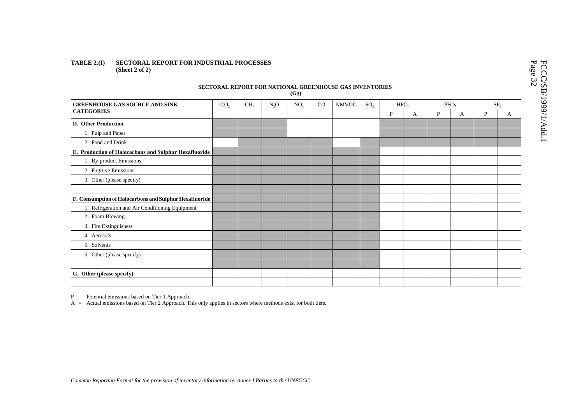### **TABLE 2.(I) SECTORAL REPORT FOR INDUSTRIAL PROCESSES (Sheet 2 of 2)**

|                                                        |                 |                 |                  | (Gg)            |             | <b>SECTORAL REPORT FOR NATIONAL GREENHOUSE GAS INVENTORIES</b> |                 |              |             |   |             |                 |   |
|--------------------------------------------------------|-----------------|-----------------|------------------|-----------------|-------------|----------------------------------------------------------------|-----------------|--------------|-------------|---|-------------|-----------------|---|
| <b>GREENHOUSE GAS SOURCE AND SINK</b>                  | CO <sub>2</sub> | CH <sub>4</sub> | N <sub>2</sub> O | NO <sub>x</sub> | $_{\rm CO}$ | <b>NMVOC</b>                                                   | SO <sub>2</sub> |              | <b>HFCs</b> |   | <b>PFCs</b> | SF <sub>6</sub> |   |
| <b>CATEGORIES</b>                                      |                 |                 |                  |                 |             |                                                                |                 | $\mathbf{P}$ | A           | P | A           | P               | A |
| <b>D.</b> Other Production                             |                 |                 |                  |                 |             |                                                                |                 |              |             |   |             |                 |   |
| 1. Pulp and Paper                                      |                 |                 |                  |                 |             |                                                                |                 |              |             |   |             |                 |   |
| 2. Food and Drink                                      |                 |                 |                  |                 |             |                                                                |                 |              |             |   |             |                 |   |
| E. Production of Halocarbons and Sulphur Hexafluoride  |                 |                 |                  |                 |             |                                                                |                 |              |             |   |             |                 |   |
| 1. By-product Emissions                                |                 |                 |                  |                 |             |                                                                |                 |              |             |   |             |                 |   |
| 2. Fugitive Emissions                                  |                 |                 |                  |                 |             |                                                                |                 |              |             |   |             |                 |   |
| 3. Other (please specify)                              |                 |                 |                  |                 |             |                                                                |                 |              |             |   |             |                 |   |
|                                                        |                 |                 |                  |                 |             |                                                                |                 |              |             |   |             |                 |   |
| F. Consumption of Halocarbons and Sulphur Hexafluoride |                 |                 |                  |                 |             |                                                                |                 |              |             |   |             |                 |   |
| 1. Refrigeration and Air Conditioning Equipment        |                 |                 |                  |                 |             |                                                                |                 |              |             |   |             |                 |   |
| 2. Foam Blowing                                        |                 |                 |                  |                 |             |                                                                |                 |              |             |   |             |                 |   |
| 3. Fire Extinguishers                                  |                 |                 |                  |                 |             |                                                                |                 |              |             |   |             |                 |   |
| 4. Aerosols                                            |                 |                 |                  |                 |             |                                                                |                 |              |             |   |             |                 |   |
| 5. Solvents                                            |                 |                 |                  |                 |             |                                                                |                 |              |             |   |             |                 |   |
| 6. Other (please specify)                              |                 |                 |                  |                 |             |                                                                |                 |              |             |   |             |                 |   |
|                                                        |                 |                 |                  |                 |             |                                                                |                 |              |             |   |             |                 |   |
| G. Other (please specify)                              |                 |                 |                  |                 |             |                                                                |                 |              |             |   |             |                 |   |
|                                                        |                 |                 |                  |                 |             |                                                                |                 |              |             |   |             |                 |   |

P <sup>=</sup> Potential emissions based on Tier 1 Approach.

A <sup>=</sup> Actual emissions based on Tier 2 Approach. This only applies in sectors where methods exist for both tiers.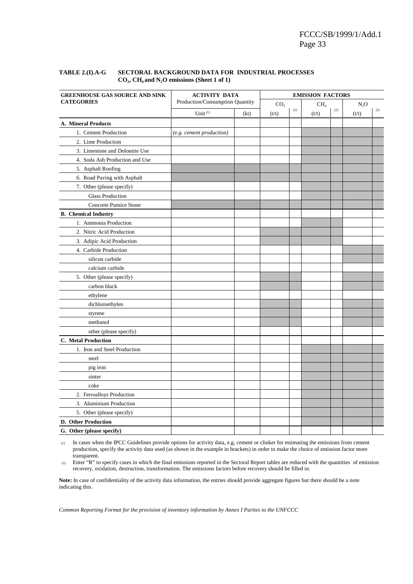| <b>GREENHOUSE GAS SOURCE AND SINK</b> | <b>ACTIVITY DATA</b>            | <b>EMISSION FACTORS</b> |                 |                   |                 |                   |        |                   |  |  |
|---------------------------------------|---------------------------------|-------------------------|-----------------|-------------------|-----------------|-------------------|--------|-------------------|--|--|
| <b>CATEGORIES</b>                     | Production/Consumption Quantity |                         | CO <sub>2</sub> |                   | CH <sub>4</sub> |                   | $N_2O$ |                   |  |  |
|                                       | Unit $(1)$                      | (kt)                    | (t/t)           | $\left( 2\right)$ | (t/t)           | $\left( 2\right)$ | (t/t)  | $\left( 2\right)$ |  |  |
| A. Mineral Products                   |                                 |                         |                 |                   |                 |                   |        |                   |  |  |
| 1. Cement Production                  | (e.g. cement production)        |                         |                 |                   |                 |                   |        |                   |  |  |
| 2. Lime Production                    |                                 |                         |                 |                   |                 |                   |        |                   |  |  |
| 3. Limestone and Dolomite Use         |                                 |                         |                 |                   |                 |                   |        |                   |  |  |
| 4. Soda Ash Production and Use        |                                 |                         |                 |                   |                 |                   |        |                   |  |  |
| 5. Asphalt Roofing                    |                                 |                         |                 |                   |                 |                   |        |                   |  |  |
| 6. Road Paving with Asphalt           |                                 |                         |                 |                   |                 |                   |        |                   |  |  |
| 7. Other (please specify)             |                                 |                         |                 |                   |                 |                   |        |                   |  |  |
| <b>Glass Production</b>               |                                 |                         |                 |                   |                 |                   |        |                   |  |  |
| Concrete Pumice Stone                 |                                 |                         |                 |                   |                 |                   |        |                   |  |  |
| <b>B.</b> Chemical Industry           |                                 |                         |                 |                   |                 |                   |        |                   |  |  |
| 1. Ammonia Production                 |                                 |                         |                 |                   |                 |                   |        |                   |  |  |
| 2. Nitric Acid Production             |                                 |                         |                 |                   |                 |                   |        |                   |  |  |
| 3. Adipic Acid Production             |                                 |                         |                 |                   |                 |                   |        |                   |  |  |
| 4. Carbide Production                 |                                 |                         |                 |                   |                 |                   |        |                   |  |  |
| silicon carbide                       |                                 |                         |                 |                   |                 |                   |        |                   |  |  |
| calcium carbide                       |                                 |                         |                 |                   |                 |                   |        |                   |  |  |
| 5. Other (please specify)             |                                 |                         |                 |                   |                 |                   |        |                   |  |  |
| carbon black                          |                                 |                         |                 |                   |                 |                   |        |                   |  |  |
| ethylene                              |                                 |                         |                 |                   |                 |                   |        |                   |  |  |
| dichloroethylen                       |                                 |                         |                 |                   |                 |                   |        |                   |  |  |
| styrene                               |                                 |                         |                 |                   |                 |                   |        |                   |  |  |
| methanol                              |                                 |                         |                 |                   |                 |                   |        |                   |  |  |
| other (please specify)                |                                 |                         |                 |                   |                 |                   |        |                   |  |  |
| C. Metal Production                   |                                 |                         |                 |                   |                 |                   |        |                   |  |  |
| 1. Iron and Steel Production          |                                 |                         |                 |                   |                 |                   |        |                   |  |  |
| steel                                 |                                 |                         |                 |                   |                 |                   |        |                   |  |  |
| pig iron                              |                                 |                         |                 |                   |                 |                   |        |                   |  |  |
| sinter                                |                                 |                         |                 |                   |                 |                   |        |                   |  |  |
| coke                                  |                                 |                         |                 |                   |                 |                   |        |                   |  |  |
| 2. Ferroalloys Production             |                                 |                         |                 |                   |                 |                   |        |                   |  |  |
| 3. Aluminium Production               |                                 |                         |                 |                   |                 |                   |        |                   |  |  |
| 5. Other (please specify)             |                                 |                         |                 |                   |                 |                   |        |                   |  |  |
| D. Other Production                   |                                 |                         |                 |                   |                 |                   |        |                   |  |  |
| G. Other (please specify)             |                                 |                         |                 |                   |                 |                   |        |                   |  |  |

### **TABLE 2.(I).A-G SECTORAL BACKGROUND DATA FOR INDUSTRIAL PROCESSES CO2, CH4 and N2O emissions (Sheet 1 of 1)**

(1) In cases when the IPCC Guidelines provide options for activity data, e.g. cement or clinker for estimating the emissions from cement production, specify the activity data used (as shown in the example in brackets) in order to make the choice of emission factor more transparent.

 $(2)$  Enter "R" to specify cases in which the final emissions reported in the Sectoral Report tables are reduced with the quantities of emission recovery, oxidation, destruction, transformation. The emissions factors before recovery should be filled in.

**Note:** In case of confidentiality of the activity data information, the entries should provide aggregate figures but there should be a note indicating this.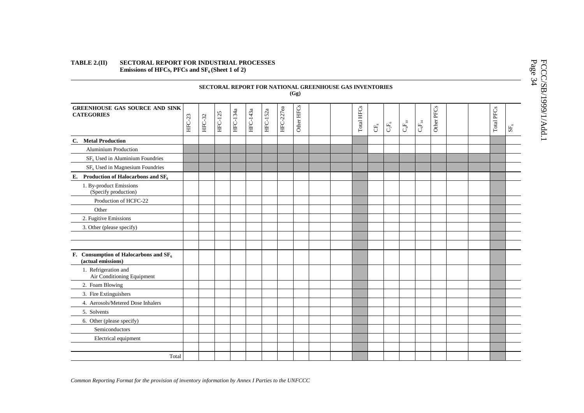### **TABLE 2.(II) SECTORAL REPORT FOR INDUSTRIAL PROCESSES** Emissions of HFCs, PFCs and SF<sub>6</sub> (Sheet 1 of 2)

|                                                               |        |        |                |          |          |          |           | (Gg)       | SECTORAL REPORT FOR NATIONAL GREENHOUSE GAS INVENTORIES |            |                |                                                                  |                               |                        |            |  |            |               |
|---------------------------------------------------------------|--------|--------|----------------|----------|----------|----------|-----------|------------|---------------------------------------------------------|------------|----------------|------------------------------------------------------------------|-------------------------------|------------------------|------------|--|------------|---------------|
| <b>GREENHOUSE GAS SOURCE AND SINK</b><br><b>CATEGORIES</b>    | HFC-23 | HFC-32 | <b>HFC-125</b> | HFC-134a | HFC-143a | HFC-152a | HFC-227ea | Other HFCs |                                                         | Total HFCs | $\mathbb{G}^4$ | $C_{\!\scriptscriptstyle 2}^{\rm F}\!F_{\!\scriptscriptstyle 6}$ | $\mathbf{C}_4\mathbf{F}_{10}$ | $\mathrm{C_{6}F_{14}}$ | Other PFCs |  | Total PFCs | $\text{SF}_6$ |
| C. Metal Production                                           |        |        |                |          |          |          |           |            |                                                         |            |                |                                                                  |                               |                        |            |  |            |               |
| <b>Aluminium Production</b>                                   |        |        |                |          |          |          |           |            |                                                         |            |                |                                                                  |                               |                        |            |  |            |               |
| $SF6$ Used in Aluminium Foundries                             |        |        |                |          |          |          |           |            |                                                         |            |                |                                                                  |                               |                        |            |  |            |               |
| $SF6$ Used in Magnesium Foundries                             |        |        |                |          |          |          |           |            |                                                         |            |                |                                                                  |                               |                        |            |  |            |               |
| E. Production of Halocarbons and $SF6$                        |        |        |                |          |          |          |           |            |                                                         |            |                |                                                                  |                               |                        |            |  |            |               |
| 1. By-product Emissions<br>(Specify production)               |        |        |                |          |          |          |           |            |                                                         |            |                |                                                                  |                               |                        |            |  |            |               |
| Production of HCFC-22                                         |        |        |                |          |          |          |           |            |                                                         |            |                |                                                                  |                               |                        |            |  |            |               |
| Other                                                         |        |        |                |          |          |          |           |            |                                                         |            |                |                                                                  |                               |                        |            |  |            |               |
| 2. Fugitive Emissions                                         |        |        |                |          |          |          |           |            |                                                         |            |                |                                                                  |                               |                        |            |  |            |               |
| 3. Other (please specify)                                     |        |        |                |          |          |          |           |            |                                                         |            |                |                                                                  |                               |                        |            |  |            |               |
|                                                               |        |        |                |          |          |          |           |            |                                                         |            |                |                                                                  |                               |                        |            |  |            |               |
| F. Consumption of Halocarbons and $SF6$<br>(actual emissions) |        |        |                |          |          |          |           |            |                                                         |            |                |                                                                  |                               |                        |            |  |            |               |
| 1. Refrigeration and<br>Air Conditioning Equipment            |        |        |                |          |          |          |           |            |                                                         |            |                |                                                                  |                               |                        |            |  |            |               |
| 2. Foam Blowing                                               |        |        |                |          |          |          |           |            |                                                         |            |                |                                                                  |                               |                        |            |  |            |               |
| 3. Fire Extinguishers                                         |        |        |                |          |          |          |           |            |                                                         |            |                |                                                                  |                               |                        |            |  |            |               |
| 4. Aerosols/Metered Dose Inhalers                             |        |        |                |          |          |          |           |            |                                                         |            |                |                                                                  |                               |                        |            |  |            |               |
| 5. Solvents                                                   |        |        |                |          |          |          |           |            |                                                         |            |                |                                                                  |                               |                        |            |  |            |               |
| 6. Other (please specify)                                     |        |        |                |          |          |          |           |            |                                                         |            |                |                                                                  |                               |                        |            |  |            |               |
| Semiconductors                                                |        |        |                |          |          |          |           |            |                                                         |            |                |                                                                  |                               |                        |            |  |            |               |
| Electrical equipment                                          |        |        |                |          |          |          |           |            |                                                         |            |                |                                                                  |                               |                        |            |  |            |               |
|                                                               |        |        |                |          |          |          |           |            |                                                         |            |                |                                                                  |                               |                        |            |  |            |               |
| Total                                                         |        |        |                |          |          |          |           |            |                                                         |            |                |                                                                  |                               |                        |            |  |            |               |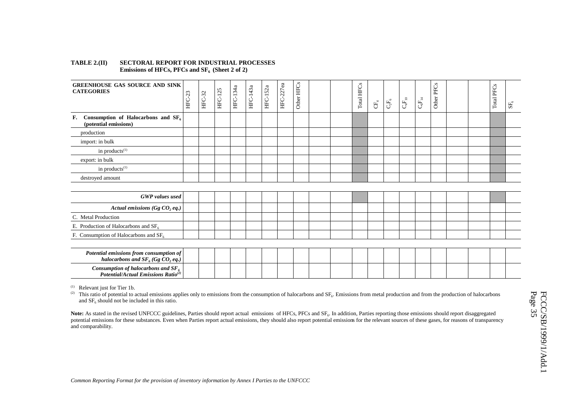### **TABLE 2.(II) SECTORAL REPORT FOR INDUSTRIAL PROCESSES** Emissions of HFCs, PFCs and SF<sub>6</sub> (Sheet 2 of 2)

| <b>GREENHOUSE GAS SOURCE AND SINK</b><br><b>CATEGORIES</b>                                 | 23<br>し<br>田 | HFC-32 | <b>HFC-125</b> | HFC-134a | HFC-143a | HFC-152a | HFC-227ea | Other HFCs | Total HFCs | $\mathbb{H}$ | $\mathbf{C} \mathbf{F}_6$ | $\mathrm{C_{4}F_{10}}$ | $\mathbf{C}_6\mathbf{F}_{14}$ | Other PFCs |  | Total PFCs | $\text{SF}_6$ |
|--------------------------------------------------------------------------------------------|--------------|--------|----------------|----------|----------|----------|-----------|------------|------------|--------------|---------------------------|------------------------|-------------------------------|------------|--|------------|---------------|
| Consumption of Halocarbons and $SF6$<br>F.<br>(potential emissions)                        |              |        |                |          |          |          |           |            |            |              |                           |                        |                               |            |  |            |               |
| production                                                                                 |              |        |                |          |          |          |           |            |            |              |                           |                        |                               |            |  |            |               |
| import: in bulk                                                                            |              |        |                |          |          |          |           |            |            |              |                           |                        |                               |            |  |            |               |
| in products <sup>(1)</sup>                                                                 |              |        |                |          |          |          |           |            |            |              |                           |                        |                               |            |  |            |               |
| export: in bulk                                                                            |              |        |                |          |          |          |           |            |            |              |                           |                        |                               |            |  |            |               |
| in products <sup>(1)</sup>                                                                 |              |        |                |          |          |          |           |            |            |              |                           |                        |                               |            |  |            |               |
| destroyed amount                                                                           |              |        |                |          |          |          |           |            |            |              |                           |                        |                               |            |  |            |               |
|                                                                                            |              |        |                |          |          |          |           |            |            |              |                           |                        |                               |            |  |            |               |
| <b>GWP</b> values used                                                                     |              |        |                |          |          |          |           |            |            |              |                           |                        |                               |            |  |            |               |
| Actual emissions (Gg $CO$ , eq.)                                                           |              |        |                |          |          |          |           |            |            |              |                           |                        |                               |            |  |            |               |
| C. Metal Production                                                                        |              |        |                |          |          |          |           |            |            |              |                           |                        |                               |            |  |            |               |
| E. Production of Halocarbons and $SF6$                                                     |              |        |                |          |          |          |           |            |            |              |                           |                        |                               |            |  |            |               |
| F. Consumption of Halocarbons and $SF6$                                                    |              |        |                |          |          |          |           |            |            |              |                           |                        |                               |            |  |            |               |
|                                                                                            |              |        |                |          |          |          |           |            |            |              |                           |                        |                               |            |  |            |               |
| Potential emissions from consumption of<br>halocarbons and $SF_6(GgCO_2 eq.)$              |              |        |                |          |          |          |           |            |            |              |                           |                        |                               |            |  |            |               |
| Consumption of halocarbons and $SF_{6}$<br>Potential/Actual Emissions Ratio <sup>(2)</sup> |              |        |                |          |          |          |           |            |            |              |                           |                        |                               |            |  |            |               |

 $(1)$  Relevant just for Tier 1b.

(2) This ratio of potential to actual emissions applies only to emissions from the consumption of halocarbons and SF<sub>6</sub>. Emissions from metal production and from the production of halocarbons and  $SF<sub>6</sub>$  should not be included in this ratio.

Note: As stated in the revised UNFCCC guidelines, Parties should report actual emissions of HFCs, PFCs and SF<sub>6</sub>. In addition, Parties reporting those emissions should report disaggregated potential emissions for these substances. Even when Parties report actual emissions, they should also report potential emissions for the relevant sources of these gases, for reasons of transparency and comparability.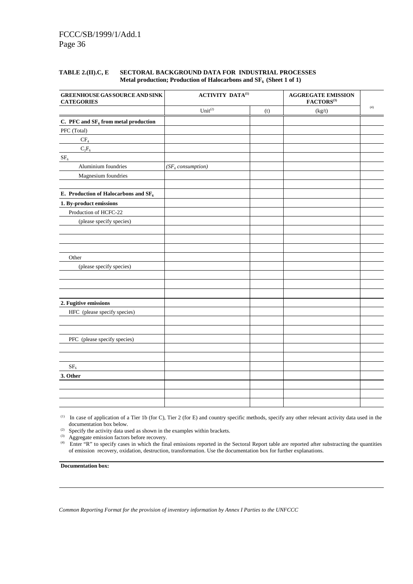### **TABLE 2.(II).C, E SECTORAL BACKGROUND DATA FOR INDUSTRIAL PROCESSES** Metal production; Production of Halocarbons and SF<sub>6</sub> (Sheet 1 of 1)

| GREENHOUSE GAS SOURCE AND SINK<br><b>CATEGORIES</b> | ACTIVITY DATA $^{(1)}$ |     | <b>AGGREGATE EMISSION</b><br>$\mathbf{FACTORS}^{\scriptscriptstyle{(3)}}$ |     |
|-----------------------------------------------------|------------------------|-----|---------------------------------------------------------------------------|-----|
|                                                     | $Unit^{(2)}$           | (t) | (kg/t)                                                                    | (4) |
| C. PFC and $SF_6$ from metal production             |                        |     |                                                                           |     |
| PFC (Total)                                         |                        |     |                                                                           |     |
| $\rm CF_4$                                          |                        |     |                                                                           |     |
| $C_2F_6$                                            |                        |     |                                                                           |     |
| SF <sub>6</sub>                                     |                        |     |                                                                           |     |
| Aluminium foundries                                 | $(SF_6$ consumption)   |     |                                                                           |     |
| Magnesium foundries                                 |                        |     |                                                                           |     |
| E. Production of Halocarbons and $SF_6$             |                        |     |                                                                           |     |
| 1. By-product emissions                             |                        |     |                                                                           |     |
| Production of HCFC-22                               |                        |     |                                                                           |     |
| (please specify species)                            |                        |     |                                                                           |     |
|                                                     |                        |     |                                                                           |     |
|                                                     |                        |     |                                                                           |     |
|                                                     |                        |     |                                                                           |     |
| Other                                               |                        |     |                                                                           |     |
| (please specify species)                            |                        |     |                                                                           |     |
|                                                     |                        |     |                                                                           |     |
|                                                     |                        |     |                                                                           |     |
|                                                     |                        |     |                                                                           |     |
| 2. Fugitive emissions                               |                        |     |                                                                           |     |
| HFC (please specify species)                        |                        |     |                                                                           |     |
|                                                     |                        |     |                                                                           |     |
|                                                     |                        |     |                                                                           |     |
| PFC (please specify species)                        |                        |     |                                                                           |     |
|                                                     |                        |     |                                                                           |     |
|                                                     |                        |     |                                                                           |     |
| $SF_6$                                              |                        |     |                                                                           |     |
| 3. Other                                            |                        |     |                                                                           |     |
|                                                     |                        |     |                                                                           |     |
|                                                     |                        |     |                                                                           |     |
|                                                     |                        |     |                                                                           |     |

(1) In case of application of a Tier 1b (for C), Tier 2 (for E) and country specific methods, specify any other relevant activity data used in the documentation box below.

(2) Specify the activity data used as shown in the examples within brackets.

(3) Aggregate emission factors before recovery.

<sup>(4)</sup> Enter "R" to specify cases in which the final emissions reported in the Sectoral Report table are reported after substracting the quantities of emission recovery, oxidation, destruction, transformation. Use the documentation box for further explanations.

**Documentation box:**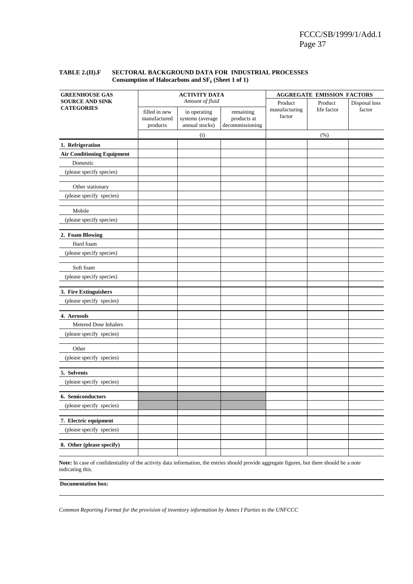### **TABLE 2.(II).F SECTORAL BACKGROUND DATA FOR INDUSTRIAL PROCESSES** Consumption of Halocarbons and  $SF<sub>6</sub>$  (Sheet 1 of 1)

| <b>GREENHOUSE GAS</b>             |                                           | <b>ACTIVITY DATA</b>                               |                                             |                         | <b>AGGREGATE EMISSION FACTORS</b> |               |
|-----------------------------------|-------------------------------------------|----------------------------------------------------|---------------------------------------------|-------------------------|-----------------------------------|---------------|
| <b>SOURCE AND SINK</b>            |                                           | Amount of fluid                                    |                                             | Product                 | Product                           | Disposal loss |
| <b>CATEGORIES</b>                 | filled in new<br>manufactured<br>products | in operating<br>systems (average<br>annual stocks) | remaining<br>products at<br>decommissioning | manufacturing<br>factor | life factor                       | factor        |
|                                   |                                           | (t)                                                |                                             |                         | $(\% )$                           |               |
| 1. Refrigeration                  |                                           |                                                    |                                             |                         |                                   |               |
| <b>Air Conditioning Equipment</b> |                                           |                                                    |                                             |                         |                                   |               |
| Domestic                          |                                           |                                                    |                                             |                         |                                   |               |
| (please specify species)          |                                           |                                                    |                                             |                         |                                   |               |
| Other stationary                  |                                           |                                                    |                                             |                         |                                   |               |
| (please specify species)          |                                           |                                                    |                                             |                         |                                   |               |
| Mobile                            |                                           |                                                    |                                             |                         |                                   |               |
| (please specify species)          |                                           |                                                    |                                             |                         |                                   |               |
| 2. Foam Blowing                   |                                           |                                                    |                                             |                         |                                   |               |
| Hard foam                         |                                           |                                                    |                                             |                         |                                   |               |
| (please specify species)          |                                           |                                                    |                                             |                         |                                   |               |
| Soft foam                         |                                           |                                                    |                                             |                         |                                   |               |
| (please specify species)          |                                           |                                                    |                                             |                         |                                   |               |
| 3. Fire Extinguishers             |                                           |                                                    |                                             |                         |                                   |               |
| (please specify species)          |                                           |                                                    |                                             |                         |                                   |               |
| 4. Aerosols                       |                                           |                                                    |                                             |                         |                                   |               |
| Metered Dose Inhalers             |                                           |                                                    |                                             |                         |                                   |               |
| (please specify species)          |                                           |                                                    |                                             |                         |                                   |               |
| Other                             |                                           |                                                    |                                             |                         |                                   |               |
| (please specify species)          |                                           |                                                    |                                             |                         |                                   |               |
| 5. Solvents                       |                                           |                                                    |                                             |                         |                                   |               |
| (please specify species)          |                                           |                                                    |                                             |                         |                                   |               |
| 6. Semiconductors                 |                                           |                                                    |                                             |                         |                                   |               |
| (please specify species)          |                                           |                                                    |                                             |                         |                                   |               |
|                                   |                                           |                                                    |                                             |                         |                                   |               |
| 7. Electric equipment             |                                           |                                                    |                                             |                         |                                   |               |
| (please specify species)          |                                           |                                                    |                                             |                         |                                   |               |
| 8. Other (please specify)         |                                           |                                                    |                                             |                         |                                   |               |

**Note:** In case of confidentiality of the activity data information, the entries should provide aggregate figures, but there should be a note indicating this.

**Documentation box:**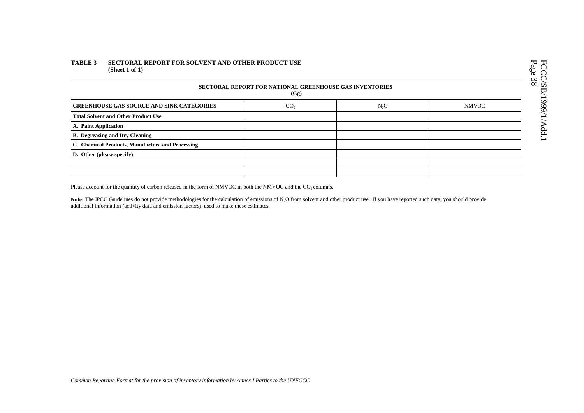### **TABLE 3 SECTORAL REPORT FOR SOLVENT AND OTHER PRODUCT USE (Sheet 1 of 1)**

| SECTORAL REPORT FOR NATIONAL GREENHOUSE GAS INVENTORIES<br>(Gg) |                 |                  |              |  |  |  |  |  |  |
|-----------------------------------------------------------------|-----------------|------------------|--------------|--|--|--|--|--|--|
| <b>GREENHOUSE GAS SOURCE AND SINK CATEGORIES</b>                | CO <sub>2</sub> | N <sub>2</sub> O | <b>NMVOC</b> |  |  |  |  |  |  |
| <b>Total Solvent and Other Product Use</b>                      |                 |                  |              |  |  |  |  |  |  |
| A. Paint Application                                            |                 |                  |              |  |  |  |  |  |  |
| <b>B.</b> Degreasing and Dry Cleaning                           |                 |                  |              |  |  |  |  |  |  |
| C. Chemical Products, Manufacture and Processing                |                 |                  |              |  |  |  |  |  |  |
| D. Other (please specify)                                       |                 |                  |              |  |  |  |  |  |  |
|                                                                 |                 |                  |              |  |  |  |  |  |  |
|                                                                 |                 |                  |              |  |  |  |  |  |  |

Please account for the quantity of carbon released in the form of NMVOC in both the NMVOC and the  $CO_2$  columns.

Note: The IPCC Guidelines do not provide methodologies for the calculation of emissions of N<sub>2</sub>O from solvent and other product use. If you have reported such data, you should provide additional information (activity data and emission factors) used to make these estimates.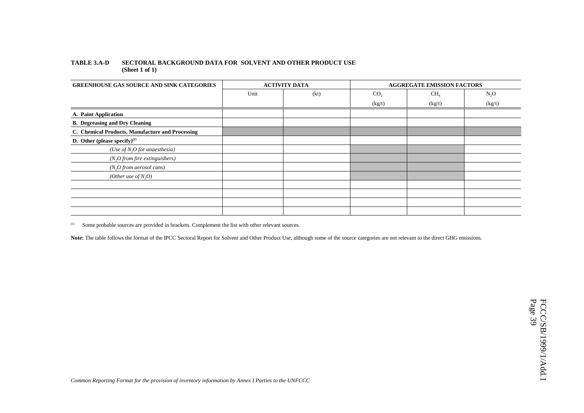### **TABLE 3.A-D SECTORAL BACKGROUND DATA FOR SOLVENT AND OTHER PRODUCT USE (Sheet 1 of 1)**

| <b>GREENHOUSE GAS SOURCE AND SINK CATEGORIES</b> |      | <b>ACTIVITY DATA</b> |                 | <b>AGGREGATE EMISSION FACTORS</b> |        |
|--------------------------------------------------|------|----------------------|-----------------|-----------------------------------|--------|
|                                                  | Unit | (kt)                 | CO <sub>2</sub> | CH <sub>4</sub>                   | $N_2O$ |
|                                                  |      |                      | (kg/t)          | (kg/t)                            | (kg/t) |
| A. Paint Application                             |      |                      |                 |                                   |        |
| <b>B.</b> Degreasing and Dry Cleaning            |      |                      |                 |                                   |        |
| C. Chemical Products, Manufacture and Processing |      |                      |                 |                                   |        |
| D. Other (please specify) $^{(1)}$               |      |                      |                 |                                   |        |
| (Use of $N_2O$ for anaesthesia)                  |      |                      |                 |                                   |        |
| $(N_2O$ from fire extinguishers)                 |      |                      |                 |                                   |        |
| (N, O from aerosol cans)                         |      |                      |                 |                                   |        |
| (Other use of $N_2O$ )                           |      |                      |                 |                                   |        |
|                                                  |      |                      |                 |                                   |        |
|                                                  |      |                      |                 |                                   |        |
|                                                  |      |                      |                 |                                   |        |
|                                                  |      |                      |                 |                                   |        |

(1) Some probable sources are provided in brackets. Complement the list with other relevant sources.

Note: The table follows the format of the IPCC Sectoral Report for Solvent and Other Product Use, although some of the source categories are not relevant to the direct GHG emissions.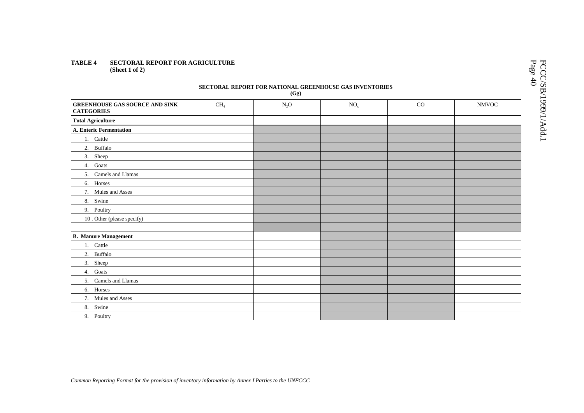### **TABLE 4 SECTORAL REPORT FOR AGRICULTURE (Sheet 1 of 2)**

| SECTORAL REPORT FOR NATIONAL GREENHOUSE GAS INVENTORIES<br>(Gg) |                 |        |                 |             |              |  |  |  |  |  |
|-----------------------------------------------------------------|-----------------|--------|-----------------|-------------|--------------|--|--|--|--|--|
| <b>GREENHOUSE GAS SOURCE AND SINK</b><br><b>CATEGORIES</b>      | CH <sub>4</sub> | $N_2O$ | NO <sub>x</sub> | $_{\rm CO}$ | <b>NMVOC</b> |  |  |  |  |  |
| <b>Total Agriculture</b>                                        |                 |        |                 |             |              |  |  |  |  |  |
| <b>A. Enteric Fermentation</b>                                  |                 |        |                 |             |              |  |  |  |  |  |
| 1. Cattle                                                       |                 |        |                 |             |              |  |  |  |  |  |
| 2. Buffalo                                                      |                 |        |                 |             |              |  |  |  |  |  |
| 3. Sheep                                                        |                 |        |                 |             |              |  |  |  |  |  |
| 4. Goats                                                        |                 |        |                 |             |              |  |  |  |  |  |
| 5. Camels and Llamas                                            |                 |        |                 |             |              |  |  |  |  |  |
| 6. Horses                                                       |                 |        |                 |             |              |  |  |  |  |  |
| 7. Mules and Asses                                              |                 |        |                 |             |              |  |  |  |  |  |
| 8. Swine                                                        |                 |        |                 |             |              |  |  |  |  |  |
| 9. Poultry                                                      |                 |        |                 |             |              |  |  |  |  |  |
| 10. Other (please specify)                                      |                 |        |                 |             |              |  |  |  |  |  |
|                                                                 |                 |        |                 |             |              |  |  |  |  |  |
| <b>B. Manure Management</b>                                     |                 |        |                 |             |              |  |  |  |  |  |
| 1. Cattle                                                       |                 |        |                 |             |              |  |  |  |  |  |
| 2. Buffalo                                                      |                 |        |                 |             |              |  |  |  |  |  |
| 3. Sheep                                                        |                 |        |                 |             |              |  |  |  |  |  |
| 4. Goats                                                        |                 |        |                 |             |              |  |  |  |  |  |
| 5. Camels and Llamas                                            |                 |        |                 |             |              |  |  |  |  |  |
| 6. Horses                                                       |                 |        |                 |             |              |  |  |  |  |  |
| 7. Mules and Asses                                              |                 |        |                 |             |              |  |  |  |  |  |
| 8. Swine                                                        |                 |        |                 |             |              |  |  |  |  |  |
| 9. Poultry                                                      |                 |        |                 |             |              |  |  |  |  |  |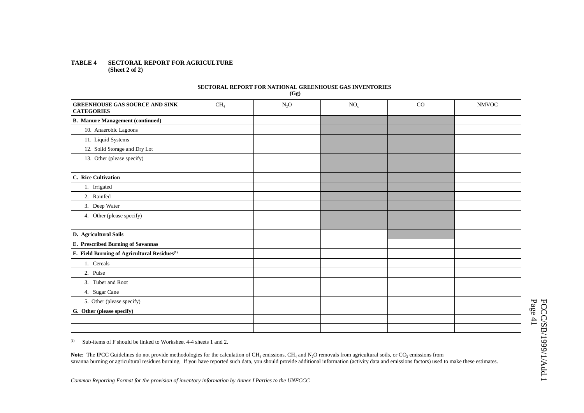### **TABLE 4 SECTORAL REPORT FOR AGRICULTURE (Sheet 2 of 2)**

| SECTORAL REPORT FOR NATIONAL GREENHOUSE GAS INVENTORIES<br>(Gg) |                 |        |                 |    |              |  |  |  |  |  |
|-----------------------------------------------------------------|-----------------|--------|-----------------|----|--------------|--|--|--|--|--|
| <b>GREENHOUSE GAS SOURCE AND SINK</b><br><b>CATEGORIES</b>      | CH <sub>4</sub> | $N_2O$ | NO <sub>x</sub> | CO | <b>NMVOC</b> |  |  |  |  |  |
| <b>B.</b> Manure Management (continued)                         |                 |        |                 |    |              |  |  |  |  |  |
| 10. Anaerobic Lagoons                                           |                 |        |                 |    |              |  |  |  |  |  |
| 11. Liquid Systems                                              |                 |        |                 |    |              |  |  |  |  |  |
| 12. Solid Storage and Dry Lot                                   |                 |        |                 |    |              |  |  |  |  |  |
| 13. Other (please specify)                                      |                 |        |                 |    |              |  |  |  |  |  |
| C. Rice Cultivation                                             |                 |        |                 |    |              |  |  |  |  |  |
| 1. Irrigated                                                    |                 |        |                 |    |              |  |  |  |  |  |
| 2. Rainfed                                                      |                 |        |                 |    |              |  |  |  |  |  |
| 3. Deep Water                                                   |                 |        |                 |    |              |  |  |  |  |  |
| 4. Other (please specify)                                       |                 |        |                 |    |              |  |  |  |  |  |
| D. Agricultural Soils                                           |                 |        |                 |    |              |  |  |  |  |  |
| E. Prescribed Burning of Savannas                               |                 |        |                 |    |              |  |  |  |  |  |
| F. Field Burning of Agricultural Residues <sup>(1)</sup>        |                 |        |                 |    |              |  |  |  |  |  |
| 1. Cereals                                                      |                 |        |                 |    |              |  |  |  |  |  |
| 2. Pulse                                                        |                 |        |                 |    |              |  |  |  |  |  |
| 3. Tuber and Root                                               |                 |        |                 |    |              |  |  |  |  |  |
| 4. Sugar Cane                                                   |                 |        |                 |    |              |  |  |  |  |  |
| 5. Other (please specify)                                       |                 |        |                 |    |              |  |  |  |  |  |
| G. Other (please specify)                                       |                 |        |                 |    |              |  |  |  |  |  |
|                                                                 |                 |        |                 |    |              |  |  |  |  |  |
|                                                                 |                 |        |                 |    |              |  |  |  |  |  |

 $\mu$ <sup>(1)</sup> Sub-items of F should be linked to Worksheet 4-4 sheets 1 and 2.

**Note:** The IPCC Guidelines do not provide methodologies for the calculation of  $CH_4$  emissions,  $CH_4$  and  $N_2O$  removals from agricultural soils, or  $CO_2$  emissions from savanna burning or agricultural residues burning. If you have reported such data, you should provide additional information (activity data and emissions factors) used to make these estimates.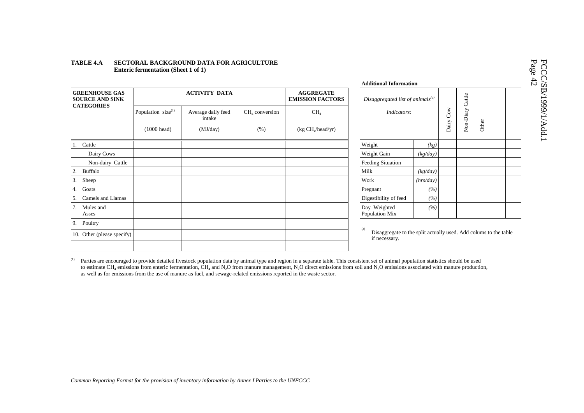|                                                 |                                |                              |      |                                             | Additional Information                                 |           |  |
|-------------------------------------------------|--------------------------------|------------------------------|------|---------------------------------------------|--------------------------------------------------------|-----------|--|
| <b>GREENHOUSE GAS</b><br><b>SOURCE AND SINK</b> |                                | <b>ACTIVITY DATA</b>         |      | <b>AGGREGATE</b><br><b>EMISSION FACTORS</b> | Disaggregated list of animals <sup>(a)</sup>           |           |  |
| <b>CATEGORIES</b>                               | Population size <sup>(1)</sup> | Average daily feed<br>intake |      | CH <sub>4</sub>                             | Indicators:                                            |           |  |
|                                                 | $(1000 \text{ head})$          | (MJ/day)                     | (% ) | (kg CH <sub>4</sub> /head/yr)               |                                                        |           |  |
| Cattle<br>1.                                    |                                |                              |      |                                             | Weight                                                 | (kg)      |  |
| Dairy Cows                                      |                                |                              |      |                                             | Weight Gain                                            | (kg/day)  |  |
| Non-dairy Cattle                                |                                |                              |      |                                             | Feeding Situation                                      |           |  |
| Buffalo<br>2.                                   |                                |                              |      |                                             | Milk                                                   | (kg/day)  |  |
| Sheep<br>3.                                     |                                |                              |      |                                             | Work                                                   | (hrs/day) |  |
| Goats<br>4.                                     |                                |                              |      |                                             | Pregnant                                               | (%)       |  |
| Camels and Llamas<br>5.                         |                                |                              |      |                                             | Digestibility of feed                                  | (%)       |  |
| Mules and<br>7.<br>Asses                        |                                |                              |      |                                             | Day Weighted<br>Population Mix                         | (%)       |  |
| Poultry<br>9.                                   |                                |                              |      |                                             |                                                        |           |  |
| 10. Other (please specify)                      |                                |                              |      |                                             | (a)<br>Disaggregate to the split actu<br>if necessary. |           |  |

### **TABLE 4.A SECTORAL BACKGROUND DATA FOR AGRICULTURE Enteric fermentation (Sheet 1 of 1)**

| <b>Additional Information</b>                                |           |           |                  |       |  |
|--------------------------------------------------------------|-----------|-----------|------------------|-------|--|
| Disaggregated list of animals $^{(a)}$<br><i>Indicators:</i> |           | Dairy Cow | Non-Diary Cattle | Other |  |
| Weight                                                       | (kg)      |           |                  |       |  |
| Weight Gain                                                  | (kg/day)  |           |                  |       |  |
| <b>Feeding Situation</b>                                     |           |           |                  |       |  |
| Milk                                                         | (kg/day)  |           |                  |       |  |
| Work                                                         | (hrs/day) |           |                  |       |  |
| Pregnant                                                     | (%)       |           |                  |       |  |
| Digestibility of feed                                        | (%)       |           |                  |       |  |
| Day Weighted<br>Population Mix                               | (%)       |           |                  |       |  |

(a) Disaggregate to the split actually used. Add colums to the table if necessary.

<sup>(1)</sup> Parties are encouraged to provide detailed livestock population data by animal type and region in a separate table. This consistent set of animal population statistics should be used to estimate CH<sub>4</sub> emissions from enteric fermentation, CH<sub>4</sub> and N<sub>2</sub>O from manure management, N<sub>2</sub>O direct emissions from soil and N<sub>2</sub>O emissions associated with manure production, as well as for emissions from the use of manure as fuel, and sewage-related emissions reported in the waste sector.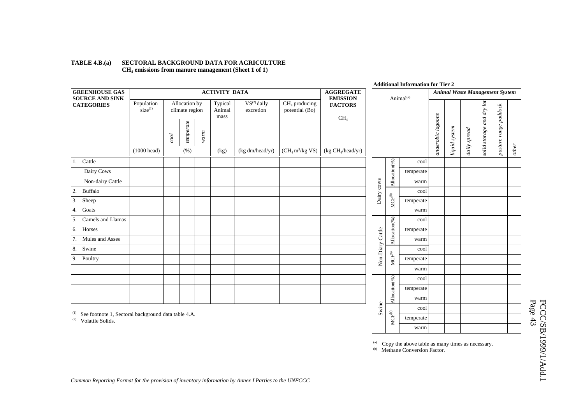|                                                            |                                   |           |                                 |      |                           |                               |                                   |                                                  |                |                                                              | <b>Additional Information for Tier 2</b> |                   |               |              |                                |                       |         |
|------------------------------------------------------------|-----------------------------------|-----------|---------------------------------|------|---------------------------|-------------------------------|-----------------------------------|--------------------------------------------------|----------------|--------------------------------------------------------------|------------------------------------------|-------------------|---------------|--------------|--------------------------------|-----------------------|---------|
| <b>GREENHOUSE GAS</b><br><b>SOURCE AND SINK</b>            |                                   |           |                                 |      | <b>ACTIVITY DATA</b>      |                               |                                   | <b>AGGREGATE</b><br><b>EMISSION</b>              |                |                                                              | Animal <sup>(a)</sup>                    |                   |               |              | Animal Waste Management System |                       |         |
| <b>CATEGORIES</b>                                          | Population<br>size <sup>(1)</sup> |           | Allocation by<br>climate region |      | Typical<br>Animal<br>mass | $VS^{(2)}$ daily<br>excretion | $CH4$ producing<br>potential (Bo) | <b>FACTORS</b>                                   |                |                                                              |                                          |                   |               |              |                                |                       |         |
|                                                            | $(1000 \text{ head})$             | $_{cool}$ | temperate<br>(% )               | warm |                           | (kg dm/head/yr)               | $(CH_4 m^3/kg$ VS)                | CH <sub>4</sub><br>(kg CH <sub>4</sub> /head/yr) |                |                                                              |                                          | anaerobic lagoons | liquid system | daily spread | solid storage and dry lot      | pasture range paddock | $other$ |
|                                                            |                                   |           |                                 |      | (kg)                      |                               |                                   |                                                  |                |                                                              |                                          |                   |               |              |                                |                       |         |
| 1. Cattle                                                  |                                   |           |                                 |      |                           |                               |                                   |                                                  |                | Allocation(%)                                                | cool                                     |                   |               |              |                                |                       |         |
| Dairy Cows                                                 |                                   |           |                                 |      |                           |                               |                                   |                                                  |                |                                                              | temperate                                |                   |               |              |                                |                       |         |
| Non-dairy Cattle                                           |                                   |           |                                 |      |                           |                               |                                   |                                                  | $_{\rm{cows}}$ |                                                              | warm                                     |                   |               |              |                                |                       |         |
| Buffalo<br>2.                                              |                                   |           |                                 |      |                           |                               |                                   |                                                  | Dairy          |                                                              | cool                                     |                   |               |              |                                |                       |         |
| 3. Sheep                                                   |                                   |           |                                 |      |                           |                               |                                   |                                                  |                | $\ensuremath{\mathsf{MCF}}\xspace^\mathrm{(b)}$              | temperate                                |                   |               |              |                                |                       |         |
| 4. Goats                                                   |                                   |           |                                 |      |                           |                               |                                   |                                                  |                |                                                              | warm                                     |                   |               |              |                                |                       |         |
| Camels and Llamas<br>5.                                    |                                   |           |                                 |      |                           |                               |                                   |                                                  |                |                                                              | cool                                     |                   |               |              |                                |                       |         |
| 6. Horses                                                  |                                   |           |                                 |      |                           |                               |                                   |                                                  |                |                                                              | temperate                                |                   |               |              |                                |                       |         |
| 7. Mules and Asses                                         |                                   |           |                                 |      |                           |                               |                                   |                                                  | Cattle         | Allocation(%)                                                | warm                                     |                   |               |              |                                |                       |         |
| 8. Swine                                                   |                                   |           |                                 |      |                           |                               |                                   |                                                  | Non-Diary      |                                                              | cool                                     |                   |               |              |                                |                       |         |
| 9. Poultry                                                 |                                   |           |                                 |      |                           |                               |                                   |                                                  |                | $\ensuremath{\mathsf{MCF}}\xspace^\ensuremath{\mathsf{(b)}}$ | temperate                                |                   |               |              |                                |                       |         |
|                                                            |                                   |           |                                 |      |                           |                               |                                   |                                                  |                |                                                              | warm                                     |                   |               |              |                                |                       |         |
|                                                            |                                   |           |                                 |      |                           |                               |                                   |                                                  |                |                                                              | cool                                     |                   |               |              |                                |                       |         |
|                                                            |                                   |           |                                 |      |                           |                               |                                   |                                                  |                |                                                              | temperate                                |                   |               |              |                                |                       |         |
|                                                            |                                   |           |                                 |      |                           |                               |                                   |                                                  |                | Allocation(%)                                                | warm                                     |                   |               |              |                                |                       |         |
|                                                            |                                   |           |                                 |      |                           |                               |                                   |                                                  | Swine          |                                                              | cool                                     |                   |               |              |                                |                       |         |
| See footnote 1, Sectoral background data table 4.A.<br>(1) |                                   |           |                                 |      |                           |                               |                                   |                                                  |                | $\ensuremath{\mathsf{MCF}}\xspace^\mathrm{(b)}$              | temperate                                |                   |               |              |                                |                       |         |
| (2)<br>Volatile Solids.                                    |                                   |           |                                 |      |                           |                               |                                   |                                                  |                |                                                              |                                          |                   |               |              |                                |                       |         |

### **TABLE 4.B.(a) SECTORAL BACKGROUND DATA FOR AGRICULTURE CH4 emissions from manure management (Sheet 1 of 1)**

(a) Copy the above table as many times as necessary.<br>
(b) Methane Conversion Factor.

temperate warm

# FCCC/SB/1999/1/Add.1<br>Page 43 FCCC/SB/1999/1/Add.1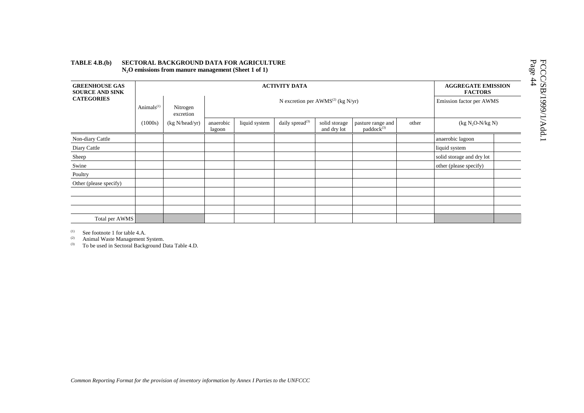| <b>GREENHOUSE GAS</b><br><b>SOURCE AND SINK</b> |               |                       | <b>AGGREGATE EMISSION</b><br><b>FACTORS</b> |               |                             |                              |                                             |       |                           |  |
|-------------------------------------------------|---------------|-----------------------|---------------------------------------------|---------------|-----------------------------|------------------------------|---------------------------------------------|-------|---------------------------|--|
| <b>CATEGORIES</b>                               | Animals $(1)$ | Nitrogen<br>excretion |                                             |               | Emission factor per AWMS    |                              |                                             |       |                           |  |
|                                                 | (1000s)       | (kg N/head/yr)        | anaerobic<br>lagoon                         | liquid system | daily spread <sup>(3)</sup> | solid storage<br>and dry lot | pasture range and<br>paddock <sup>(3)</sup> | other | $(kg N2O-N/kg N)$         |  |
| Non-diary Cattle                                |               |                       |                                             |               |                             |                              |                                             |       | anaerobic lagoon          |  |
| Diary Cattle                                    |               |                       |                                             |               |                             |                              |                                             |       | liquid system             |  |
| Sheep                                           |               |                       |                                             |               |                             |                              |                                             |       | solid storage and dry lot |  |
| Swine                                           |               |                       |                                             |               |                             |                              |                                             |       | other (please specify)    |  |
| Poultry                                         |               |                       |                                             |               |                             |                              |                                             |       |                           |  |
| Other (please specify)                          |               |                       |                                             |               |                             |                              |                                             |       |                           |  |
|                                                 |               |                       |                                             |               |                             |                              |                                             |       |                           |  |
|                                                 |               |                       |                                             |               |                             |                              |                                             |       |                           |  |
|                                                 |               |                       |                                             |               |                             |                              |                                             |       |                           |  |
| Total per AWMS                                  |               |                       |                                             |               |                             |                              |                                             |       |                           |  |

### **TABLE 4.B.(b) SECTORAL BACKGROUND DATA FOR AGRICULTURE N2O emissions from manure management (Sheet 1 of 1)**

 $^{(1)}$  See footnote 1 for table 4.A.

<sup>(2)</sup> Animal Waste Management System.

(3) To be used in Sectoral Background Data Table 4.D.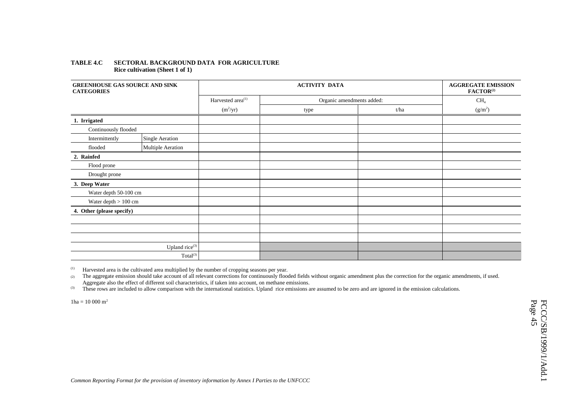### **TABLE 4.C SECTORAL BACKGROUND DATA FOR AGRICULTURE Rice cultivation (Sheet 1 of 1)**

| <b>GREENHOUSE GAS SOURCE AND SINK</b><br><b>CATEGORIES</b> |                            |                               |                           | <b>AGGREGATE EMISSION</b><br>FACTOR <sup>(2)</sup> |                 |
|------------------------------------------------------------|----------------------------|-------------------------------|---------------------------|----------------------------------------------------|-----------------|
|                                                            |                            | Harvested area <sup>(1)</sup> | Organic amendments added: |                                                    | CH <sub>4</sub> |
|                                                            |                            | $(m^2/yr)$                    | type                      | t/ha                                               | $(g/m^2)$       |
| 1. Irrigated                                               |                            |                               |                           |                                                    |                 |
| Continuously flooded                                       |                            |                               |                           |                                                    |                 |
| Intermittently                                             | Single Aeration            |                               |                           |                                                    |                 |
| flooded                                                    | Multiple Aeration          |                               |                           |                                                    |                 |
| 2. Rainfed                                                 |                            |                               |                           |                                                    |                 |
| Flood prone                                                |                            |                               |                           |                                                    |                 |
| Drought prone                                              |                            |                               |                           |                                                    |                 |
| 3. Deep Water                                              |                            |                               |                           |                                                    |                 |
| Water depth 50-100 cm                                      |                            |                               |                           |                                                    |                 |
| Water depth $>100\;cm$                                     |                            |                               |                           |                                                    |                 |
| 4. Other (please specify)                                  |                            |                               |                           |                                                    |                 |
|                                                            |                            |                               |                           |                                                    |                 |
|                                                            |                            |                               |                           |                                                    |                 |
|                                                            |                            |                               |                           |                                                    |                 |
|                                                            | Upland rice <sup>(3)</sup> |                               |                           |                                                    |                 |
|                                                            | $\mathrm{Total}^{(3)}$     |                               |                           |                                                    |                 |

(1) Harvested area is the cultivated area multiplied by the number of cropping seasons per year.

(2) The aggregate emission should take account of all relevant corrections for continuously flooded fields without organic amendment plus the correction for the organic amendments, if used. Aggregate also the effect of different soil characteristics, if taken into account, on methane emissions.

<sup>(3)</sup> These rows are included to allow comparison with the international statistics. Upland rice emissions are assumed to be zero and are ignored in the emission calculations.

 $1 \text{ha} = 10\,000 \text{ m}^2$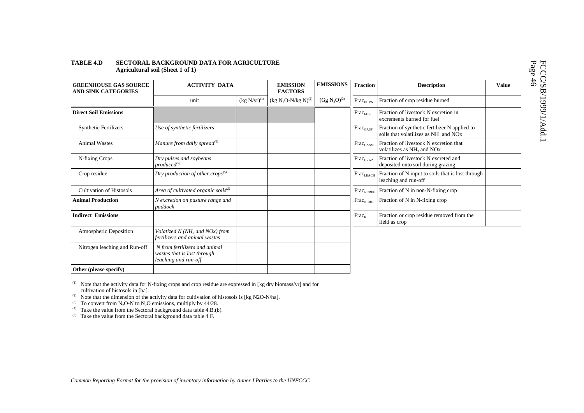### **TABLE 4.D SECTORAL BACKGROUND DATA FOR AGRICULTURE Agricultural soil (Sheet 1 of 1)**

| <b>GREENHOUSE GAS SOURCE</b><br><b>AND SINK CATEGORIES</b> | <b>ACTIVITY DATA</b>                                                                 |                   | <b>EMISSION</b><br><b>FACTORS</b> | <b>EMISSIONS</b>                     | <b>Fraction</b>              | <b>Description</b>                                                                                             | <b>Value</b> |
|------------------------------------------------------------|--------------------------------------------------------------------------------------|-------------------|-----------------------------------|--------------------------------------|------------------------------|----------------------------------------------------------------------------------------------------------------|--------------|
|                                                            | unit                                                                                 | $(kg N/yr)^{(1)}$ | $(kg N2O-N/kg N)^{(2)}$           | (Gg N <sub>2</sub> O) <sup>(3)</sup> | $\mbox{Frac}_{\rm BURN}$     | Fraction of crop residue burned                                                                                |              |
| <b>Direct Soil Emissions</b>                               |                                                                                      |                   |                                   |                                      | $\text{Frac}_{\text{FUEL}}$  | Fraction of livestock N excretion in<br>excrements burned for fuel                                             |              |
| <b>Synthetic Fertilizers</b>                               | Use of synthetic fertilizers                                                         |                   |                                   |                                      | $\text{Frac}_{\text{GASF}}$  | Fraction of synthetic fertilizer N applied to<br>soils that volatilizes as NH <sub>3</sub> and NO <sub>x</sub> |              |
| <b>Animal Wastes</b>                                       | Manure from daily spread $^{(4)}$                                                    |                   |                                   |                                      | $\text{Frac}_{\text{GASM}}$  | Fraction of livestock N excretion that<br>volatilizes as NH <sub>3</sub> and NO <sub>x</sub>                   |              |
| N-fixing Crops                                             | Dry pulses and soybeans<br>$produced^{(5)}$                                          |                   |                                   |                                      | $Frac_{\text{GRAZ}}$         | Fraction of livestock N excreted and<br>deposited onto soil during grazing                                     |              |
| Crop residue                                               | Dry production of other crops <sup>(5)</sup>                                         |                   |                                   |                                      | $ {\rm Frac}_{\rm LEACH} $   | Fraction of N input to soils that is lost through<br>leaching and run-off                                      |              |
| <b>Cultivation of Histosols</b>                            | Area of cultivated organic soils <sup>(2)</sup>                                      |                   |                                   |                                      | $\text{Frac}_{\text{NCRBF}}$ | Fraction of N in non-N-fixing crop                                                                             |              |
| <b>Animal Production</b>                                   | N excretion on pasture range and<br>paddock                                          |                   |                                   |                                      | $\text{Frac}_{\text{NCRO}}$  | Fraction of N in N-fixing crop                                                                                 |              |
| <b>Indirect Emissions</b>                                  |                                                                                      |                   |                                   |                                      | $Frac_{R}$                   | Fraction or crop residue removed from the<br>field as crop                                                     |              |
| Atmospheric Deposition                                     | Volatized N (NH <sub>3</sub> and NOx) from<br>fertilizers and animal wastes          |                   |                                   |                                      |                              |                                                                                                                |              |
| Nitrogen leaching and Run-off                              | N from fertilizers and animal<br>wastes that is lost through<br>leaching and run-off |                   |                                   |                                      |                              |                                                                                                                |              |
| Other (please specify)                                     |                                                                                      |                   |                                   |                                      |                              |                                                                                                                |              |

 $(1)$  Note that the activity data for N-fixing crops and crop residue are expressed in [kg dry biomass/yr] and for cultivation of histosols in [ha].

<sup>(2)</sup> Note that the dimension of the activity data for cultivation of histosols is [kg N2O-N/ha].

<sup>(3)</sup> To convert from N<sub>2</sub>O-N to N<sub>2</sub>O emissions, multiply by  $44/28$ .

 $^{(4)}$  Take the value from the Sectoral background data table 4.B.(b).

 $(5)$  Take the value from the Sectoral background data table 4 F.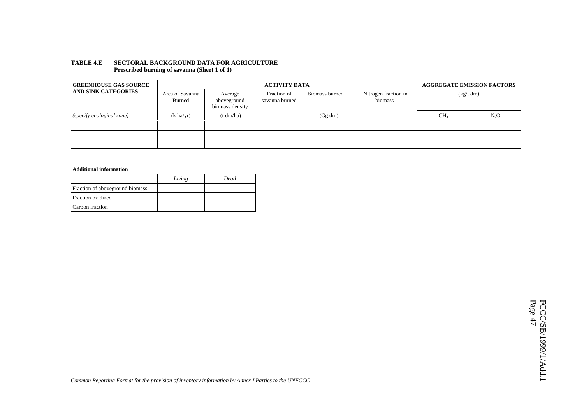| <b>GREENHOUSE GAS SOURCE</b> |                                  |                                           | <b>ACTIVITY DATA</b>                                                               |         | <b>AGGREGATE EMISSION FACTORS</b> |                  |  |
|------------------------------|----------------------------------|-------------------------------------------|------------------------------------------------------------------------------------|---------|-----------------------------------|------------------|--|
| <b>AND SINK CATEGORIES</b>   | Area of Savanna<br><b>Burned</b> | Average<br>aboveground<br>biomass density | Nitrogen fraction in<br>Fraction of<br>Biomass burned<br>biomass<br>savanna burned |         | (kg/t dm)                         |                  |  |
| (specify ecological zone)    | $(k \text{ ha/yr})$              | (t dm/ha)                                 |                                                                                    | (Gg dm) | CH <sub>4</sub>                   | N <sub>2</sub> O |  |
|                              |                                  |                                           |                                                                                    |         |                                   |                  |  |
|                              |                                  |                                           |                                                                                    |         |                                   |                  |  |
|                              |                                  |                                           |                                                                                    |         |                                   |                  |  |

### **TABLE 4.E SECTORAL BACKGROUND DATA FOR AGRICULTURE Prescribed burning of savanna (Sheet 1 of 1)**

### **Additional information**

|                                  | Living | Dead |
|----------------------------------|--------|------|
| Fraction of above ground biomass |        |      |
| Fraction oxidized                |        |      |
| Carbon fraction                  |        |      |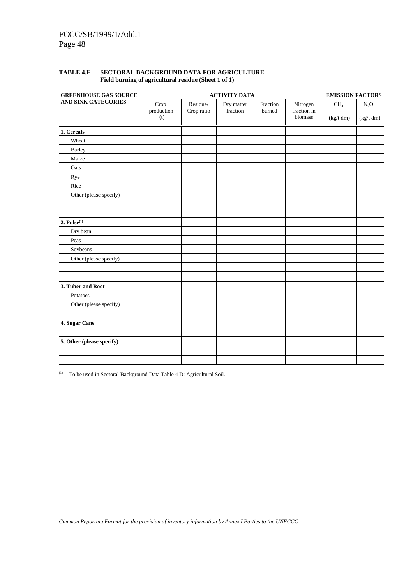| <b>GREENHOUSE GAS SOURCE</b>                                                                                                                                                                                                                                                                                                                                                |                    | <b>EMISSION FACTORS</b>            |                              |                     |  |  |
|-----------------------------------------------------------------------------------------------------------------------------------------------------------------------------------------------------------------------------------------------------------------------------------------------------------------------------------------------------------------------------|--------------------|------------------------------------|------------------------------|---------------------|--|--|
| <b>ACTIVITY DATA</b><br><b>AND SINK CATEGORIES</b><br>Crop<br>Residue/<br>Dry matter<br>production<br>fraction<br>Crop ratio<br>(t)<br>1. Cereals<br>Wheat<br><b>Barley</b><br>Maize<br>Oats<br>Rye<br>Rice<br>Other (please specify)<br>2. $Pulse(1)$<br>Dry bean<br>Peas<br>Soybeans<br>Other (please specify)<br>3. Tuber and Root<br>Potatoes<br>Other (please specify) | Fraction<br>burned | Nitrogen<br>fraction in<br>biomass | CH <sub>4</sub><br>(kg/t dm) | $N_2O$<br>(kg/t dm) |  |  |
|                                                                                                                                                                                                                                                                                                                                                                             |                    |                                    |                              |                     |  |  |
|                                                                                                                                                                                                                                                                                                                                                                             |                    |                                    |                              |                     |  |  |
|                                                                                                                                                                                                                                                                                                                                                                             |                    |                                    |                              |                     |  |  |
|                                                                                                                                                                                                                                                                                                                                                                             |                    |                                    |                              |                     |  |  |
|                                                                                                                                                                                                                                                                                                                                                                             |                    |                                    |                              |                     |  |  |
|                                                                                                                                                                                                                                                                                                                                                                             |                    |                                    |                              |                     |  |  |
|                                                                                                                                                                                                                                                                                                                                                                             |                    |                                    |                              |                     |  |  |
|                                                                                                                                                                                                                                                                                                                                                                             |                    |                                    |                              |                     |  |  |
|                                                                                                                                                                                                                                                                                                                                                                             |                    |                                    |                              |                     |  |  |
|                                                                                                                                                                                                                                                                                                                                                                             |                    |                                    |                              |                     |  |  |
|                                                                                                                                                                                                                                                                                                                                                                             |                    |                                    |                              |                     |  |  |
|                                                                                                                                                                                                                                                                                                                                                                             |                    |                                    |                              |                     |  |  |
|                                                                                                                                                                                                                                                                                                                                                                             |                    |                                    |                              |                     |  |  |
|                                                                                                                                                                                                                                                                                                                                                                             |                    |                                    |                              |                     |  |  |
|                                                                                                                                                                                                                                                                                                                                                                             |                    |                                    |                              |                     |  |  |
|                                                                                                                                                                                                                                                                                                                                                                             |                    |                                    |                              |                     |  |  |
|                                                                                                                                                                                                                                                                                                                                                                             |                    |                                    |                              |                     |  |  |
|                                                                                                                                                                                                                                                                                                                                                                             |                    |                                    |                              |                     |  |  |
|                                                                                                                                                                                                                                                                                                                                                                             |                    |                                    |                              |                     |  |  |
| 4. Sugar Cane                                                                                                                                                                                                                                                                                                                                                               |                    |                                    |                              |                     |  |  |
|                                                                                                                                                                                                                                                                                                                                                                             |                    |                                    |                              |                     |  |  |
| 5. Other (please specify)                                                                                                                                                                                                                                                                                                                                                   |                    |                                    |                              |                     |  |  |
|                                                                                                                                                                                                                                                                                                                                                                             |                    |                                    |                              |                     |  |  |
|                                                                                                                                                                                                                                                                                                                                                                             |                    |                                    |                              |                     |  |  |

## **TABLE 4.F SECTORAL BACKGROUND DATA FOR AGRICULTURE Field burning of agricultural residue (Sheet 1 of 1)**

(1) To be used in Sectoral Background Data Table 4 D: Agricultural Soil.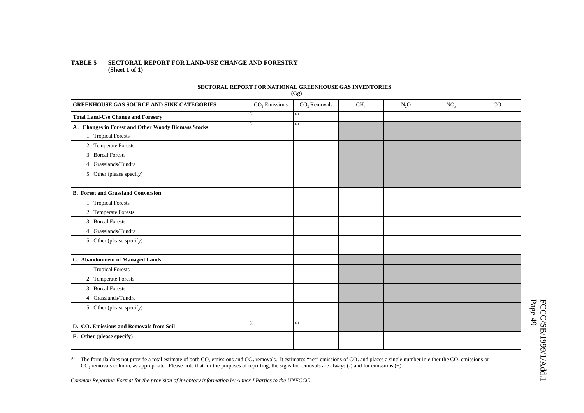### **TABLE 5 SECTORAL REPORT FOR LAND-USE CHANGE AND FORESTRY (Sheet 1 of 1)**

|                                                     | <b>SECTORAL REPORT FOR NATIONAL GREENHOUSE GAS INVENTORIES</b> | (Gg)           |                 |        |                 |    |
|-----------------------------------------------------|----------------------------------------------------------------|----------------|-----------------|--------|-----------------|----|
| <b>GREENHOUSE GAS SOURCE AND SINK CATEGORIES</b>    | $CO2$ Emissions                                                | $CO2$ Removals | CH <sub>4</sub> | $N_2O$ | NO <sub>x</sub> | CO |
| <b>Total Land-Use Change and Forestry</b>           | (1)                                                            | (1)            |                 |        |                 |    |
| A. Changes in Forest and Other Woody Biomass Stocks | (1)                                                            | (1)            |                 |        |                 |    |
| 1. Tropical Forests                                 |                                                                |                |                 |        |                 |    |
| 2. Temperate Forests                                |                                                                |                |                 |        |                 |    |
| 3. Boreal Forests                                   |                                                                |                |                 |        |                 |    |
| 4. Grasslands/Tundra                                |                                                                |                |                 |        |                 |    |
| 5. Other (please specify)                           |                                                                |                |                 |        |                 |    |
|                                                     |                                                                |                |                 |        |                 |    |
| <b>B.</b> Forest and Grassland Conversion           |                                                                |                |                 |        |                 |    |
| 1. Tropical Forests                                 |                                                                |                |                 |        |                 |    |
| 2. Temperate Forests                                |                                                                |                |                 |        |                 |    |
| 3. Boreal Forests                                   |                                                                |                |                 |        |                 |    |
| 4. Grasslands/Tundra                                |                                                                |                |                 |        |                 |    |
| 5. Other (please specify)                           |                                                                |                |                 |        |                 |    |
|                                                     |                                                                |                |                 |        |                 |    |
| C. Abandonment of Managed Lands                     |                                                                |                |                 |        |                 |    |
| 1. Tropical Forests                                 |                                                                |                |                 |        |                 |    |
| 2. Temperate Forests                                |                                                                |                |                 |        |                 |    |
| 3. Boreal Forests                                   |                                                                |                |                 |        |                 |    |
| 4. Grasslands/Tundra                                |                                                                |                |                 |        |                 |    |
| 5. Other (please specify)                           |                                                                |                |                 |        |                 |    |
|                                                     |                                                                |                |                 |        |                 |    |
| D. CO <sub>2</sub> Emissions and Removals from Soil | (1)                                                            | (1)            |                 |        |                 |    |
| E. Other (please specify)                           |                                                                |                |                 |        |                 |    |
|                                                     |                                                                |                |                 |        |                 |    |

(1) The formula does not provide a total estimate of both  $CO_2$  emissions and  $CO_2$  removals. It estimates "net" emissions of  $CO_2$  and places a single number in either the  $CO_2$  emissions or  $CO<sub>2</sub>$  removals column, as appropriate. Please note that for the purposes of reporting, the signs for removals are always (-) and for emissions (+).

*Common Reporting Format for the provision of inventory information by Annex I Parties to the UNFCCC*

FCCC/SB/1999/1/Add.1<br>Page 49 FCCC/SB/1999/1/Add.1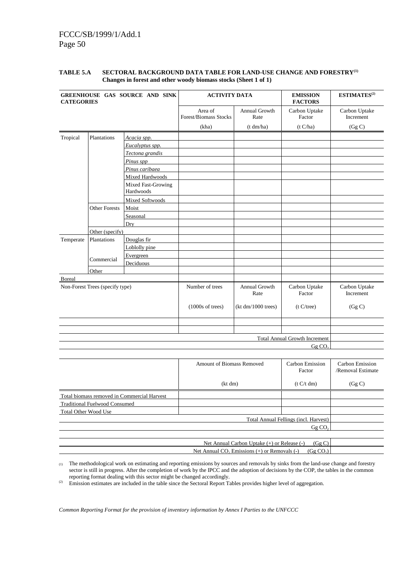# FCCC/SB/1999/1/Add.1 Page 50

| <b>CATEGORIES</b> |                                                                                                                                                                           | GREENHOUSE GAS SOURCE AND SINK  | <b>ACTIVITY DATA</b>             |                                                          | <b>EMISSION</b><br><b>FACTORS</b>     | ESTIMATES <sup>(2)</sup>             |
|-------------------|---------------------------------------------------------------------------------------------------------------------------------------------------------------------------|---------------------------------|----------------------------------|----------------------------------------------------------|---------------------------------------|--------------------------------------|
|                   |                                                                                                                                                                           |                                 | Area of<br>Forest/Biomass Stocks | Annual Growth<br>Rate                                    | Carbon Uptake<br>Factor               | Carbon Uptake<br>Increment           |
|                   |                                                                                                                                                                           |                                 | (kha)                            | (t dm/ha)                                                | (t C/ha)                              | (Gg C)                               |
| Tropical          | Plantations                                                                                                                                                               | Acacia spp.                     |                                  |                                                          |                                       |                                      |
|                   | <b>Other Forests</b><br>Plantations<br>Commercial<br>Other<br>Total biomass removed in Commercial Harvest<br><b>Traditional Fuelwood Consumed</b><br>Total Other Wood Use | Eucalyptus spp.                 |                                  |                                                          |                                       |                                      |
|                   |                                                                                                                                                                           | Tectona grandis                 |                                  |                                                          |                                       |                                      |
|                   |                                                                                                                                                                           | Pinus spp                       |                                  |                                                          |                                       |                                      |
|                   |                                                                                                                                                                           | Pinus caribaea                  |                                  |                                                          |                                       |                                      |
|                   |                                                                                                                                                                           | Mixed Hardwoods                 |                                  |                                                          |                                       |                                      |
|                   |                                                                                                                                                                           | Mixed Fast-Growing<br>Hardwoods |                                  |                                                          |                                       |                                      |
|                   | Mixed Softwoods<br>Moist<br>Seasonal                                                                                                                                      |                                 |                                  |                                                          |                                       |                                      |
|                   |                                                                                                                                                                           |                                 |                                  |                                                          |                                       |                                      |
|                   |                                                                                                                                                                           |                                 |                                  |                                                          |                                       |                                      |
|                   |                                                                                                                                                                           |                                 |                                  |                                                          |                                       |                                      |
|                   |                                                                                                                                                                           |                                 |                                  |                                                          |                                       |                                      |
| Temperate         |                                                                                                                                                                           |                                 |                                  |                                                          |                                       |                                      |
|                   | Dry<br>Other (specify)<br>Douglas fir<br>Loblolly pine<br>Evergreen<br>Deciduous<br>Non-Forest Trees (specify type)                                                       |                                 |                                  |                                                          |                                       |                                      |
|                   |                                                                                                                                                                           |                                 |                                  |                                                          |                                       |                                      |
|                   |                                                                                                                                                                           |                                 |                                  |                                                          |                                       |                                      |
|                   |                                                                                                                                                                           |                                 |                                  |                                                          |                                       |                                      |
| <b>Boreal</b>     |                                                                                                                                                                           |                                 |                                  |                                                          |                                       |                                      |
|                   |                                                                                                                                                                           |                                 | Number of trees                  | Annual Growth<br>Rate                                    | Carbon Uptake<br>Factor               | Carbon Uptake<br>Increment           |
|                   |                                                                                                                                                                           |                                 | $(1000s \text{ of trees})$       | (kt dm/1000 trees)                                       | (t C/tree)                            | (Gg C)                               |
|                   |                                                                                                                                                                           |                                 |                                  |                                                          |                                       |                                      |
|                   |                                                                                                                                                                           |                                 |                                  |                                                          | <b>Total Annual Growth Increment</b>  |                                      |
|                   |                                                                                                                                                                           |                                 |                                  |                                                          | GgCO <sub>2</sub>                     |                                      |
|                   |                                                                                                                                                                           |                                 | Amount of Biomass Removed        |                                                          | Carbon Emission<br>Factor             | Carbon Emission<br>/Removal Estimate |
|                   |                                                                                                                                                                           |                                 | (kt dm)                          |                                                          | (t C/t dm)                            | (Gg C)                               |
|                   |                                                                                                                                                                           |                                 |                                  |                                                          |                                       |                                      |
|                   |                                                                                                                                                                           |                                 |                                  |                                                          |                                       |                                      |
|                   |                                                                                                                                                                           |                                 |                                  |                                                          |                                       |                                      |
|                   |                                                                                                                                                                           |                                 |                                  |                                                          | Total Annual Fellings (incl. Harvest) |                                      |
|                   |                                                                                                                                                                           |                                 |                                  |                                                          | Gg CO <sub>2</sub>                    |                                      |
|                   |                                                                                                                                                                           |                                 |                                  |                                                          |                                       |                                      |
|                   |                                                                                                                                                                           |                                 |                                  | Net Annual Carbon Uptake (+) or Release (-)              | (Gg C)                                |                                      |
|                   |                                                                                                                                                                           |                                 |                                  | Net Annual CO <sub>2</sub> Emissions (+) or Removals (-) | (Gg CO <sub>2</sub> )                 |                                      |

### TABLE 5.A SECTORAL BACKGROUND DATA TABLE FOR LAND-USE CHANGE AND FORESTRY<sup>(1)</sup> **Changes in forest and other woody biomass stocks (Sheet 1 of 1)**

(1) The methodological work on estimating and reporting emissions by sources and removals by sinks from the land-use change and forestry sector is still in progress. After the completion of work by the IPCC and the adoption of decisions by the COP, the tables in the common reporting format dealing with this sector might be changed accordingly.

<sup>(2)</sup> Emission estimates are included in the table since the Sectoral Report Tables provides higher level of aggregation.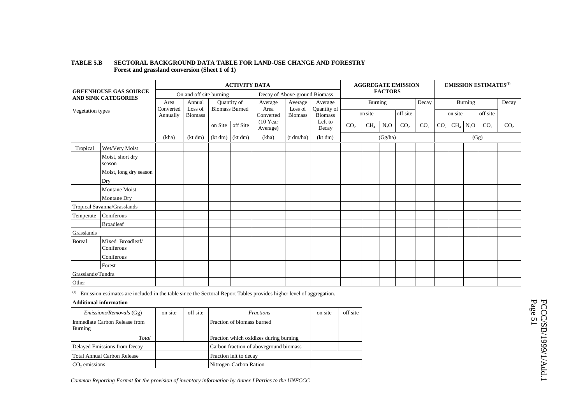|                   |                                                            |                       | <b>ACTIVITY DATA</b>      |                     |                       |                               |                           |                                          | <b>AGGREGATE EMISSION</b> |                 |                | <b>EMISSION ESTIMATES</b> <sup>(1)</sup> |                     |                 |                 |         |                 |                 |
|-------------------|------------------------------------------------------------|-----------------------|---------------------------|---------------------|-----------------------|-------------------------------|---------------------------|------------------------------------------|---------------------------|-----------------|----------------|------------------------------------------|---------------------|-----------------|-----------------|---------|-----------------|-----------------|
|                   | <b>GREENHOUSE GAS SOURCE</b><br><b>AND SINK CATEGORIES</b> |                       | On and off site burning   |                     |                       | Decay of Above-ground Biomass |                           |                                          |                           |                 | <b>FACTORS</b> |                                          |                     |                 |                 |         |                 |                 |
|                   |                                                            | Area                  | Annual                    |                     | Quantity of           | Average                       | Average                   | Average<br>Quantity of<br><b>Biomass</b> |                           | Burning         |                |                                          | Decay               |                 |                 | Burning |                 | Decay           |
| Vegetation types  |                                                            | Converted<br>Annually | Loss of<br><b>Biomass</b> |                     | <b>Biomass Burned</b> | Area<br>Converted             | Loss of<br><b>Biomass</b> |                                          | on site                   |                 | off site       |                                          | off site<br>on site |                 |                 |         |                 |                 |
|                   |                                                            |                       |                           | on Site             | off Site              | $(10$ Year<br>Average)        |                           | Left to<br>Decay                         | CO <sub>2</sub>           | CH <sub>4</sub> | $N_2O$         | CO <sub>2</sub>                          | CO <sub>2</sub>     | CO <sub>2</sub> | CH <sub>4</sub> | $N_2O$  | CO <sub>2</sub> | CO <sub>2</sub> |
|                   |                                                            | (kha)                 | (kt dm)                   | $(kt dm)$ $(kt dm)$ |                       | (kha)                         | (t dm/ha)                 | (kt dm)                                  |                           |                 | (Gg/ha)        |                                          |                     |                 |                 | (Gg)    |                 |                 |
| Tropical          | Wet/Very Moist                                             |                       |                           |                     |                       |                               |                           |                                          |                           |                 |                |                                          |                     |                 |                 |         |                 |                 |
|                   | Moist, short dry<br>season                                 |                       |                           |                     |                       |                               |                           |                                          |                           |                 |                |                                          |                     |                 |                 |         |                 |                 |
|                   | Moist, long dry season                                     |                       |                           |                     |                       |                               |                           |                                          |                           |                 |                |                                          |                     |                 |                 |         |                 |                 |
|                   | Dry                                                        |                       |                           |                     |                       |                               |                           |                                          |                           |                 |                |                                          |                     |                 |                 |         |                 |                 |
|                   | <b>Montane Moist</b>                                       |                       |                           |                     |                       |                               |                           |                                          |                           |                 |                |                                          |                     |                 |                 |         |                 |                 |
|                   | <b>Montane Dry</b>                                         |                       |                           |                     |                       |                               |                           |                                          |                           |                 |                |                                          |                     |                 |                 |         |                 |                 |
|                   | Tropical Savanna/Grasslands                                |                       |                           |                     |                       |                               |                           |                                          |                           |                 |                |                                          |                     |                 |                 |         |                 |                 |
| Temperate         | Coniferous                                                 |                       |                           |                     |                       |                               |                           |                                          |                           |                 |                |                                          |                     |                 |                 |         |                 |                 |
|                   | <b>Broadleaf</b>                                           |                       |                           |                     |                       |                               |                           |                                          |                           |                 |                |                                          |                     |                 |                 |         |                 |                 |
| Grasslands        |                                                            |                       |                           |                     |                       |                               |                           |                                          |                           |                 |                |                                          |                     |                 |                 |         |                 |                 |
| <b>B</b> oreal    | Mixed Broadleaf/<br>Coniferous                             |                       |                           |                     |                       |                               |                           |                                          |                           |                 |                |                                          |                     |                 |                 |         |                 |                 |
|                   | Coniferous                                                 |                       |                           |                     |                       |                               |                           |                                          |                           |                 |                |                                          |                     |                 |                 |         |                 |                 |
|                   | Forest                                                     |                       |                           |                     |                       |                               |                           |                                          |                           |                 |                |                                          |                     |                 |                 |         |                 |                 |
| Grasslands/Tundra |                                                            |                       |                           |                     |                       |                               |                           |                                          |                           |                 |                |                                          |                     |                 |                 |         |                 |                 |
| Other             |                                                            |                       |                           |                     |                       |                               |                           |                                          |                           |                 |                |                                          |                     |                 |                 |         |                 |                 |

### **TABLE 5.B SECTORAL BACKGROUND DATA TABLE FOR LAND-USE CHANGE AND FORESTRY Forest and grassland conversion (Sheet 1 of 1)**

 $(1)$  Emission estimates are included in the table since the Sectoral Report Tables provides higher level of aggregation.

### **Additional information**

| <i>Emissions/Removals</i> (Gg)           | on site | off site | <i>Fractions</i>                       | on site | off site |
|------------------------------------------|---------|----------|----------------------------------------|---------|----------|
| Immediate Carbon Release from<br>Burning |         |          | Fraction of biomass burned             |         |          |
| Total                                    |         |          | Fraction which oxidizes during burning |         |          |
| Delayed Emissions from Decay             |         |          | Carbon fraction of aboveground biomass |         |          |
| <b>Total Annual Carbon Release</b>       |         |          | Fraction left to decay                 |         |          |
| emissions                                |         |          | Nitrogen-Carbon Ration                 |         |          |

FCCC/SB/1999/1/Add.1<br>Page 51 FCCC/SB/1999/1/Add.1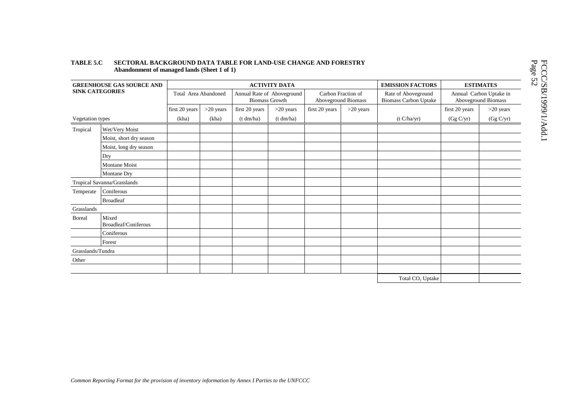### **TABLE 5.C SECTORAL BACKGROUND DATA TABLE FOR LAND-USE CHANGE AND FORESTRY Abandonment of managed lands (Sheet 1 of 1)**

| <b>GREENHOUSE GAS SOURCE AND</b><br><b>SINK CATEGORIES</b><br>Vegetation types<br>Tropical<br>Wet/Very Moist<br>Moist, short dry season<br>Moist, long dry season |                               |                      |             |                | <b>ACTIVITY DATA</b>                                | <b>EMISSION FACTORS</b> |                                           | <b>ESTIMATES</b>                                    |                |                                                |
|-------------------------------------------------------------------------------------------------------------------------------------------------------------------|-------------------------------|----------------------|-------------|----------------|-----------------------------------------------------|-------------------------|-------------------------------------------|-----------------------------------------------------|----------------|------------------------------------------------|
|                                                                                                                                                                   |                               | Total Area Abandoned |             |                | Annual Rate of Aboveground<br><b>Biomass Growth</b> |                         | Carbon Fraction of<br>Aboveground Biomass | Rate of Aboveground<br><b>Biomass Carbon Uptake</b> |                | Annual Carbon Uptake in<br>Aboveground Biomass |
|                                                                                                                                                                   |                               | first 20 years       | $>20$ years | first 20 years | $>20$ years                                         | first 20 years          | $>20$ years                               |                                                     | first 20 years | $>20$ years                                    |
|                                                                                                                                                                   |                               | (kha)                | (kha)       | (t dm/ha)      | (t dm/ha)                                           |                         |                                           | (t C/ha/yr)                                         | (Gg C/yr)      | (Gg C/yr)                                      |
|                                                                                                                                                                   |                               |                      |             |                |                                                     |                         |                                           |                                                     |                |                                                |
|                                                                                                                                                                   |                               |                      |             |                |                                                     |                         |                                           |                                                     |                |                                                |
|                                                                                                                                                                   |                               |                      |             |                |                                                     |                         |                                           |                                                     |                |                                                |
|                                                                                                                                                                   | Dry                           |                      |             |                |                                                     |                         |                                           |                                                     |                |                                                |
|                                                                                                                                                                   | <b>Montane Moist</b>          |                      |             |                |                                                     |                         |                                           |                                                     |                |                                                |
|                                                                                                                                                                   | Montane Dry                   |                      |             |                |                                                     |                         |                                           |                                                     |                |                                                |
|                                                                                                                                                                   | Tropical Savanna/Grasslands   |                      |             |                |                                                     |                         |                                           |                                                     |                |                                                |
| Temperate                                                                                                                                                         | Coniferous                    |                      |             |                |                                                     |                         |                                           |                                                     |                |                                                |
|                                                                                                                                                                   | <b>Broadleaf</b>              |                      |             |                |                                                     |                         |                                           |                                                     |                |                                                |
| Grasslands                                                                                                                                                        |                               |                      |             |                |                                                     |                         |                                           |                                                     |                |                                                |
| <b>Boreal</b>                                                                                                                                                     | Mixed<br>Broadleaf/Coniferous |                      |             |                |                                                     |                         |                                           |                                                     |                |                                                |
|                                                                                                                                                                   | Coniferous                    |                      |             |                |                                                     |                         |                                           |                                                     |                |                                                |
|                                                                                                                                                                   | Forest                        |                      |             |                |                                                     |                         |                                           |                                                     |                |                                                |
| Grasslands/Tundra                                                                                                                                                 |                               |                      |             |                |                                                     |                         |                                           |                                                     |                |                                                |
| Other                                                                                                                                                             |                               |                      |             |                |                                                     |                         |                                           |                                                     |                |                                                |
|                                                                                                                                                                   |                               |                      |             |                |                                                     |                         |                                           |                                                     |                |                                                |
|                                                                                                                                                                   |                               |                      |             |                |                                                     |                         |                                           | Total CO <sub>2</sub> Uptake                        |                |                                                |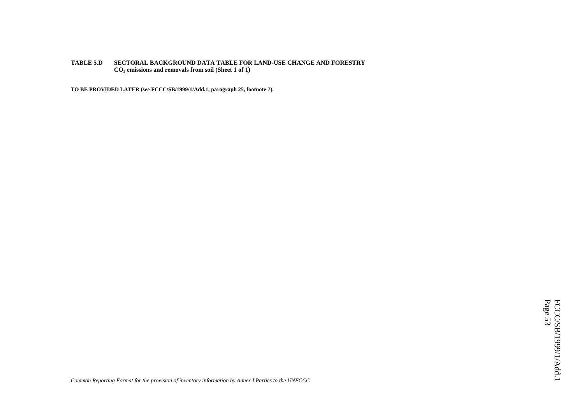### **TABLE 5.D SECTORAL BACKGROUND DATA TABLE FOR LAND-USE CHANGE AND FORESTRY** CO<sub>2</sub> emissions and removals from soil (Sheet 1 of 1)

**TO BE PROVIDED LATER (see FCCC/SB/1999/1/Add.1, paragraph 25, footnote 7).**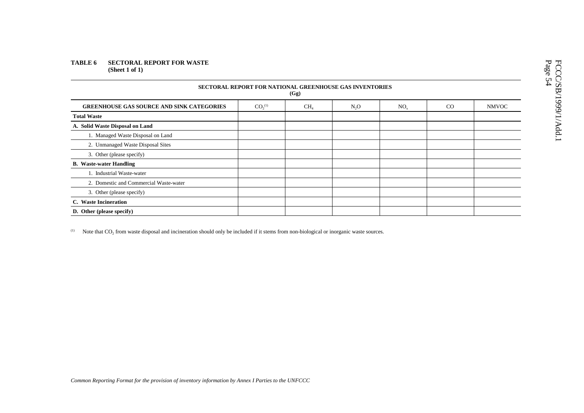### **TABLE 6 SECTORAL REPORT FOR WASTE (Sheet 1 of 1)**

| <b>SECTORAL REPORT FOR NATIONAL GREENHOUSE GAS INVENTORIES</b><br>(Gg) |                                |                 |                  |                 |    |              |  |  |  |  |
|------------------------------------------------------------------------|--------------------------------|-----------------|------------------|-----------------|----|--------------|--|--|--|--|
| <b>GREENHOUSE GAS SOURCE AND SINK CATEGORIES</b>                       | CO <sub>2</sub> <sup>(1)</sup> | CH <sub>4</sub> | N <sub>2</sub> O | NO <sub>x</sub> | CO | <b>NMVOC</b> |  |  |  |  |
| <b>Total Waste</b>                                                     |                                |                 |                  |                 |    |              |  |  |  |  |
| A. Solid Waste Disposal on Land                                        |                                |                 |                  |                 |    |              |  |  |  |  |
| 1. Managed Waste Disposal on Land                                      |                                |                 |                  |                 |    |              |  |  |  |  |
| 2. Unmanaged Waste Disposal Sites                                      |                                |                 |                  |                 |    |              |  |  |  |  |
| 3. Other (please specify)                                              |                                |                 |                  |                 |    |              |  |  |  |  |
| <b>B.</b> Waste-water Handling                                         |                                |                 |                  |                 |    |              |  |  |  |  |
| 1. Industrial Waste-water                                              |                                |                 |                  |                 |    |              |  |  |  |  |
| 2. Domestic and Commercial Waste-water                                 |                                |                 |                  |                 |    |              |  |  |  |  |
| 3. Other (please specify)                                              |                                |                 |                  |                 |    |              |  |  |  |  |
| C. Waste Incineration                                                  |                                |                 |                  |                 |    |              |  |  |  |  |
| D. Other (please specify)                                              |                                |                 |                  |                 |    |              |  |  |  |  |

 $(1)$  Note that CO<sub>2</sub> from waste disposal and incineration should only be included if it stems from non-biological or inorganic waste sources.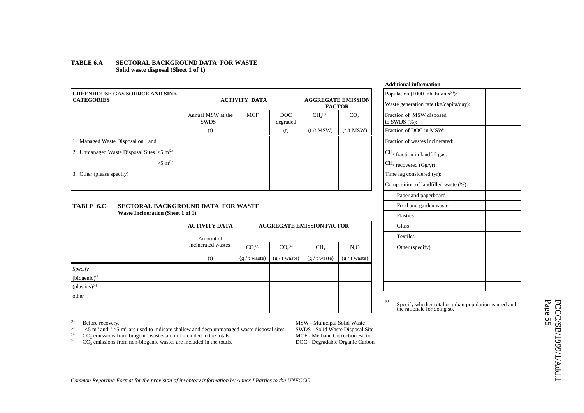### **TABLE 6.A SECTORAL BACKGROUND DATA FOR WASTE Solid waste disposal (Sheet 1 of 1)**

| <b>GREENHOUSE GAS SOURCE AND SINK</b><br><b>CATEGORIES</b>            |                                  | <b>AGGREGATE EMISSION</b><br><b>ACTIVITY DATA</b> |                        |                                |                 | Population (1000 inhabitants <sup>(a)</sup><br>Waste generation rate (kg/capi |
|-----------------------------------------------------------------------|----------------------------------|---------------------------------------------------|------------------------|--------------------------------|-----------------|-------------------------------------------------------------------------------|
|                                                                       | Annual MSW at the<br><b>SWDS</b> | <b>MCF</b>                                        | <b>DOC</b><br>degraded | CH <sub>4</sub> <sup>(1)</sup> | CO <sub>2</sub> | Fraction of MSW disposed<br>to SWDS $(\% )$ :                                 |
|                                                                       | (t)                              |                                                   | (t)                    | $(t / t$ MSW)                  | (t/t MSW)       | Fraction of DOC in MSW:                                                       |
| 1. Managed Waste Disposal on Land                                     |                                  |                                                   |                        |                                |                 | Fraction of wastes incinerated:                                               |
| 2. Unmanaged Waste Disposal Sites $\langle 5 \text{ m}^{(2)} \rangle$ |                                  |                                                   |                        |                                |                 | $CH4$ fraction in landfill gas:                                               |
| $>5$ m <sup>(2)</sup>                                                 |                                  |                                                   |                        |                                |                 | $ CH_4$ recovered (Gg/yr):                                                    |
| 3. Other (please specify)                                             |                                  |                                                   |                        |                                |                 | Time lag considered (yr):                                                     |
|                                                                       |                                  |                                                   |                        |                                |                 | Composition of landfilled was                                                 |
|                                                                       |                                  |                                                   |                        |                                |                 |                                                                               |

### **TABLE 6.C SECTORAL BACKGROUND DATA FOR WASTEWaste Incineration (Sheet 1 of 1)**

|                    | <b>ACTIVITY DATA</b>            |                 |                                | <b>AGGREGATE EMISSION FACTOR</b> |                 |
|--------------------|---------------------------------|-----------------|--------------------------------|----------------------------------|-----------------|
|                    | Amount of<br>incinerated wastes |                 |                                |                                  |                 |
|                    |                                 | $CO_2^{(3)}$    | CO <sub>2</sub> <sup>(4)</sup> | CH <sub>4</sub>                  | $N_2O$          |
|                    | (t)                             | $(g / t$ waste) | $(g / t$ waste)                | $(g / t$ waste)                  | $(g / t$ waste) |
| Specify            |                                 |                 |                                |                                  |                 |
| $(biogenic)^{(3)}$ |                                 |                 |                                |                                  |                 |
| $(plastics)^{(4)}$ |                                 |                 |                                |                                  |                 |
| other              |                                 |                 |                                |                                  |                 |
|                    |                                 |                 |                                |                                  |                 |

|                         |                       | Ацинопаг шгогшаноп                             |
|-------------------------|-----------------------|------------------------------------------------|
|                         |                       | Population (1000 inhabitants <sup>(a)</sup> ): |
| <b>FACTOR</b>           | <b>EGATE EMISSION</b> | Waste generation rate (kg/capita/day):         |
| $\bar{1}$               | CO <sub>2</sub>       | Fraction of MSW disposed<br>to SWDS (%):       |
| SW)                     | (t/t MSW)             | Fraction of DOC in MSW:                        |
|                         |                       | Fraction of wastes incinerated:                |
|                         |                       | $CH4$ fraction in landfill gas:                |
|                         |                       | $CH4$ recovered (Gg/yr):                       |
|                         |                       | Time lag considered (yr):                      |
|                         |                       | Composition of landfilled waste (%):           |
|                         |                       | Paper and paperboard                           |
|                         |                       | Food and garden waste                          |
|                         |                       | Plastics                                       |
| <b>FACTOR</b>           |                       | <b>Glass</b>                                   |
|                         |                       | <b>Textiles</b>                                |
| $\overline{\mathbf{4}}$ | N <sub>2</sub> O      | Other (specify)                                |
| aste)                   | $(g / t$ waste)       |                                                |
|                         |                       |                                                |
|                         |                       |                                                |
|                         |                       |                                                |
|                         |                       |                                                |

**Additional information**

(1) Before recovery. MSW - Municipal Solid Waste<br>
(2)  $\degree$  "<5 m" and ">5 m" are used to indicate shallow and deep unmanaged waste disposal sites SWDS - Solid Waste Disposal S (2) " $\lt$ 5 m" and ">5 m" are used to indicate shallow and deep unmanaged waste disposal sites. SWDS - Solid Waste Disposal Site<br>CO<sub>2</sub> emissions from biogenic wastes are not included in the totals. MCF - Methane Correction

 $CO<sub>2</sub>$  emissions from non-biogenic wastes are included in the totals.

(3) CO<sub>2</sub> emissions from biogenic wastes are not included in the totals. MCF - Methane Correction Factor<br>
(4) CO<sub>2</sub> emissions from non-biogenic wastes are included in the totals. DOC - Degradable Organic Carbon

(a) Specify whether total or urban population is used and the rationale for doing so.

FCCC/SB/1999/1/Add.1<br>Page 55 FCCC/SB/1999/1/Add.1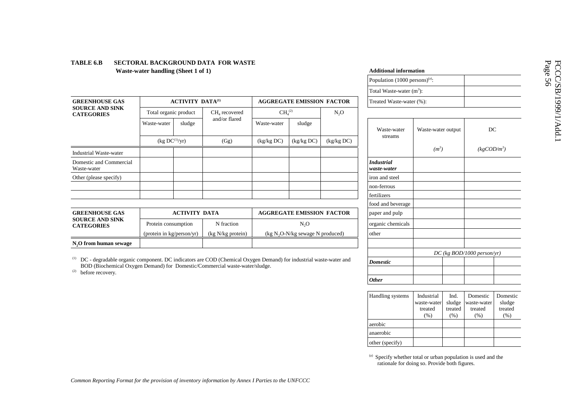|                                             |                            |                         |                   |                                |                                    |                  | Total Waste-water $(m^3)$ :      |            |
|---------------------------------------------|----------------------------|-------------------------|-------------------|--------------------------------|------------------------------------|------------------|----------------------------------|------------|
| <b>GREENHOUSE GAS</b>                       |                            | <b>ACTIVITY DATA(1)</b> |                   |                                | <b>AGGREGATE EMISSION FACTOR</b>   |                  | Treated Waste-water (%)          |            |
| <b>SOURCE AND SINK</b><br><b>CATEGORIES</b> | Total organic product      |                         | $CH4$ recovered   | CH <sub>4</sub> <sup>(2)</sup> |                                    | N <sub>2</sub> O |                                  |            |
|                                             | Waste-water                | sludge                  | and/or flared     | Waste-water                    | sludge                             |                  | Waste-water                      | <b>Was</b> |
|                                             | (kg DC <sup>(1)</sup> /yr) |                         | (Gg)              | (kg/kg DC)                     | (kg/kg DC)                         | (kg/kg DC)       | streams                          |            |
| <b>Industrial Waste-water</b>               |                            |                         |                   |                                |                                    |                  |                                  |            |
| Domestic and Commercial<br>Waste-water      |                            |                         |                   |                                |                                    |                  | <b>Industrial</b><br>waste-water |            |
| Other (please specify)                      |                            |                         |                   |                                |                                    |                  | iron and steel                   |            |
|                                             |                            |                         |                   |                                |                                    |                  | non-ferrous                      |            |
|                                             |                            |                         |                   |                                |                                    |                  | fertilizers                      |            |
|                                             |                            |                         |                   |                                |                                    |                  | food and beverage                |            |
| <b>GREENHOUSE GAS</b>                       |                            | <b>ACTIVITY DATA</b>    |                   |                                | <b>AGGREGATE EMISSION FACTOR</b>   |                  | paper and pulp                   |            |
| <b>SOURCE AND SINK</b><br><b>CATEGORIES</b> | Protein consumption        |                         | N fraction        |                                | N <sub>2</sub> O                   |                  | organic chemicals                |            |
|                                             | (protein in kg/person/yr)  |                         | (kg N/kg protein) |                                | (kg $N_2O-N/kg$ sewage N produced) |                  | other                            |            |
| N <sub>,</sub> O from human sewage          |                            |                         |                   |                                |                                    |                  |                                  |            |
|                                             |                            |                         |                   |                                |                                    |                  |                                  |            |

### **TABLE 6.B SECTORAL BACKGROUND DATA FOR WASTE Waste-water handling (Sheet 1 of 1)**

 $(1)$  DC - degradable organic component. DC indicators are COD (Chemical Oxygen Demand) for industrial waste-water and BOD (Biochemical Oxygen Demand) for Domestic/Commercial waste-water/sludge.

 $2^{2}$  before recovery.

| Population (1000 persons) <sup>(a)</sup> : |                                              |                                      |                                            |                                       |
|--------------------------------------------|----------------------------------------------|--------------------------------------|--------------------------------------------|---------------------------------------|
| Total Waste-water (m <sup>3</sup> ):       |                                              |                                      |                                            |                                       |
| Treated Waste-water (%):                   |                                              |                                      |                                            |                                       |
|                                            |                                              |                                      |                                            |                                       |
| Waste-water<br>streams                     | Waste-water output                           |                                      | DC                                         |                                       |
|                                            | $(m^3)$                                      |                                      | $(kgCOD/m^3)$                              |                                       |
| <b>Industrial</b><br>waste-water           |                                              |                                      |                                            |                                       |
| iron and steel                             |                                              |                                      |                                            |                                       |
| non-ferrous                                |                                              |                                      |                                            |                                       |
| fertilizers                                |                                              |                                      |                                            |                                       |
| food and beverage                          |                                              |                                      |                                            |                                       |
| paper and pulp                             |                                              |                                      |                                            |                                       |
| organic chemicals                          |                                              |                                      |                                            |                                       |
| other                                      |                                              |                                      |                                            |                                       |
|                                            |                                              |                                      | $DC$ (kg BOD/1000 person/yr)               |                                       |
| <b>Domestic</b>                            |                                              |                                      |                                            |                                       |
| <b>Other</b>                               |                                              |                                      |                                            |                                       |
| Handling systems                           | Industrial<br>waste-water<br>treated<br>(% ) | Ind.<br>sludge<br>treated<br>$(\% )$ | Domestic<br>waste-water<br>treated<br>(% ) | Domestic<br>sludge<br>treated<br>(% ) |
| aerobic                                    |                                              |                                      |                                            |                                       |
| anaerobic                                  |                                              |                                      |                                            |                                       |
| other (specify)                            |                                              |                                      |                                            |                                       |

(a) Specify whether total or urban population is used and the rationale for doing so. Provide both figures.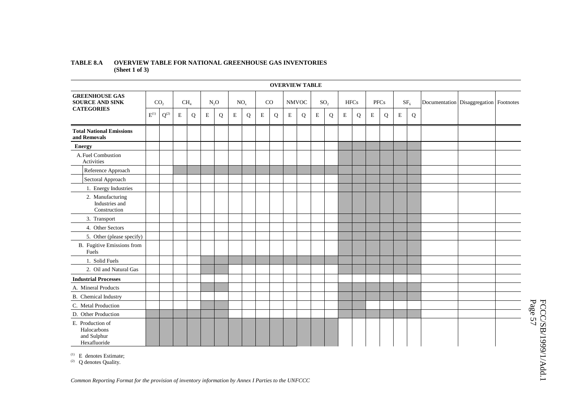### **TABLE 8.A OVERVIEW TABLE FOR NATIONAL GREENHOUSE GAS INVENTORIES (Sheet 1 of 3)**

|                                                                | <b>OVERVIEW TABLE</b> |                 |                           |   |             |                 |             |    |             |   |              |   |                 |             |             |      |             |   |                 |                                            |  |  |
|----------------------------------------------------------------|-----------------------|-----------------|---------------------------|---|-------------|-----------------|-------------|----|-------------|---|--------------|---|-----------------|-------------|-------------|------|-------------|---|-----------------|--------------------------------------------|--|--|
| <b>GREENHOUSE GAS</b><br><b>SOURCE AND SINK</b>                |                       | CO <sub>2</sub> | CH <sub>4</sub><br>$N_2O$ |   |             | NO <sub>x</sub> |             | CO |             |   | <b>NMVOC</b> |   | SO <sub>2</sub> | <b>HFCs</b> |             | PFCs |             |   | SF <sub>6</sub> | Documentation   Disaggregation   Footnotes |  |  |
| <b>CATEGORIES</b>                                              | $\mathbf{E}^{(1)}$    | $Q^{(2)}$       | $\mathbf E$               | Q | $\mathbf E$ | Q               | $\mathbf E$ | Q  | $\mathbf E$ | Q | $\mathbf E$  | Q | $\mathbf E$     | Q           | $\mathbf E$ | Q    | $\mathbf E$ | Q | $\mathbf E$     | Q                                          |  |  |
| <b>Total National Emissions</b><br>and Removals                |                       |                 |                           |   |             |                 |             |    |             |   |              |   |                 |             |             |      |             |   |                 |                                            |  |  |
| <b>Energy</b>                                                  |                       |                 |                           |   |             |                 |             |    |             |   |              |   |                 |             |             |      |             |   |                 |                                            |  |  |
| A. Fuel Combustion<br>Activities                               |                       |                 |                           |   |             |                 |             |    |             |   |              |   |                 |             |             |      |             |   |                 |                                            |  |  |
| Reference Approach                                             |                       |                 |                           |   |             |                 |             |    |             |   |              |   |                 |             |             |      |             |   |                 |                                            |  |  |
| Sectoral Approach                                              |                       |                 |                           |   |             |                 |             |    |             |   |              |   |                 |             |             |      |             |   |                 |                                            |  |  |
| 1. Energy Industries                                           |                       |                 |                           |   |             |                 |             |    |             |   |              |   |                 |             |             |      |             |   |                 |                                            |  |  |
| 2. Manufacturing<br>Industries and<br>Construction             |                       |                 |                           |   |             |                 |             |    |             |   |              |   |                 |             |             |      |             |   |                 |                                            |  |  |
| 3. Transport                                                   |                       |                 |                           |   |             |                 |             |    |             |   |              |   |                 |             |             |      |             |   |                 |                                            |  |  |
| 4. Other Sectors                                               |                       |                 |                           |   |             |                 |             |    |             |   |              |   |                 |             |             |      |             |   |                 |                                            |  |  |
| 5. Other (please specify)                                      |                       |                 |                           |   |             |                 |             |    |             |   |              |   |                 |             |             |      |             |   |                 |                                            |  |  |
| B. Fugitive Emissions from<br>Fuels                            |                       |                 |                           |   |             |                 |             |    |             |   |              |   |                 |             |             |      |             |   |                 |                                            |  |  |
| 1. Solid Fuels                                                 |                       |                 |                           |   |             |                 |             |    |             |   |              |   |                 |             |             |      |             |   |                 |                                            |  |  |
| 2. Oil and Natural Gas                                         |                       |                 |                           |   |             |                 |             |    |             |   |              |   |                 |             |             |      |             |   |                 |                                            |  |  |
| <b>Industrial Processes</b>                                    |                       |                 |                           |   |             |                 |             |    |             |   |              |   |                 |             |             |      |             |   |                 |                                            |  |  |
| A. Mineral Products                                            |                       |                 |                           |   |             |                 |             |    |             |   |              |   |                 |             |             |      |             |   |                 |                                            |  |  |
| B. Chemical Industry                                           |                       |                 |                           |   |             |                 |             |    |             |   |              |   |                 |             |             |      |             |   |                 |                                            |  |  |
| C. Metal Production                                            |                       |                 |                           |   |             |                 |             |    |             |   |              |   |                 |             |             |      |             |   |                 |                                            |  |  |
| D. Other Production                                            |                       |                 |                           |   |             |                 |             |    |             |   |              |   |                 |             |             |      |             |   |                 |                                            |  |  |
| E. Production of<br>Halocarbons<br>and Sulphur<br>Hexafluoride |                       |                 |                           |   |             |                 |             |    |             |   |              |   |                 |             |             |      |             |   |                 |                                            |  |  |

(1) E denotes Estimate;

 $(2)$  Q denotes Quality.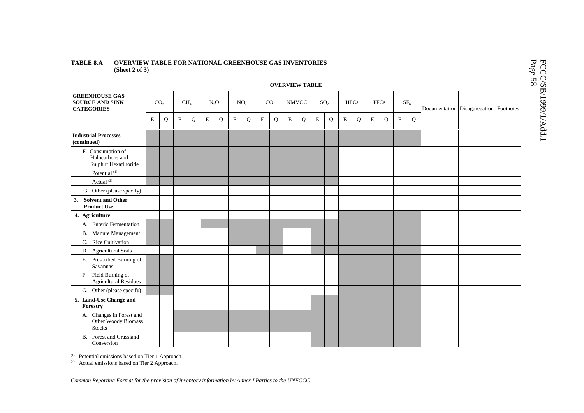### **TABLE 8.A OVERVIEW TABLE FOR NATIONAL GREENHOUSE GAS INVENTORIES (Sheet 2 of 3)**

| <b>OVERVIEW TABLE</b>                                                |   |                 |             |                 |   |        |   |                 |             |    |              |   |             |                 |   |             |             |             |             |                 |  |                                        |
|----------------------------------------------------------------------|---|-----------------|-------------|-----------------|---|--------|---|-----------------|-------------|----|--------------|---|-------------|-----------------|---|-------------|-------------|-------------|-------------|-----------------|--|----------------------------------------|
| <b>GREENHOUSE GAS</b><br><b>SOURCE AND SINK</b><br><b>CATEGORIES</b> |   | CO <sub>2</sub> |             | CH <sub>4</sub> |   | $N_2O$ |   | NO <sub>x</sub> |             | CO | <b>NMVOC</b> |   |             | SO <sub>2</sub> |   | <b>HFCs</b> |             | <b>PFCs</b> |             | SF <sub>6</sub> |  | Documentation Disaggregation Footnotes |
|                                                                      | E | Q               | $\mathbf E$ | Q               | E | Q      | E | Q               | $\mathbf E$ | Q  | E            | Q | $\mathbf E$ | Q               | E | Q           | $\mathbf E$ | Q           | $\mathbf E$ | $\mathbf Q$     |  |                                        |
| <b>Industrial Processes</b><br>(continued)                           |   |                 |             |                 |   |        |   |                 |             |    |              |   |             |                 |   |             |             |             |             |                 |  |                                        |
| F. Consumption of<br>Halocarbons and<br>Sulphur Hexafluoride         |   |                 |             |                 |   |        |   |                 |             |    |              |   |             |                 |   |             |             |             |             |                 |  |                                        |
| Potential <sup>(1)</sup>                                             |   |                 |             |                 |   |        |   |                 |             |    |              |   |             |                 |   |             |             |             |             |                 |  |                                        |
| Actual <sup>(2)</sup>                                                |   |                 |             |                 |   |        |   |                 |             |    |              |   |             |                 |   |             |             |             |             |                 |  |                                        |
| G. Other (please specify)                                            |   |                 |             |                 |   |        |   |                 |             |    |              |   |             |                 |   |             |             |             |             |                 |  |                                        |
| <b>Solvent and Other</b><br>3.<br><b>Product Use</b>                 |   |                 |             |                 |   |        |   |                 |             |    |              |   |             |                 |   |             |             |             |             |                 |  |                                        |
| 4. Agriculture                                                       |   |                 |             |                 |   |        |   |                 |             |    |              |   |             |                 |   |             |             |             |             |                 |  |                                        |
| A. Enteric Fermentation                                              |   |                 |             |                 |   |        |   |                 |             |    |              |   |             |                 |   |             |             |             |             |                 |  |                                        |
| <b>B.</b> Manure Management                                          |   |                 |             |                 |   |        |   |                 |             |    |              |   |             |                 |   |             |             |             |             |                 |  |                                        |
| C. Rice Cultivation                                                  |   |                 |             |                 |   |        |   |                 |             |    |              |   |             |                 |   |             |             |             |             |                 |  |                                        |
| D. Agricultural Soils                                                |   |                 |             |                 |   |        |   |                 |             |    |              |   |             |                 |   |             |             |             |             |                 |  |                                        |
| E. Prescribed Burning of<br>Savannas                                 |   |                 |             |                 |   |        |   |                 |             |    |              |   |             |                 |   |             |             |             |             |                 |  |                                        |
| F. Field Burning of<br><b>Agricultural Residues</b>                  |   |                 |             |                 |   |        |   |                 |             |    |              |   |             |                 |   |             |             |             |             |                 |  |                                        |
| G. Other (please specify)                                            |   |                 |             |                 |   |        |   |                 |             |    |              |   |             |                 |   |             |             |             |             |                 |  |                                        |
| 5. Land-Use Change and<br>Forestry                                   |   |                 |             |                 |   |        |   |                 |             |    |              |   |             |                 |   |             |             |             |             |                 |  |                                        |
| A. Changes in Forest and<br>Other Woody Biomass<br><b>Stocks</b>     |   |                 |             |                 |   |        |   |                 |             |    |              |   |             |                 |   |             |             |             |             |                 |  |                                        |
| B. Forest and Grassland<br>Conversion                                |   |                 |             |                 |   |        |   |                 |             |    |              |   |             |                 |   |             |             |             |             |                 |  |                                        |

 $(1)$  Potential emissions based on Tier 1 Approach.

(2) Actual emissions based on Tier 2 Approach.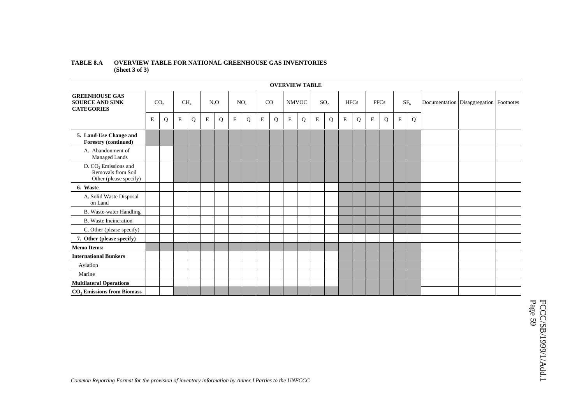### **TABLE 8.A OVERVIEW TABLE FOR NATIONAL GREENHOUSE GAS INVENTORIES (Sheet 3 of 3)**

|                                                                        | <b>OVERVIEW TABLE</b> |                 |             |                 |   |                  |             |                 |             |    |             |              |             |                 |             |             |             |             |             |                 |                                        |  |
|------------------------------------------------------------------------|-----------------------|-----------------|-------------|-----------------|---|------------------|-------------|-----------------|-------------|----|-------------|--------------|-------------|-----------------|-------------|-------------|-------------|-------------|-------------|-----------------|----------------------------------------|--|
| <b>GREENHOUSE GAS</b><br><b>SOURCE AND SINK</b><br><b>CATEGORIES</b>   |                       | CO <sub>2</sub> |             | CH <sub>4</sub> |   | N <sub>2</sub> O |             | NO <sub>x</sub> |             | CO |             | <b>NMVOC</b> |             | SO <sub>2</sub> |             | <b>HFCs</b> |             | <b>PFCs</b> |             | SF <sub>6</sub> | Documentation Disaggregation Footnotes |  |
|                                                                        | E                     | Q               | $\mathbf E$ | Q               | E | Q                | $\mathbf E$ | Q               | $\mathbf E$ | Q  | $\mathbf E$ | Q            | $\mathbf E$ | Q               | $\mathbf E$ | Q           | $\mathbf E$ | Q           | $\mathbf E$ | Q               |                                        |  |
| 5. Land-Use Change and<br><b>Forestry (continued)</b>                  |                       |                 |             |                 |   |                  |             |                 |             |    |             |              |             |                 |             |             |             |             |             |                 |                                        |  |
| A. Abandonment of<br>Managed Lands                                     |                       |                 |             |                 |   |                  |             |                 |             |    |             |              |             |                 |             |             |             |             |             |                 |                                        |  |
| $D. CO2$ Emissions and<br>Removals from Soil<br>Other (please specify) |                       |                 |             |                 |   |                  |             |                 |             |    |             |              |             |                 |             |             |             |             |             |                 |                                        |  |
| 6. Waste                                                               |                       |                 |             |                 |   |                  |             |                 |             |    |             |              |             |                 |             |             |             |             |             |                 |                                        |  |
| A. Solid Waste Disposal<br>on Land                                     |                       |                 |             |                 |   |                  |             |                 |             |    |             |              |             |                 |             |             |             |             |             |                 |                                        |  |
| <b>B.</b> Waste-water Handling                                         |                       |                 |             |                 |   |                  |             |                 |             |    |             |              |             |                 |             |             |             |             |             |                 |                                        |  |
| <b>B.</b> Waste Incineration                                           |                       |                 |             |                 |   |                  |             |                 |             |    |             |              |             |                 |             |             |             |             |             |                 |                                        |  |
| C. Other (please specify)                                              |                       |                 |             |                 |   |                  |             |                 |             |    |             |              |             |                 |             |             |             |             |             |                 |                                        |  |
| 7. Other (please specify)                                              |                       |                 |             |                 |   |                  |             |                 |             |    |             |              |             |                 |             |             |             |             |             |                 |                                        |  |
| <b>Memo Items:</b>                                                     |                       |                 |             |                 |   |                  |             |                 |             |    |             |              |             |                 |             |             |             |             |             |                 |                                        |  |
| <b>International Bunkers</b>                                           |                       |                 |             |                 |   |                  |             |                 |             |    |             |              |             |                 |             |             |             |             |             |                 |                                        |  |
| Aviation                                                               |                       |                 |             |                 |   |                  |             |                 |             |    |             |              |             |                 |             |             |             |             |             |                 |                                        |  |
| Marine                                                                 |                       |                 |             |                 |   |                  |             |                 |             |    |             |              |             |                 |             |             |             |             |             |                 |                                        |  |
| <b>Multilateral Operations</b>                                         |                       |                 |             |                 |   |                  |             |                 |             |    |             |              |             |                 |             |             |             |             |             |                 |                                        |  |
| <b>CO, Emissions from Biomass</b>                                      |                       |                 |             |                 |   |                  |             |                 |             |    |             |              |             |                 |             |             |             |             |             |                 |                                        |  |

# FCCC/SB/1999/1/Add.1<br>Page 59 FCCC/SB/1999/1/Add.1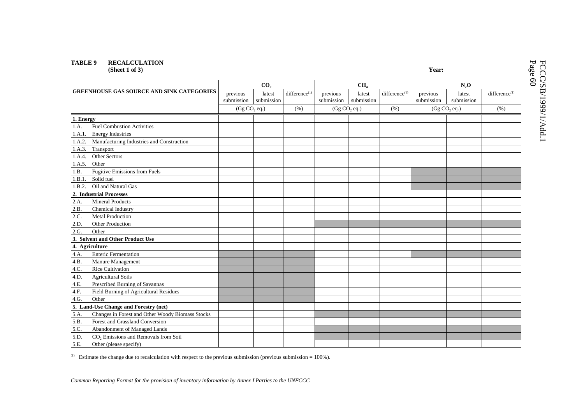# **TABLE 9 RECALCULATION**

**(Sheet 1 of 3) Year:**

|           |                                                  |                          | CO <sub>2</sub>      |                           |                          | CH <sub>4</sub>      |                     | N,0                      |                      |                           |  |
|-----------|--------------------------------------------------|--------------------------|----------------------|---------------------------|--------------------------|----------------------|---------------------|--------------------------|----------------------|---------------------------|--|
|           | <b>GREENHOUSE GAS SOURCE AND SINK CATEGORIES</b> | previous<br>submission   | latest<br>submission | difference <sup>(1)</sup> | previous<br>submission   | latest<br>submission | difference $^{(1)}$ | previous<br>submission   | latest<br>submission | difference <sup>(1)</sup> |  |
|           |                                                  | (Gg CO <sub>2</sub> eq.) |                      | (% )                      | (Gg CO <sub>2</sub> eq.) |                      | (% )                | (Gg CO <sub>2</sub> eq.) |                      | (% )                      |  |
| 1. Energy |                                                  |                          |                      |                           |                          |                      |                     |                          |                      |                           |  |
| 1.A.      | <b>Fuel Combustion Activities</b>                |                          |                      |                           |                          |                      |                     |                          |                      |                           |  |
| 1.A.1.    | <b>Energy Industries</b>                         |                          |                      |                           |                          |                      |                     |                          |                      |                           |  |
| 1.A.2.    | Manufacturing Industries and Construction        |                          |                      |                           |                          |                      |                     |                          |                      |                           |  |
| 1.A.3.    | Transport                                        |                          |                      |                           |                          |                      |                     |                          |                      |                           |  |
| 1.A.4.    | Other Sectors                                    |                          |                      |                           |                          |                      |                     |                          |                      |                           |  |
| 1.A.5.    | Other                                            |                          |                      |                           |                          |                      |                     |                          |                      |                           |  |
| 1.B.      | <b>Fugitive Emissions from Fuels</b>             |                          |                      |                           |                          |                      |                     |                          |                      |                           |  |
| 1.B.1.    | Solid fuel                                       |                          |                      |                           |                          |                      |                     |                          |                      |                           |  |
| 1.B.2.    | Oil and Natural Gas                              |                          |                      |                           |                          |                      |                     |                          |                      |                           |  |
|           | 2. Industrial Processes                          |                          |                      |                           |                          |                      |                     |                          |                      |                           |  |
| 2.A.      | <b>Mineral Products</b>                          |                          |                      |                           |                          |                      |                     |                          |                      |                           |  |
| 2.B.      | Chemical Industry                                |                          |                      |                           |                          |                      |                     |                          |                      |                           |  |
| 2.C.      | <b>Metal Production</b>                          |                          |                      |                           |                          |                      |                     |                          |                      |                           |  |
| 2.D.      | Other Production                                 |                          |                      |                           |                          |                      |                     |                          |                      |                           |  |
| 2.G.      | Other                                            |                          |                      |                           |                          |                      |                     |                          |                      |                           |  |
|           | 3. Solvent and Other Product Use                 |                          |                      |                           |                          |                      |                     |                          |                      |                           |  |
|           | 4. Agriculture                                   |                          |                      |                           |                          |                      |                     |                          |                      |                           |  |
| 4.A.      | <b>Enteric Fermentation</b>                      |                          |                      |                           |                          |                      |                     |                          |                      |                           |  |
| 4.B.      | Manure Management                                |                          |                      |                           |                          |                      |                     |                          |                      |                           |  |
| 4.C.      | <b>Rice Cultivation</b>                          |                          |                      |                           |                          |                      |                     |                          |                      |                           |  |
| 4.D.      | <b>Agricultural Soils</b>                        |                          |                      |                           |                          |                      |                     |                          |                      |                           |  |
| 4.E.      | Prescribed Burning of Savannas                   |                          |                      |                           |                          |                      |                     |                          |                      |                           |  |
| 4.F.      | Field Burning of Agricultural Residues           |                          |                      |                           |                          |                      |                     |                          |                      |                           |  |
| 4.G.      | Other                                            |                          |                      |                           |                          |                      |                     |                          |                      |                           |  |
|           | 5. Land-Use Change and Forestry (net)            |                          |                      |                           |                          |                      |                     |                          |                      |                           |  |
| 5.A.      | Changes in Forest and Other Woody Biomass Stocks |                          |                      |                           |                          |                      |                     |                          |                      |                           |  |
| 5.B.      | Forest and Grassland Conversion                  |                          |                      |                           |                          |                      |                     |                          |                      |                           |  |
| 5.C.      | Abandonment of Managed Lands                     |                          |                      |                           |                          |                      |                     |                          |                      |                           |  |
| 5.D.      | CO <sub>2</sub> Emissions and Removals from Soil |                          |                      |                           |                          |                      |                     |                          |                      |                           |  |
| 5.E.      | Other (please specify)                           |                          |                      |                           |                          |                      |                     |                          |                      |                           |  |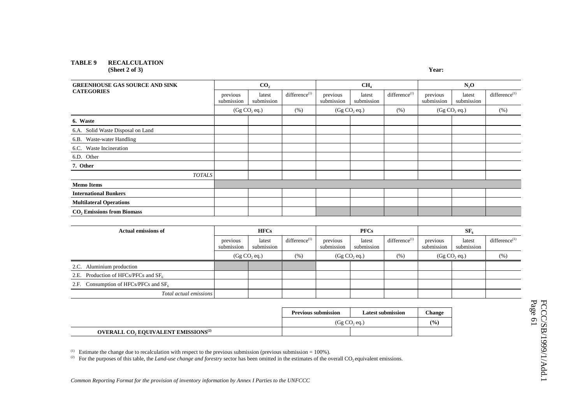# **TABLE 9 RECALCULATION**

**(Sheet 2 of 3)** 

| ×<br>۰, |
|---------|
|---------|

| <b>GREENHOUSE GAS SOURCE AND SINK</b>  |                          | CO <sub>2</sub>      |                           |                        | CH <sub>4</sub>          |                           | $N_2O$                   |                      |                     |
|----------------------------------------|--------------------------|----------------------|---------------------------|------------------------|--------------------------|---------------------------|--------------------------|----------------------|---------------------|
| <b>CATEGORIES</b>                      | previous<br>submission   | latest<br>submission | difference <sup>(1)</sup> | previous<br>submission | latest<br>submission     | difference <sup>(1)</sup> | previous<br>submission   | latest<br>submission | difference $^{(1)}$ |
|                                        | (Gg CO <sub>2</sub> eq.) |                      | (% )                      |                        | (Gg CO <sub>2</sub> eq.) | (% )                      | (Gg CO <sub>2</sub> eq.) |                      | $(\% )$             |
| 6. Waste                               |                          |                      |                           |                        |                          |                           |                          |                      |                     |
| 6.A. Solid Waste Disposal on Land      |                          |                      |                           |                        |                          |                           |                          |                      |                     |
| 6.B. Waste-water Handling              |                          |                      |                           |                        |                          |                           |                          |                      |                     |
| 6.C. Waste Incineration                |                          |                      |                           |                        |                          |                           |                          |                      |                     |
| 6.D. Other                             |                          |                      |                           |                        |                          |                           |                          |                      |                     |
| 7. Other                               |                          |                      |                           |                        |                          |                           |                          |                      |                     |
| <b>TOTALS</b>                          |                          |                      |                           |                        |                          |                           |                          |                      |                     |
| <b>Memo Items</b>                      |                          |                      |                           |                        |                          |                           |                          |                      |                     |
| <b>International Bunkers</b>           |                          |                      |                           |                        |                          |                           |                          |                      |                     |
| <b>Multilateral Operations</b>         |                          |                      |                           |                        |                          |                           |                          |                      |                     |
| CO <sub>2</sub> Emissions from Biomass |                          |                      |                           |                        |                          |                           |                          |                      |                     |

| <b>Actual emissions of</b>               |                        | <b>HFCs</b>          |                           |                        | <b>PFCs</b>          |                           | SF <sub>6</sub>        |                      |                     |  |
|------------------------------------------|------------------------|----------------------|---------------------------|------------------------|----------------------|---------------------------|------------------------|----------------------|---------------------|--|
|                                          | previous<br>submission | latest<br>submission | difference <sup>(1)</sup> | previous<br>submission | latest<br>submission | difference <sup>(1)</sup> | previous<br>submission | latest<br>submission | difference $^{(1)}$ |  |
|                                          | (Gg CO, eq.)           |                      | (% )                      | (Gg CO, eq.)           |                      | (% )                      | (Gg CO, eq.)           |                      | (% )                |  |
| 2.C. Aluminium production                |                        |                      |                           |                        |                      |                           |                        |                      |                     |  |
| 2.E. Production of HFCs/PFCs and $SF6$   |                        |                      |                           |                        |                      |                           |                        |                      |                     |  |
| 2.F. Consumption of HFCs/PFCs and $SF_6$ |                        |                      |                           |                        |                      |                           |                        |                      |                     |  |
| Total actual emissions                   |                        |                      |                           |                        |                      |                           |                        |                      |                     |  |

|                                                        | <b>Previous submission</b> | <b>Latest submission</b> | <b>Change</b> |
|--------------------------------------------------------|----------------------------|--------------------------|---------------|
|                                                        | (Gg CO, eq.)               |                          | $\frac{1}{2}$ |
| <b>OVERALL CO, EQUIVALENT EMISSIONS</b> <sup>(2)</sup> |                            |                          |               |

<sup>(1)</sup> Estimate the change due to recalculation with respect to the previous submission (previous submission =  $100\%$ ).

(2) For the purposes of this table, the *Land-use change and forestry* sector has been omitted in the estimates of the overall CO<sub>2</sub> equivalent emissions.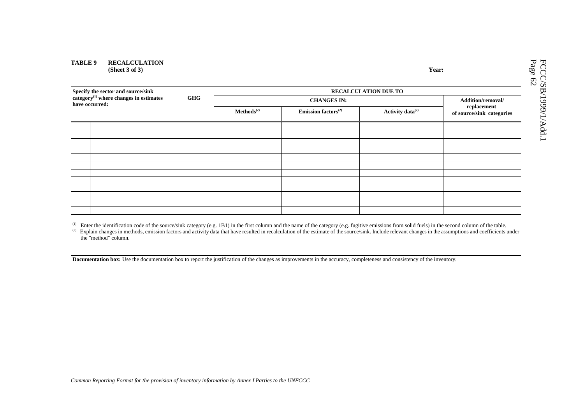### **TABLE 9 RECALCULATION (Sheet 3 of 3) Year:**

|                                                                                                            |            | <b>RECALCULATION DUE TO</b> |                                          |  |                   |  |  |  |  |  |  |  |
|------------------------------------------------------------------------------------------------------------|------------|-----------------------------|------------------------------------------|--|-------------------|--|--|--|--|--|--|--|
| Specify the sector and source/sink<br>category <sup>(1)</sup> where changes in estimates<br>have occurred: | <b>GHG</b> |                             | <b>CHANGES IN:</b>                       |  | Addition/removal/ |  |  |  |  |  |  |  |
|                                                                                                            |            | Methods <sup>(2)</sup>      | replacement<br>of source/sink categories |  |                   |  |  |  |  |  |  |  |
|                                                                                                            |            |                             |                                          |  |                   |  |  |  |  |  |  |  |
|                                                                                                            |            |                             |                                          |  |                   |  |  |  |  |  |  |  |
|                                                                                                            |            |                             |                                          |  |                   |  |  |  |  |  |  |  |
|                                                                                                            |            |                             |                                          |  |                   |  |  |  |  |  |  |  |
|                                                                                                            |            |                             |                                          |  |                   |  |  |  |  |  |  |  |
|                                                                                                            |            |                             |                                          |  |                   |  |  |  |  |  |  |  |
|                                                                                                            |            |                             |                                          |  |                   |  |  |  |  |  |  |  |
|                                                                                                            |            |                             |                                          |  |                   |  |  |  |  |  |  |  |
|                                                                                                            |            |                             |                                          |  |                   |  |  |  |  |  |  |  |
|                                                                                                            |            |                             |                                          |  |                   |  |  |  |  |  |  |  |
|                                                                                                            |            |                             |                                          |  |                   |  |  |  |  |  |  |  |
|                                                                                                            |            |                             |                                          |  |                   |  |  |  |  |  |  |  |

(1) Enter the identification code of the source/sink category (e.g. 1B1) in the first column and the name of the category (e.g. fugitive emissions from solid fuels) in the second column of the table.

(2) Explain changes in methods, emission factors and activity data that have resulted in recalculation of the estimate of the source/sink. Include relevant changes in the assumptions and coefficients under the "method" column.

**Documentation box:** Use the documentation box to report the justification of the changes as improvements in the accuracy, completeness and consistency of the inventory.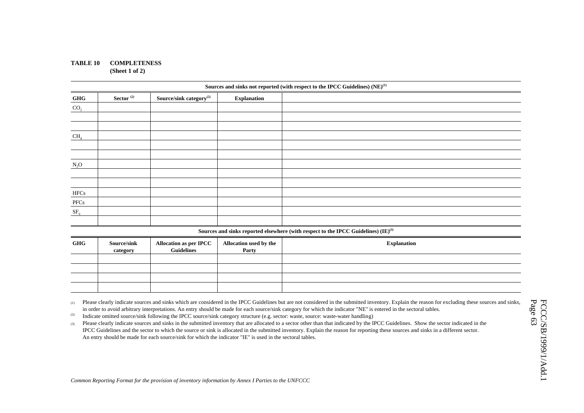### **TABLE 10 COMPLETENESS (Sheet 1 of 2)**

|                 |                         |                                                    |                                 | Sources and sinks not reported (with respect to the IPCC Guidelines) (NE) <sup>(1)</sup> |
|-----------------|-------------------------|----------------------------------------------------|---------------------------------|------------------------------------------------------------------------------------------|
| GHG             | Sector <sup>(2)</sup>   | Source/sink category <sup>(2)</sup>                | <b>Explanation</b>              |                                                                                          |
| CO <sub>2</sub> |                         |                                                    |                                 |                                                                                          |
|                 |                         |                                                    |                                 |                                                                                          |
|                 |                         |                                                    |                                 |                                                                                          |
| $CH_4$          |                         |                                                    |                                 |                                                                                          |
|                 |                         |                                                    |                                 |                                                                                          |
|                 |                         |                                                    |                                 |                                                                                          |
| $N_2O$          |                         |                                                    |                                 |                                                                                          |
|                 |                         |                                                    |                                 |                                                                                          |
|                 |                         |                                                    |                                 |                                                                                          |
| <b>HFCs</b>     |                         |                                                    |                                 |                                                                                          |
| PFCs            |                         |                                                    |                                 |                                                                                          |
| SF <sub>6</sub> |                         |                                                    |                                 |                                                                                          |
|                 |                         |                                                    |                                 |                                                                                          |
|                 |                         |                                                    |                                 | Sources and sinks reported elsewhere (with respect to the IPCC Guidelines) $(IE)^{(3)}$  |
| <b>GHG</b>      | Source/sink<br>category | <b>Allocation as per IPCC</b><br><b>Guidelines</b> | Allocation used by the<br>Party | <b>Explanation</b>                                                                       |

| <b>GHG</b> | <b>Source/sink</b><br>category | Allocation as per IPCC<br><b>Guidelines</b> | Allocation used by the<br>Party | <b>Explanation</b> |
|------------|--------------------------------|---------------------------------------------|---------------------------------|--------------------|
|            |                                |                                             |                                 |                    |
|            |                                |                                             |                                 |                    |
|            |                                |                                             |                                 |                    |
|            |                                |                                             |                                 |                    |

(1) Please clearly indicate sources and sinks which are considered in the IPCC Guidelines but are not considered in the submitted inventory. Explain the reason for excluding these sources and sinks, in order to avoid arbitrary interpretations. An entry should be made for each source/sink category for which the indicator "NE" is entered in the sectoral tables.

<sup>(2)</sup> Indicate omitted source/sink following the IPCC source/sink category structure (e.g. sector: waste, source: waste-water handling)

(3) Please clearly indicate sources and sinks in the submitted inventory that are allocated to a sector other than that indicated by the IPCC Guidelines. Show the sector indicated in the IPCC Guidelines and the sector to which the source or sink is allocated in the submitted inventory. Explain the reason for reporting these sources and sinks in a different sector. An entry should be made for each source/sink for which the indicator "IE" is used in the sectoral tables.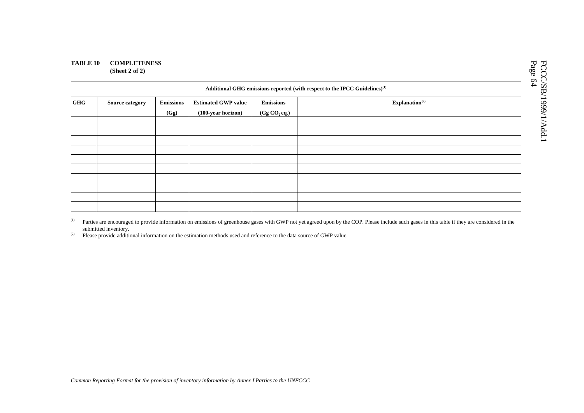### **TABLE 10 COMPLETENESS (Sheet 2 of 2)**

|            | Additional GHG emissions reported (with respect to the IPCC Guidelines) <sup>(1)</sup> |                          |                                                  |                                              |                            |  |  |  |  |  |  |  |
|------------|----------------------------------------------------------------------------------------|--------------------------|--------------------------------------------------|----------------------------------------------|----------------------------|--|--|--|--|--|--|--|
| <b>GHG</b> | <b>Source category</b>                                                                 | <b>Emissions</b><br>(Gg) | <b>Estimated GWP value</b><br>(100-year horizon) | <b>Emissions</b><br>(Gg CO <sub>2</sub> eq.) | Explanation <sup>(2)</sup> |  |  |  |  |  |  |  |
|            |                                                                                        |                          |                                                  |                                              |                            |  |  |  |  |  |  |  |
|            |                                                                                        |                          |                                                  |                                              |                            |  |  |  |  |  |  |  |
|            |                                                                                        |                          |                                                  |                                              |                            |  |  |  |  |  |  |  |
|            |                                                                                        |                          |                                                  |                                              |                            |  |  |  |  |  |  |  |
|            |                                                                                        |                          |                                                  |                                              |                            |  |  |  |  |  |  |  |

(1) Parties are encouraged to provide information on emissions of greenhouse gases with GWP not yet agreed upon by the COP. Please include such gases in this table if they are considered in the submitted inventory.

<sup>(2)</sup> Please provide additional information on the estimation methods used and reference to the data source of GWP value.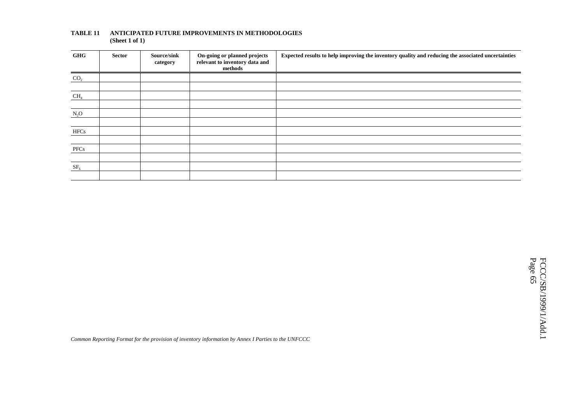| GHG             | <b>Sector</b> | Source/sink<br>category | On-going or planned projects<br>relevant to inventory data and<br>methods | Expected results to help improving the inventory quality and reducing the associated uncertainties |
|-----------------|---------------|-------------------------|---------------------------------------------------------------------------|----------------------------------------------------------------------------------------------------|
| CO <sub>2</sub> |               |                         |                                                                           |                                                                                                    |
|                 |               |                         |                                                                           |                                                                                                    |
| CH <sub>4</sub> |               |                         |                                                                           |                                                                                                    |
|                 |               |                         |                                                                           |                                                                                                    |
| $N_2O$          |               |                         |                                                                           |                                                                                                    |
|                 |               |                         |                                                                           |                                                                                                    |
| <b>HFCs</b>     |               |                         |                                                                           |                                                                                                    |
|                 |               |                         |                                                                           |                                                                                                    |
| PFCs            |               |                         |                                                                           |                                                                                                    |
|                 |               |                         |                                                                           |                                                                                                    |
| SF <sub>6</sub> |               |                         |                                                                           |                                                                                                    |
|                 |               |                         |                                                                           |                                                                                                    |

### **TABLE 11 ANTICIPATED FUTURE IMPROVEMENTS IN METHODOLOGIES (Sheet 1 of 1)**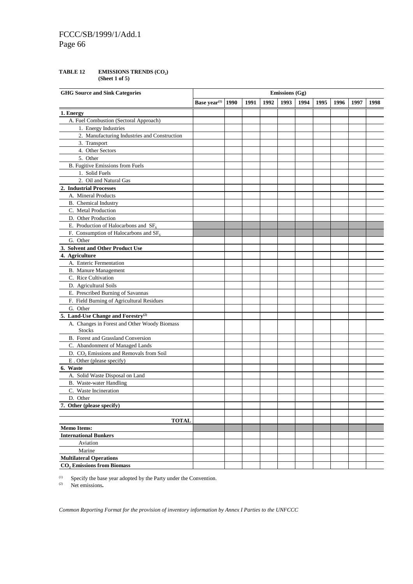# FCCC/SB/1999/1/Add.1 Page 66

### TABLE 12 **EMISSIONS TRENDS (CO<sub>2</sub>) (Sheet 1 of 5)**

| <b>GHG Source and Sink Categories</b>                         |                            |      |      |      | <b>Emissions</b> (Gg) |      |      |      |      |      |
|---------------------------------------------------------------|----------------------------|------|------|------|-----------------------|------|------|------|------|------|
|                                                               | Base $\mathbf{year}^{(1)}$ | 1990 | 1991 | 1992 | 1993                  | 1994 | 1995 | 1996 | 1997 | 1998 |
| 1. Energy                                                     |                            |      |      |      |                       |      |      |      |      |      |
| A. Fuel Combustion (Sectoral Approach)                        |                            |      |      |      |                       |      |      |      |      |      |
| 1. Energy Industries                                          |                            |      |      |      |                       |      |      |      |      |      |
| 2. Manufacturing Industries and Construction                  |                            |      |      |      |                       |      |      |      |      |      |
| 3. Transport                                                  |                            |      |      |      |                       |      |      |      |      |      |
| 4. Other Sectors                                              |                            |      |      |      |                       |      |      |      |      |      |
| 5. Other                                                      |                            |      |      |      |                       |      |      |      |      |      |
| B. Fugitive Emissions from Fuels                              |                            |      |      |      |                       |      |      |      |      |      |
| 1. Solid Fuels                                                |                            |      |      |      |                       |      |      |      |      |      |
| 2. Oil and Natural Gas                                        |                            |      |      |      |                       |      |      |      |      |      |
| 2. Industrial Processes                                       |                            |      |      |      |                       |      |      |      |      |      |
| A. Mineral Products                                           |                            |      |      |      |                       |      |      |      |      |      |
| B. Chemical Industry                                          |                            |      |      |      |                       |      |      |      |      |      |
| C. Metal Production                                           |                            |      |      |      |                       |      |      |      |      |      |
| D. Other Production                                           |                            |      |      |      |                       |      |      |      |      |      |
| E. Production of Halocarbons and $SF6$                        |                            |      |      |      |                       |      |      |      |      |      |
| F. Consumption of Halocarbons and $SF6$                       |                            |      |      |      |                       |      |      |      |      |      |
| G. Other                                                      |                            |      |      |      |                       |      |      |      |      |      |
| 3. Solvent and Other Product Use                              |                            |      |      |      |                       |      |      |      |      |      |
| 4. Agriculture                                                |                            |      |      |      |                       |      |      |      |      |      |
| A. Enteric Fermentation                                       |                            |      |      |      |                       |      |      |      |      |      |
| <b>B.</b> Manure Management                                   |                            |      |      |      |                       |      |      |      |      |      |
| C. Rice Cultivation                                           |                            |      |      |      |                       |      |      |      |      |      |
| D. Agricultural Soils                                         |                            |      |      |      |                       |      |      |      |      |      |
| E. Prescribed Burning of Savannas                             |                            |      |      |      |                       |      |      |      |      |      |
| F. Field Burning of Agricultural Residues                     |                            |      |      |      |                       |      |      |      |      |      |
| G. Other                                                      |                            |      |      |      |                       |      |      |      |      |      |
| 5. Land-Use Change and Forestry <sup>(2)</sup>                |                            |      |      |      |                       |      |      |      |      |      |
| A. Changes in Forest and Other Woody Biomass<br><b>Stocks</b> |                            |      |      |      |                       |      |      |      |      |      |
| B. Forest and Grassland Conversion                            |                            |      |      |      |                       |      |      |      |      |      |
| C. Abandonment of Managed Lands                               |                            |      |      |      |                       |      |      |      |      |      |
| D. CO <sub>2</sub> Emissions and Removals from Soil           |                            |      |      |      |                       |      |      |      |      |      |
| E . Other (please specify)                                    |                            |      |      |      |                       |      |      |      |      |      |
| 6. Waste                                                      |                            |      |      |      |                       |      |      |      |      |      |
| A. Solid Waste Disposal on Land                               |                            |      |      |      |                       |      |      |      |      |      |
| B. Waste-water Handling                                       |                            |      |      |      |                       |      |      |      |      |      |
| C. Waste Incineration                                         |                            |      |      |      |                       |      |      |      |      |      |
| D. Other                                                      |                            |      |      |      |                       |      |      |      |      |      |
| 7. Other (please specify)                                     |                            |      |      |      |                       |      |      |      |      |      |
|                                                               |                            |      |      |      |                       |      |      |      |      |      |
| <b>TOTAL</b>                                                  |                            |      |      |      |                       |      |      |      |      |      |
| <b>Memo Items:</b>                                            |                            |      |      |      |                       |      |      |      |      |      |
| <b>International Bunkers</b>                                  |                            |      |      |      |                       |      |      |      |      |      |
| Aviation                                                      |                            |      |      |      |                       |      |      |      |      |      |
| Marine                                                        |                            |      |      |      |                       |      |      |      |      |      |
| <b>Multilateral Operations</b>                                |                            |      |      |      |                       |      |      |      |      |      |
| <b>CO, Emissions from Biomass</b>                             |                            |      |      |      |                       |      |      |      |      |      |

(1) Specify the base year adopted by the Party under the Convention.<br>  $\frac{1}{2}$  Net amissions

(2) Net emissions**.**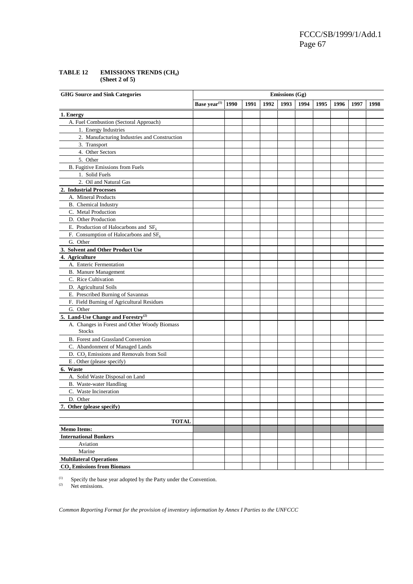FCCC/SB/1999/1/Add.1 Page 67

## **TABLE 12 EMISSIONS TRENDS (CH4) (Sheet 2 of 5)**

| <b>GHG Source and Sink Categories</b>                         |                          |      |      |      | <b>Emissions (Gg)</b> |      |      |      |      |      |
|---------------------------------------------------------------|--------------------------|------|------|------|-----------------------|------|------|------|------|------|
|                                                               | Base year <sup>(1)</sup> | 1990 | 1991 | 1992 | 1993                  | 1994 | 1995 | 1996 | 1997 | 1998 |
| 1. Energy                                                     |                          |      |      |      |                       |      |      |      |      |      |
| A. Fuel Combustion (Sectoral Approach)                        |                          |      |      |      |                       |      |      |      |      |      |
| 1. Energy Industries                                          |                          |      |      |      |                       |      |      |      |      |      |
| 2. Manufacturing Industries and Construction                  |                          |      |      |      |                       |      |      |      |      |      |
| 3. Transport                                                  |                          |      |      |      |                       |      |      |      |      |      |
| 4. Other Sectors                                              |                          |      |      |      |                       |      |      |      |      |      |
| 5. Other                                                      |                          |      |      |      |                       |      |      |      |      |      |
| B. Fugitive Emissions from Fuels                              |                          |      |      |      |                       |      |      |      |      |      |
| 1. Solid Fuels                                                |                          |      |      |      |                       |      |      |      |      |      |
| 2. Oil and Natural Gas                                        |                          |      |      |      |                       |      |      |      |      |      |
| 2. Industrial Processes                                       |                          |      |      |      |                       |      |      |      |      |      |
| A. Mineral Products                                           |                          |      |      |      |                       |      |      |      |      |      |
| B. Chemical Industry                                          |                          |      |      |      |                       |      |      |      |      |      |
| C. Metal Production                                           |                          |      |      |      |                       |      |      |      |      |      |
| D. Other Production                                           |                          |      |      |      |                       |      |      |      |      |      |
| E. Production of Halocarbons and $SF6$                        |                          |      |      |      |                       |      |      |      |      |      |
| F. Consumption of Halocarbons and $SF6$                       |                          |      |      |      |                       |      |      |      |      |      |
| G. Other                                                      |                          |      |      |      |                       |      |      |      |      |      |
| 3. Solvent and Other Product Use                              |                          |      |      |      |                       |      |      |      |      |      |
| 4. Agriculture                                                |                          |      |      |      |                       |      |      |      |      |      |
| A. Enteric Fermentation                                       |                          |      |      |      |                       |      |      |      |      |      |
| B. Manure Management                                          |                          |      |      |      |                       |      |      |      |      |      |
| C. Rice Cultivation                                           |                          |      |      |      |                       |      |      |      |      |      |
| D. Agricultural Soils                                         |                          |      |      |      |                       |      |      |      |      |      |
| E. Prescribed Burning of Savannas                             |                          |      |      |      |                       |      |      |      |      |      |
| F. Field Burning of Agricultural Residues                     |                          |      |      |      |                       |      |      |      |      |      |
| G. Other                                                      |                          |      |      |      |                       |      |      |      |      |      |
| 5. Land-Use Change and Forestry <sup>(2)</sup>                |                          |      |      |      |                       |      |      |      |      |      |
| A. Changes in Forest and Other Woody Biomass<br><b>Stocks</b> |                          |      |      |      |                       |      |      |      |      |      |
| B. Forest and Grassland Conversion                            |                          |      |      |      |                       |      |      |      |      |      |
| C. Abandonment of Managed Lands                               |                          |      |      |      |                       |      |      |      |      |      |
| D. CO <sub>2</sub> Emissions and Removals from Soil           |                          |      |      |      |                       |      |      |      |      |      |
| E. Other (please specify)                                     |                          |      |      |      |                       |      |      |      |      |      |
| 6. Waste                                                      |                          |      |      |      |                       |      |      |      |      |      |
| A. Solid Waste Disposal on Land                               |                          |      |      |      |                       |      |      |      |      |      |
| B. Waste-water Handling                                       |                          |      |      |      |                       |      |      |      |      |      |
| C. Waste Incineration                                         |                          |      |      |      |                       |      |      |      |      |      |
| D. Other                                                      |                          |      |      |      |                       |      |      |      |      |      |
| 7. Other (please specify)                                     |                          |      |      |      |                       |      |      |      |      |      |
|                                                               |                          |      |      |      |                       |      |      |      |      |      |
| <b>TOTAL</b>                                                  |                          |      |      |      |                       |      |      |      |      |      |
| <b>Memo Items:</b>                                            |                          |      |      |      |                       |      |      |      |      |      |
| <b>International Bunkers</b>                                  |                          |      |      |      |                       |      |      |      |      |      |
| Aviation                                                      |                          |      |      |      |                       |      |      |      |      |      |
| Marine                                                        |                          |      |      |      |                       |      |      |      |      |      |
| <b>Multilateral Operations</b>                                |                          |      |      |      |                       |      |      |      |      |      |
| <b>CO, Emissions from Biomass</b>                             |                          |      |      |      |                       |      |      |      |      |      |

(1) Specify the base year adopted by the Party under the Convention.<br>  $\frac{1}{2}$  Net emissions

Net emissions.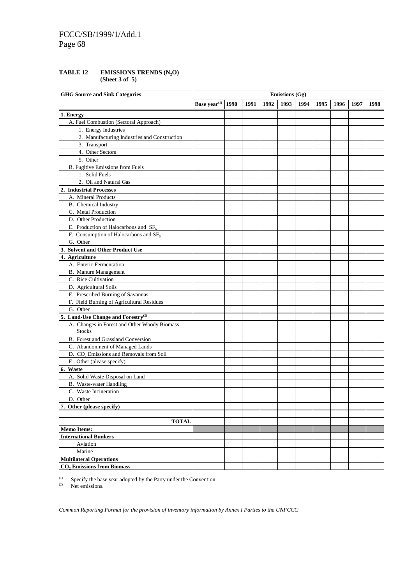# FCCC/SB/1999/1/Add.1 Page 68

### **TABLE 12 EMISSIONS TRENDS (N2O) (Sheet 3 of 5)**

| <b>GHG Source and Sink Categories</b>                         |                          |      |      |      | <b>Emissions (Gg)</b> |      |      |      |      |      |
|---------------------------------------------------------------|--------------------------|------|------|------|-----------------------|------|------|------|------|------|
|                                                               | Base year <sup>(1)</sup> | 1990 | 1991 | 1992 | 1993                  | 1994 | 1995 | 1996 | 1997 | 1998 |
| 1. Energy                                                     |                          |      |      |      |                       |      |      |      |      |      |
| A. Fuel Combustion (Sectoral Approach)                        |                          |      |      |      |                       |      |      |      |      |      |
| 1. Energy Industries                                          |                          |      |      |      |                       |      |      |      |      |      |
| 2. Manufacturing Industries and Construction                  |                          |      |      |      |                       |      |      |      |      |      |
| 3. Transport                                                  |                          |      |      |      |                       |      |      |      |      |      |
| 4. Other Sectors                                              |                          |      |      |      |                       |      |      |      |      |      |
| 5. Other                                                      |                          |      |      |      |                       |      |      |      |      |      |
| B. Fugitive Emissions from Fuels                              |                          |      |      |      |                       |      |      |      |      |      |
| 1. Solid Fuels                                                |                          |      |      |      |                       |      |      |      |      |      |
| 2. Oil and Natural Gas                                        |                          |      |      |      |                       |      |      |      |      |      |
| 2. Industrial Processes                                       |                          |      |      |      |                       |      |      |      |      |      |
| A. Mineral Products                                           |                          |      |      |      |                       |      |      |      |      |      |
| B. Chemical Industry                                          |                          |      |      |      |                       |      |      |      |      |      |
| C. Metal Production                                           |                          |      |      |      |                       |      |      |      |      |      |
| D. Other Production                                           |                          |      |      |      |                       |      |      |      |      |      |
| E. Production of Halocarbons and $SF6$                        |                          |      |      |      |                       |      |      |      |      |      |
| F. Consumption of Halocarbons and $SF6$                       |                          |      |      |      |                       |      |      |      |      |      |
| G. Other                                                      |                          |      |      |      |                       |      |      |      |      |      |
| 3. Solvent and Other Product Use                              |                          |      |      |      |                       |      |      |      |      |      |
| 4. Agriculture                                                |                          |      |      |      |                       |      |      |      |      |      |
| A. Enteric Fermentation                                       |                          |      |      |      |                       |      |      |      |      |      |
| <b>B.</b> Manure Management                                   |                          |      |      |      |                       |      |      |      |      |      |
| C. Rice Cultivation                                           |                          |      |      |      |                       |      |      |      |      |      |
| D. Agricultural Soils                                         |                          |      |      |      |                       |      |      |      |      |      |
| E. Prescribed Burning of Savannas                             |                          |      |      |      |                       |      |      |      |      |      |
| F. Field Burning of Agricultural Residues                     |                          |      |      |      |                       |      |      |      |      |      |
| G. Other                                                      |                          |      |      |      |                       |      |      |      |      |      |
| 5. Land-Use Change and Forestry <sup>(2)</sup>                |                          |      |      |      |                       |      |      |      |      |      |
| A. Changes in Forest and Other Woody Biomass<br><b>Stocks</b> |                          |      |      |      |                       |      |      |      |      |      |
| B. Forest and Grassland Conversion                            |                          |      |      |      |                       |      |      |      |      |      |
| C. Abandonment of Managed Lands                               |                          |      |      |      |                       |      |      |      |      |      |
| D. CO <sub>2</sub> Emissions and Removals from Soil           |                          |      |      |      |                       |      |      |      |      |      |
| E. Other (please specify)                                     |                          |      |      |      |                       |      |      |      |      |      |
| 6. Waste                                                      |                          |      |      |      |                       |      |      |      |      |      |
| A. Solid Waste Disposal on Land                               |                          |      |      |      |                       |      |      |      |      |      |
| B. Waste-water Handling                                       |                          |      |      |      |                       |      |      |      |      |      |
| C. Waste Incineration                                         |                          |      |      |      |                       |      |      |      |      |      |
| D. Other                                                      |                          |      |      |      |                       |      |      |      |      |      |
| 7. Other (please specify)                                     |                          |      |      |      |                       |      |      |      |      |      |
|                                                               |                          |      |      |      |                       |      |      |      |      |      |
| <b>TOTAL</b>                                                  |                          |      |      |      |                       |      |      |      |      |      |
| <b>Memo Items:</b>                                            |                          |      |      |      |                       |      |      |      |      |      |
| <b>International Bunkers</b>                                  |                          |      |      |      |                       |      |      |      |      |      |
| Aviation                                                      |                          |      |      |      |                       |      |      |      |      |      |
| Marine                                                        |                          |      |      |      |                       |      |      |      |      |      |
| <b>Multilateral Operations</b>                                |                          |      |      |      |                       |      |      |      |      |      |
| <b>CO</b> , Emissions from Biomass                            |                          |      |      |      |                       |      |      |      |      |      |

(1) Specify the base year adopted by the Party under the Convention.<br>  $\frac{1}{2}$  Net emissions

Net emissions.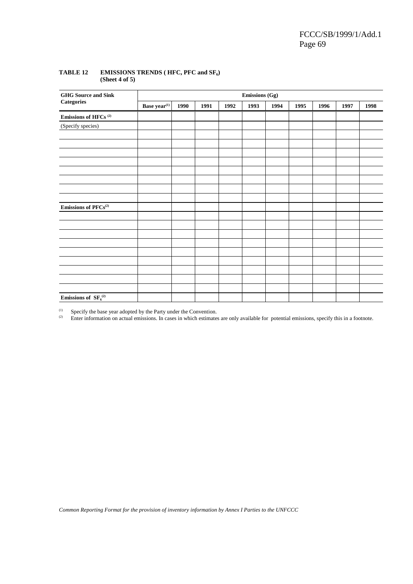| <b>GHG</b> Source and Sink                   | <b>Emissions (Gg)</b> |      |      |      |      |      |      |      |      |      |  |  |
|----------------------------------------------|-----------------------|------|------|------|------|------|------|------|------|------|--|--|
| $\label{eq:categories} \textbf{Categorical}$ | Base year $^{(1)}$    | 1990 | 1991 | 1992 | 1993 | 1994 | 1995 | 1996 | 1997 | 1998 |  |  |
| Emissions of HFCs $^{\textrm{\tiny{(2)}}}$   |                       |      |      |      |      |      |      |      |      |      |  |  |
| (Specify species)                            |                       |      |      |      |      |      |      |      |      |      |  |  |
|                                              |                       |      |      |      |      |      |      |      |      |      |  |  |
|                                              |                       |      |      |      |      |      |      |      |      |      |  |  |
|                                              |                       |      |      |      |      |      |      |      |      |      |  |  |
|                                              |                       |      |      |      |      |      |      |      |      |      |  |  |
|                                              |                       |      |      |      |      |      |      |      |      |      |  |  |
|                                              |                       |      |      |      |      |      |      |      |      |      |  |  |
|                                              |                       |      |      |      |      |      |      |      |      |      |  |  |
| Emissions of $\mathrm{PFCs}^{(2)}$           |                       |      |      |      |      |      |      |      |      |      |  |  |
|                                              |                       |      |      |      |      |      |      |      |      |      |  |  |
|                                              |                       |      |      |      |      |      |      |      |      |      |  |  |
|                                              |                       |      |      |      |      |      |      |      |      |      |  |  |
|                                              |                       |      |      |      |      |      |      |      |      |      |  |  |
|                                              |                       |      |      |      |      |      |      |      |      |      |  |  |
|                                              |                       |      |      |      |      |      |      |      |      |      |  |  |
|                                              |                       |      |      |      |      |      |      |      |      |      |  |  |
|                                              |                       |      |      |      |      |      |      |      |      |      |  |  |
| Emissions of $SF6(2)$                        |                       |      |      |      |      |      |      |      |      |      |  |  |

### TABLE 12 EMISSIONS TRENDS (HFC, PFC and SF<sub>6</sub>) **(Sheet 4 of 5)**

(1) Specify the base year adopted by the Party under the Convention.<br>  $\frac{1}{2}$  Enter information on actual emissions In cases in which estimates

Enter information on actual emissions. In cases in which estimates are only available for potential emissions, specify this in a footnote.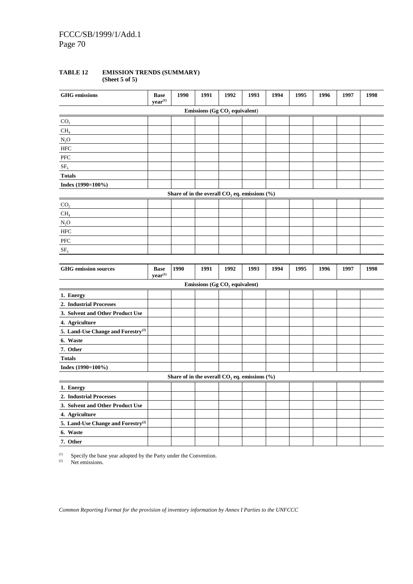# **TABLE 12 EMISSION TRENDS (SUMMARY)**

**(Sheet 5 of 5)**

| <b>GHG</b> emissions                           | <b>Base</b><br>year <sup>(1)</sup> | 1990 | 1991                                               | 1992 | 1993 | 1994 | 1995 | 1996 | 1997 | 1998 |
|------------------------------------------------|------------------------------------|------|----------------------------------------------------|------|------|------|------|------|------|------|
|                                                |                                    |      | Emissions (Gg CO <sub>2</sub> equivalent)          |      |      |      |      |      |      |      |
| CO <sub>2</sub>                                |                                    |      |                                                    |      |      |      |      |      |      |      |
| CH <sub>4</sub>                                |                                    |      |                                                    |      |      |      |      |      |      |      |
| $N_2O$                                         |                                    |      |                                                    |      |      |      |      |      |      |      |
| <b>HFC</b>                                     |                                    |      |                                                    |      |      |      |      |      |      |      |
| PFC                                            |                                    |      |                                                    |      |      |      |      |      |      |      |
| SF <sub>6</sub>                                |                                    |      |                                                    |      |      |      |      |      |      |      |
| <b>Totals</b>                                  |                                    |      |                                                    |      |      |      |      |      |      |      |
| Index $(1990=100\%)$                           |                                    |      |                                                    |      |      |      |      |      |      |      |
|                                                |                                    |      | Share of in the overall $CO2$ eq. emissions $(\%)$ |      |      |      |      |      |      |      |
| CO <sub>2</sub>                                |                                    |      |                                                    |      |      |      |      |      |      |      |
| CH <sub>4</sub>                                |                                    |      |                                                    |      |      |      |      |      |      |      |
| $N_2O$                                         |                                    |      |                                                    |      |      |      |      |      |      |      |
| <b>HFC</b>                                     |                                    |      |                                                    |      |      |      |      |      |      |      |
| <b>PFC</b>                                     |                                    |      |                                                    |      |      |      |      |      |      |      |
| SF <sub>6</sub>                                |                                    |      |                                                    |      |      |      |      |      |      |      |
|                                                |                                    |      |                                                    |      |      |      |      |      |      |      |
| <b>GHG</b> emission sources                    | <b>Base</b><br>year <sup>(1)</sup> | 1990 | 1991                                               | 1992 | 1993 | 1994 | 1995 | 1996 | 1997 | 1998 |
|                                                |                                    |      | Emissions (Gg $CO2$ equivalent)                    |      |      |      |      |      |      |      |
| 1. Energy                                      |                                    |      |                                                    |      |      |      |      |      |      |      |
| 2. Industrial Processes                        |                                    |      |                                                    |      |      |      |      |      |      |      |
| 3. Solvent and Other Product Use               |                                    |      |                                                    |      |      |      |      |      |      |      |
| 4. Agriculture                                 |                                    |      |                                                    |      |      |      |      |      |      |      |
| 5. Land-Use Change and Forestry <sup>(2)</sup> |                                    |      |                                                    |      |      |      |      |      |      |      |
| 6. Waste                                       |                                    |      |                                                    |      |      |      |      |      |      |      |
| 7. Other                                       |                                    |      |                                                    |      |      |      |      |      |      |      |
| <b>Totals</b>                                  |                                    |      |                                                    |      |      |      |      |      |      |      |
| Index (1990=100%)                              |                                    |      |                                                    |      |      |      |      |      |      |      |
|                                                |                                    |      | Share of in the overall $CO2$ eq. emissions $(\%)$ |      |      |      |      |      |      |      |
| 1. Energy                                      |                                    |      |                                                    |      |      |      |      |      |      |      |
| 2. Industrial Processes                        |                                    |      |                                                    |      |      |      |      |      |      |      |
| 3. Solvent and Other Product Use               |                                    |      |                                                    |      |      |      |      |      |      |      |
| 4. Agriculture                                 |                                    |      |                                                    |      |      |      |      |      |      |      |
| 5. Land-Use Change and Forestry <sup>(2)</sup> |                                    |      |                                                    |      |      |      |      |      |      |      |
| 6. Waste                                       |                                    |      |                                                    |      |      |      |      |      |      |      |
| 7. Other                                       |                                    |      |                                                    |      |      |      |      |      |      |      |

(1) Specify the base year adopted by the Party under the Convention.<br>  $Q^2$  Net emissions

Net emissions.